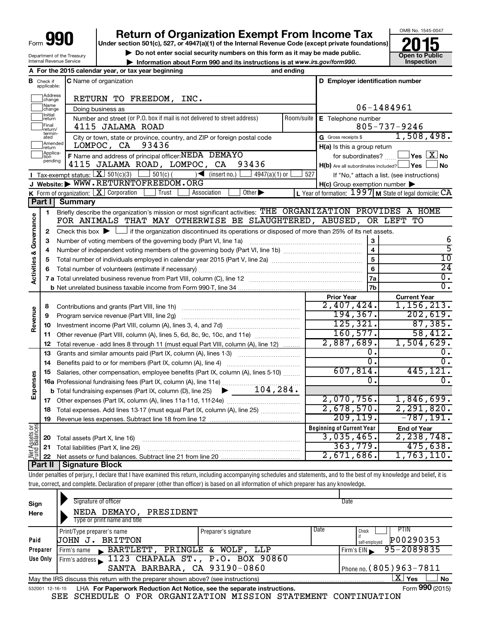Department of the Treasury Internal Revenue Service

# **Return of Organization Exempt From Income Tax**

**Under section 501(c), 527, or 4947(a)(1) of the Internal Revenue Code (except private foundations)**

**and Struction 501(c), 527, or 4947(a)(1) of the internal Revenue Code (except private foundations)<br>
■ Do not enter social security numbers on this form as it may be made public.<br>
■ Information about Form 990 and its inst** 

**• Information about Form 990 and its instructions is at www.irs.gov/form990. and inspection** 



| A For the 2015 calendar year, or tax year beginning<br>and ending |                                                                                                 |                                                                                                                                             |            |                                                                    |                                                           |  |  |
|-------------------------------------------------------------------|-------------------------------------------------------------------------------------------------|---------------------------------------------------------------------------------------------------------------------------------------------|------------|--------------------------------------------------------------------|-----------------------------------------------------------|--|--|
|                                                                   | <b>B</b> Check if applicable:                                                                   | <b>C</b> Name of organization                                                                                                               |            | D Employer identification number                                   |                                                           |  |  |
|                                                                   | Address<br> change                                                                              | RETURN TO FREEDOM, INC.                                                                                                                     |            |                                                                    |                                                           |  |  |
|                                                                   | Name<br>change                                                                                  | Doing business as                                                                                                                           |            |                                                                    | 06-1484961                                                |  |  |
|                                                                   | Initial<br>Number and street (or P.O. box if mail is not delivered to street address)<br>return |                                                                                                                                             | Room/suite | E Telephone number                                                 |                                                           |  |  |
|                                                                   | Final<br>return/                                                                                | 4115 JALAMA ROAD                                                                                                                            |            |                                                                    | $805 - 737 - 9246$                                        |  |  |
|                                                                   | termin-<br>ated                                                                                 | City or town, state or province, country, and ZIP or foreign postal code                                                                    |            | G Gross receipts \$                                                | 1,508,498.                                                |  |  |
|                                                                   | Amended<br>return                                                                               | 93436<br>LOMPOC, CA                                                                                                                         |            | $H(a)$ is this a group return                                      |                                                           |  |  |
|                                                                   | Applica-                                                                                        | F Name and address of principal officer: NEDA DEMAYO                                                                                        |            | $\sqrt{}$ Yes $\sqrt{}$ $\overline{\rm X}$ No<br>for subordinates? |                                                           |  |  |
|                                                                   | pending                                                                                         | 4115 JALAMA ROAD, LOMPOC, CA<br>93436                                                                                                       |            | $H(b)$ Are all subordinates included? $\Box$ Yes                   | <b>No</b>                                                 |  |  |
|                                                                   |                                                                                                 | <b>I</b> Tax-exempt status: $X \mid 501(c)(3)$<br>$\vert$ 501(c) (<br>$\sqrt{\frac{1}{1}}$ (insert no.)<br>$4947(a)(1)$ or                  | 527        |                                                                    | If "No," attach a list. (see instructions)                |  |  |
|                                                                   |                                                                                                 | J Website: WWW.RETURNTOFREEDOM.ORG                                                                                                          |            | $H(c)$ Group exemption number $\blacktriangleright$                |                                                           |  |  |
|                                                                   |                                                                                                 | Other $\blacktriangleright$<br><b>K</b> Form of organization: $\boxed{\mathbf{X}}$ Corporation<br>Trust<br>Association                      |            |                                                                    | L Year of formation: $1997$ M State of legal domicile: CA |  |  |
|                                                                   | Part I                                                                                          | Summary                                                                                                                                     |            |                                                                    |                                                           |  |  |
|                                                                   | 1                                                                                               | Briefly describe the organization's mission or most significant activities: THE ORGANIZATION PROVIDES A HOME                                |            |                                                                    |                                                           |  |  |
| Governance                                                        |                                                                                                 | FOR ANIMALS THAT MAY OTHERWISE BE SLAUGHTERED, ABUSED, OR LEFT TO                                                                           |            |                                                                    |                                                           |  |  |
|                                                                   | 2                                                                                               | Check this box $\blacktriangleright$ $\Box$ if the organization discontinued its operations or disposed of more than 25% of its net assets. |            |                                                                    |                                                           |  |  |
|                                                                   | 3                                                                                               | Number of voting members of the governing body (Part VI, line 1a)                                                                           |            | 3                                                                  | 6                                                         |  |  |
|                                                                   | 4                                                                                               |                                                                                                                                             |            | $\overline{\mathbf{4}}$                                            | 5                                                         |  |  |
| <b>Activities &amp;</b>                                           | 5                                                                                               |                                                                                                                                             |            | 5                                                                  | 10                                                        |  |  |
|                                                                   | 6                                                                                               |                                                                                                                                             |            | 6                                                                  | $\overline{24}$                                           |  |  |
|                                                                   |                                                                                                 |                                                                                                                                             |            | 7a                                                                 | $\overline{0}$ .                                          |  |  |
|                                                                   |                                                                                                 |                                                                                                                                             |            | 7b                                                                 | 0.                                                        |  |  |
|                                                                   |                                                                                                 |                                                                                                                                             |            | <b>Prior Year</b>                                                  | <b>Current Year</b>                                       |  |  |
|                                                                   | 8                                                                                               | Contributions and grants (Part VIII, line 1h)                                                                                               |            | 2,407,424.                                                         | 1,156,213.                                                |  |  |
| Revenue                                                           | 9                                                                                               | Program service revenue (Part VIII, line 2g)                                                                                                |            | 194,367.                                                           | 202,619.                                                  |  |  |
|                                                                   | 10                                                                                              |                                                                                                                                             |            | 125, 321.                                                          | 87,385.                                                   |  |  |
|                                                                   | 11                                                                                              | Other revenue (Part VIII, column (A), lines 5, 6d, 8c, 9c, 10c, and 11e)                                                                    |            | 160, 577.                                                          | 58,412.                                                   |  |  |
|                                                                   | 12                                                                                              | Total revenue - add lines 8 through 11 (must equal Part VIII, column (A), line 12)                                                          |            | 2,887,689.                                                         | 1,504,629.                                                |  |  |
|                                                                   | 13                                                                                              | Grants and similar amounts paid (Part IX, column (A), lines 1-3)                                                                            |            | 0.<br>$\overline{0}$ .                                             | υ.<br>$\overline{0}$ .                                    |  |  |
|                                                                   | 14                                                                                              | Benefits paid to or for members (Part IX, column (A), line 4)                                                                               |            | 607, 814.                                                          | 445, 121.                                                 |  |  |
|                                                                   | 15                                                                                              | Salaries, other compensation, employee benefits (Part IX, column (A), lines 5-10)                                                           |            | Ω.                                                                 | $\overline{0}$ .                                          |  |  |
| Expenses                                                          |                                                                                                 | 16a Professional fundraising fees (Part IX, column (A), line 11e)<br>104, 284.                                                              |            |                                                                    |                                                           |  |  |
|                                                                   |                                                                                                 | <b>b</b> Total fundraising expenses (Part IX, column (D), line 25)<br>▶                                                                     |            | 2,070,756.                                                         | 1,846,699.                                                |  |  |
|                                                                   | 17                                                                                              |                                                                                                                                             |            | 2,678,570.                                                         | 2, 291, 820.                                              |  |  |
|                                                                   | 18                                                                                              | Total expenses. Add lines 13-17 (must equal Part IX, column (A), line 25)                                                                   |            | 209, 119.                                                          | $-787, 191.$                                              |  |  |
|                                                                   | 19                                                                                              |                                                                                                                                             |            |                                                                    |                                                           |  |  |
|                                                                   |                                                                                                 |                                                                                                                                             |            | <b>Beginning of Current Year</b>                                   | <b>End of Year</b><br>2, 238, 748.                        |  |  |
|                                                                   | 20                                                                                              | Total assets (Part X, line 16)                                                                                                              |            | 3,035,465.<br>363,779.                                             | 475,638.                                                  |  |  |
| Net Assets or<br>Fund Balances                                    | 21                                                                                              | Total liabilities (Part X, line 26)                                                                                                         |            | 2,671,686.                                                         | 1,763,110.                                                |  |  |
|                                                                   | 22<br>Part II                                                                                   | Signature Block                                                                                                                             |            |                                                                    |                                                           |  |  |
|                                                                   |                                                                                                 |                                                                                                                                             |            |                                                                    |                                                           |  |  |

Under penalties of perjury, I declare that I have examined this return, including accompanying schedules and statements, and to the best of my knowledge and belief, it is true, correct, and complete. Declaration of preparer (other than officer) is based on all information of which preparer has any knowledge.

| Sign<br>Here                                                                                                 | Signature of officer<br>NEDA DEMAYO,<br>PRESIDENT<br>Type or print name and title |                      |      | Date                                               |  |  |
|--------------------------------------------------------------------------------------------------------------|-----------------------------------------------------------------------------------|----------------------|------|----------------------------------------------------|--|--|
| Paid                                                                                                         | Print/Type preparer's name<br><b>JOHN J. BRITTON</b>                              | Preparer's signature | Date | <b>PTIN</b><br>Check<br>P00290353<br>self-emploved |  |  |
| Preparer                                                                                                     | $\blacktriangleright$ BARTLETT,<br>Firm's name                                    | PRINGLE & WOLF, LLP  |      | 95-2089835<br>Firm's EIN                           |  |  |
| Use Only                                                                                                     | Firm's address 1123 CHAPALA ST., P.O. BOX 90860<br>SANTA BARBARA, CA 93190-0860   |                      |      | Phone no. (805) 963-7811                           |  |  |
|                                                                                                              | May the IRS discuss this return with the preparer shown above? (see instructions) |                      |      | $\mathbf{X}$ Yes<br>No                             |  |  |
| Form 990 (2015)<br>LHA For Paperwork Reduction Act Notice, see the separate instructions.<br>532001 12-16-15 |                                                                                   |                      |      |                                                    |  |  |

SEE SCHEDULE O FOR ORGANIZATION MISSION STATEMENT CONTINUATION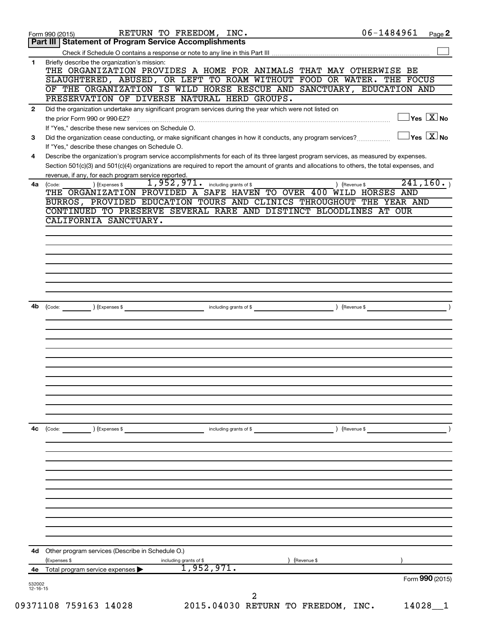|                          | RETURN TO FREEDOM, INC.<br>Form 990 (2015)                                                                                                                                                                                                                                           | 06-1484961 |                                           | Page 2 |
|--------------------------|--------------------------------------------------------------------------------------------------------------------------------------------------------------------------------------------------------------------------------------------------------------------------------------|------------|-------------------------------------------|--------|
|                          | Part III   Statement of Program Service Accomplishments                                                                                                                                                                                                                              |            |                                           |        |
|                          |                                                                                                                                                                                                                                                                                      |            |                                           |        |
| 1                        | Briefly describe the organization's mission:<br>THE ORGANIZATION PROVIDES A HOME FOR ANIMALS THAT MAY OTHERWISE BE                                                                                                                                                                   |            |                                           |        |
|                          | SLAUGHTERED, ABUSED, OR LEFT TO ROAM WITHOUT FOOD OR WATER. THE FOCUS                                                                                                                                                                                                                |            |                                           |        |
|                          | OF THE ORGANIZATION IS WILD HORSE RESCUE AND SANCTUARY, EDUCATION AND                                                                                                                                                                                                                |            |                                           |        |
|                          | PRESERVATION OF DIVERSE NATURAL HERD GROUPS.                                                                                                                                                                                                                                         |            |                                           |        |
| $\mathbf{2}$             | Did the organization undertake any significant program services during the year which were not listed on                                                                                                                                                                             |            |                                           |        |
|                          | the prior Form 990 or 990-EZ?                                                                                                                                                                                                                                                        |            | $\exists$ Yes $\sqrt{\mathrm{X}}$ No      |        |
|                          | If "Yes," describe these new services on Schedule O.                                                                                                                                                                                                                                 |            |                                           |        |
| 3                        | Did the organization cease conducting, or make significant changes in how it conducts, any program services?                                                                                                                                                                         |            | $\overline{\ }$ Yes $\overline{\ \ X}$ No |        |
|                          | If "Yes," describe these changes on Schedule O.                                                                                                                                                                                                                                      |            |                                           |        |
| 4                        | Describe the organization's program service accomplishments for each of its three largest program services, as measured by expenses.<br>Section 501(c)(3) and 501(c)(4) organizations are required to report the amount of grants and allocations to others, the total expenses, and |            |                                           |        |
|                          | revenue, if any, for each program service reported.                                                                                                                                                                                                                                  |            |                                           |        |
|                          | 1,952,971.<br>including grants of \$<br>) (Revenue \$<br>4a (Code:<br>) (Expenses \$                                                                                                                                                                                                 |            | 241, 160.                                 |        |
|                          | THE ORGANIZATION PROVIDED A SAFE HAVEN TO OVER 400 WILD HORSES AND                                                                                                                                                                                                                   |            |                                           |        |
|                          | BURROS, PROVIDED EDUCATION TOURS AND CLINICS THROUGHOUT THE YEAR AND                                                                                                                                                                                                                 |            |                                           |        |
|                          | CONTINUED TO PRESERVE SEVERAL RARE AND DISTINCT BLOODLINES AT OUR                                                                                                                                                                                                                    |            |                                           |        |
|                          | CALIFORNIA SANCTUARY.                                                                                                                                                                                                                                                                |            |                                           |        |
|                          |                                                                                                                                                                                                                                                                                      |            |                                           |        |
|                          |                                                                                                                                                                                                                                                                                      |            |                                           |        |
|                          |                                                                                                                                                                                                                                                                                      |            |                                           |        |
|                          |                                                                                                                                                                                                                                                                                      |            |                                           |        |
|                          |                                                                                                                                                                                                                                                                                      |            |                                           |        |
|                          |                                                                                                                                                                                                                                                                                      |            |                                           |        |
|                          |                                                                                                                                                                                                                                                                                      |            |                                           |        |
| 4b                       | including grants of \$<br>) (Revenue \$<br>(Expenses \$<br>(Code:                                                                                                                                                                                                                    |            |                                           |        |
|                          |                                                                                                                                                                                                                                                                                      |            |                                           |        |
|                          |                                                                                                                                                                                                                                                                                      |            |                                           |        |
|                          |                                                                                                                                                                                                                                                                                      |            |                                           |        |
|                          |                                                                                                                                                                                                                                                                                      |            |                                           |        |
|                          |                                                                                                                                                                                                                                                                                      |            |                                           |        |
|                          |                                                                                                                                                                                                                                                                                      |            |                                           |        |
|                          |                                                                                                                                                                                                                                                                                      |            |                                           |        |
|                          |                                                                                                                                                                                                                                                                                      |            |                                           |        |
|                          |                                                                                                                                                                                                                                                                                      |            |                                           |        |
|                          |                                                                                                                                                                                                                                                                                      |            |                                           |        |
| 4с                       | ) (Expenses \$<br>including grants of \$<br>) (Revenue \$<br>$\left(\text{Code:}\right)$                                                                                                                                                                                             |            |                                           |        |
|                          |                                                                                                                                                                                                                                                                                      |            |                                           |        |
|                          |                                                                                                                                                                                                                                                                                      |            |                                           |        |
|                          |                                                                                                                                                                                                                                                                                      |            |                                           |        |
|                          |                                                                                                                                                                                                                                                                                      |            |                                           |        |
|                          |                                                                                                                                                                                                                                                                                      |            |                                           |        |
|                          |                                                                                                                                                                                                                                                                                      |            |                                           |        |
|                          |                                                                                                                                                                                                                                                                                      |            |                                           |        |
|                          |                                                                                                                                                                                                                                                                                      |            |                                           |        |
|                          |                                                                                                                                                                                                                                                                                      |            |                                           |        |
|                          |                                                                                                                                                                                                                                                                                      |            |                                           |        |
|                          |                                                                                                                                                                                                                                                                                      |            |                                           |        |
| 4d                       | Other program services (Describe in Schedule O.)<br>(Revenue \$                                                                                                                                                                                                                      |            |                                           |        |
| 4е                       | (Expenses \$<br>including grants of \$<br>1,952,971.<br>Total program service expenses                                                                                                                                                                                               |            |                                           |        |
|                          |                                                                                                                                                                                                                                                                                      |            | Form 990 (2015)                           |        |
| 532002<br>$12 - 16 - 15$ |                                                                                                                                                                                                                                                                                      |            |                                           |        |
|                          | 2                                                                                                                                                                                                                                                                                    |            |                                           |        |
|                          | 09371108 759163 14028<br>2015.04030 RETURN TO FREEDOM, INC.                                                                                                                                                                                                                          |            | 14028                                     | - 1    |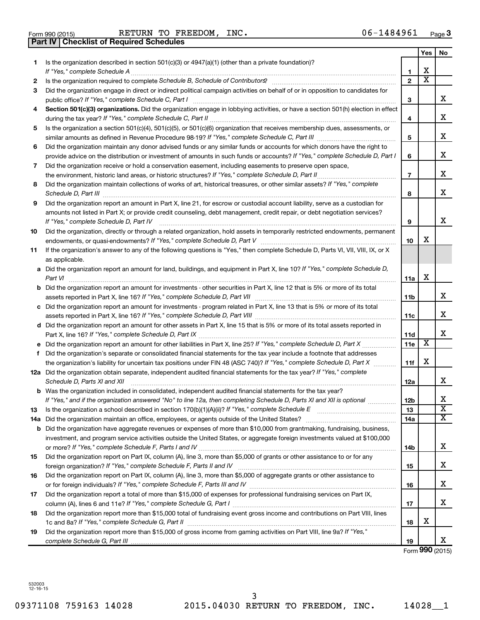$\frac{1}{100}$  Form 990 (2015) RETURN TO FREEDOM, INC RETURN TO FREEDOM,  $INC.$   $06-1484961$ 

|    | Part IV   Checklist of Required Schedules                                                                                            |                 |                         |                         |
|----|--------------------------------------------------------------------------------------------------------------------------------------|-----------------|-------------------------|-------------------------|
|    |                                                                                                                                      |                 | Yes                     | No.                     |
| 1. | Is the organization described in section 501(c)(3) or $4947(a)(1)$ (other than a private foundation)?                                |                 |                         |                         |
|    |                                                                                                                                      | 1               | х                       |                         |
| 2  |                                                                                                                                      | $\mathbf{2}$    | $\overline{\textbf{x}}$ |                         |
| 3  | Did the organization engage in direct or indirect political campaign activities on behalf of or in opposition to candidates for      |                 |                         |                         |
|    |                                                                                                                                      | з               |                         | х                       |
| 4  | Section 501(c)(3) organizations. Did the organization engage in lobbying activities, or have a section 501(h) election in effect     |                 |                         |                         |
|    |                                                                                                                                      | 4               |                         | х                       |
| 5  | Is the organization a section 501(c)(4), 501(c)(5), or 501(c)(6) organization that receives membership dues, assessments, or         |                 |                         |                         |
|    |                                                                                                                                      | 5               |                         | х                       |
| 6  | Did the organization maintain any donor advised funds or any similar funds or accounts for which donors have the right to            |                 |                         |                         |
|    | provide advice on the distribution or investment of amounts in such funds or accounts? If "Yes," complete Schedule D, Part I         | 6               |                         | х                       |
|    |                                                                                                                                      |                 |                         |                         |
| 7  | Did the organization receive or hold a conservation easement, including easements to preserve open space,                            |                 |                         | х                       |
|    | the environment, historic land areas, or historic structures? If "Yes," complete Schedule D, Part II                                 | $\overline{7}$  |                         |                         |
| 8  | Did the organization maintain collections of works of art, historical treasures, or other similar assets? If "Yes," complete         |                 |                         | x                       |
|    |                                                                                                                                      | 8               |                         |                         |
| 9  | Did the organization report an amount in Part X, line 21, for escrow or custodial account liability, serve as a custodian for        |                 |                         |                         |
|    | amounts not listed in Part X; or provide credit counseling, debt management, credit repair, or debt negotiation services?            |                 |                         |                         |
|    | If "Yes," complete Schedule D, Part IV                                                                                               | 9               |                         | х                       |
| 10 | Did the organization, directly or through a related organization, hold assets in temporarily restricted endowments, permanent        |                 |                         |                         |
|    |                                                                                                                                      | 10              | х                       |                         |
| 11 | If the organization's answer to any of the following questions is "Yes," then complete Schedule D, Parts VI, VII, VIII, IX, or X     |                 |                         |                         |
|    | as applicable.                                                                                                                       |                 |                         |                         |
|    | a Did the organization report an amount for land, buildings, and equipment in Part X, line 10? If "Yes," complete Schedule D,        |                 |                         |                         |
|    | Part VI                                                                                                                              | 11a             | X                       |                         |
|    | <b>b</b> Did the organization report an amount for investments - other securities in Part X, line 12 that is 5% or more of its total |                 |                         |                         |
|    |                                                                                                                                      | 11 <sub>b</sub> |                         | x                       |
|    | c Did the organization report an amount for investments - program related in Part X, line 13 that is 5% or more of its total         |                 |                         |                         |
|    |                                                                                                                                      | 11c             |                         | х                       |
|    | d Did the organization report an amount for other assets in Part X, line 15 that is 5% or more of its total assets reported in       |                 |                         |                         |
|    |                                                                                                                                      | 11d             |                         | x                       |
|    | e Did the organization report an amount for other liabilities in Part X, line 25? If "Yes," complete Schedule D, Part X              | 11e             | X                       |                         |
| f  | Did the organization's separate or consolidated financial statements for the tax year include a footnote that addresses              |                 |                         |                         |
|    | the organization's liability for uncertain tax positions under FIN 48 (ASC 740)? If "Yes," complete Schedule D, Part X               | 11f             | X                       |                         |
|    | 12a Did the organization obtain separate, independent audited financial statements for the tax year? If "Yes," complete              |                 |                         |                         |
|    | Schedule D, Parts XI and XII                                                                                                         | 12a             |                         | x                       |
|    | b Was the organization included in consolidated, independent audited financial statements for the tax year?                          |                 |                         |                         |
|    | If "Yes," and if the organization answered "No" to line 12a, then completing Schedule D, Parts XI and XII is optional                | 12b             |                         | х                       |
| 13 | Is the organization a school described in section 170(b)(1)(A)(ii)? If "Yes," complete Schedule E [[[[[[[[[[[[                       | 13              |                         | $\overline{\textbf{X}}$ |
|    | 14a Did the organization maintain an office, employees, or agents outside of the United States?                                      | 14a             |                         | х                       |
|    | <b>b</b> Did the organization have aggregate revenues or expenses of more than \$10,000 from grantmaking, fundraising, business,     |                 |                         |                         |
|    | investment, and program service activities outside the United States, or aggregate foreign investments valued at \$100,000           |                 |                         |                         |
|    |                                                                                                                                      | 14b             |                         | х                       |
| 15 | Did the organization report on Part IX, column (A), line 3, more than \$5,000 of grants or other assistance to or for any            |                 |                         |                         |
|    |                                                                                                                                      | 15              |                         | х                       |
| 16 | Did the organization report on Part IX, column (A), line 3, more than \$5,000 of aggregate grants or other assistance to             |                 |                         |                         |
|    |                                                                                                                                      | 16              |                         | х                       |
| 17 | Did the organization report a total of more than \$15,000 of expenses for professional fundraising services on Part IX,              |                 |                         |                         |
|    |                                                                                                                                      | 17              |                         | х                       |
| 18 | Did the organization report more than \$15,000 total of fundraising event gross income and contributions on Part VIII, lines         |                 |                         |                         |
|    |                                                                                                                                      | 18              | х                       |                         |
| 19 | Did the organization report more than \$15,000 of gross income from gaming activities on Part VIII, line 9a? If "Yes,"               |                 |                         |                         |
|    |                                                                                                                                      | 19              |                         | x                       |

Form **990** (2015)

532003 12-16-15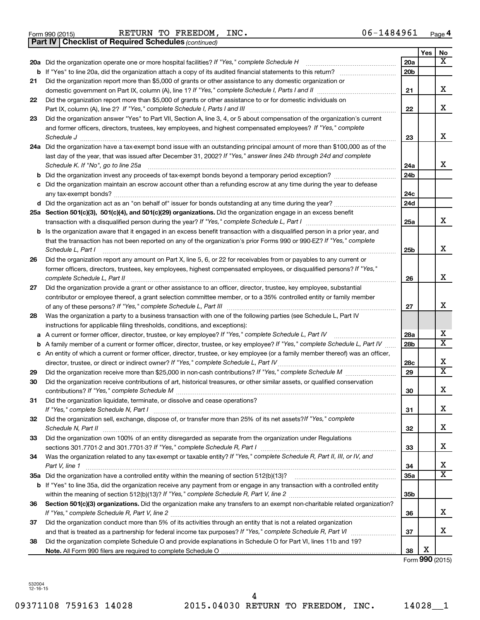|  | Form 990 (2015) |
|--|-----------------|
|  |                 |

Form 990 (2015) Page RETURN TO FREEDOM, INC. 06-1484961

*(continued)* **Part IV Checklist of Required Schedules**

|    |                                                                                                                                                                                                                             |                 | Yes | No                           |
|----|-----------------------------------------------------------------------------------------------------------------------------------------------------------------------------------------------------------------------------|-----------------|-----|------------------------------|
|    | 20a Did the organization operate one or more hospital facilities? If "Yes," complete Schedule H                                                                                                                             | 20a             |     | x                            |
|    |                                                                                                                                                                                                                             | 20 <sub>b</sub> |     |                              |
| 21 | Did the organization report more than \$5,000 of grants or other assistance to any domestic organization or                                                                                                                 |                 |     |                              |
|    |                                                                                                                                                                                                                             | 21              |     | x                            |
| 22 | Did the organization report more than \$5,000 of grants or other assistance to or for domestic individuals on                                                                                                               | 22              |     | X                            |
| 23 | Did the organization answer "Yes" to Part VII, Section A, line 3, 4, or 5 about compensation of the organization's current                                                                                                  |                 |     |                              |
|    | and former officers, directors, trustees, key employees, and highest compensated employees? If "Yes," complete                                                                                                              |                 |     |                              |
|    | Schedule J                                                                                                                                                                                                                  | 23              |     | x                            |
|    | 24a Did the organization have a tax-exempt bond issue with an outstanding principal amount of more than \$100,000 as of the                                                                                                 |                 |     |                              |
|    | last day of the year, that was issued after December 31, 2002? If "Yes," answer lines 24b through 24d and complete                                                                                                          |                 |     |                              |
|    | Schedule K. If "No", go to line 25a                                                                                                                                                                                         | 24a             |     | x                            |
| b  | Did the organization invest any proceeds of tax-exempt bonds beyond a temporary period exception?                                                                                                                           | 24 <sub>b</sub> |     |                              |
| с  | Did the organization maintain an escrow account other than a refunding escrow at any time during the year to defease                                                                                                        |                 |     |                              |
|    |                                                                                                                                                                                                                             | 24c             |     |                              |
|    |                                                                                                                                                                                                                             | 24d             |     |                              |
|    | 25a Section 501(c)(3), 501(c)(4), and 501(c)(29) organizations. Did the organization engage in an excess benefit                                                                                                            |                 |     |                              |
|    |                                                                                                                                                                                                                             | 25a             |     | x                            |
|    | <b>b</b> Is the organization aware that it engaged in an excess benefit transaction with a disqualified person in a prior year, and                                                                                         |                 |     |                              |
|    | that the transaction has not been reported on any of the organization's prior Forms 990 or 990-EZ? If "Yes," complete<br>Schedule L, Part I                                                                                 | 25b             |     | X                            |
| 26 | Did the organization report any amount on Part X, line 5, 6, or 22 for receivables from or payables to any current or                                                                                                       |                 |     |                              |
|    | former officers, directors, trustees, key employees, highest compensated employees, or disqualified persons? If "Yes,"                                                                                                      |                 |     |                              |
|    |                                                                                                                                                                                                                             | 26              |     | x                            |
| 27 | Did the organization provide a grant or other assistance to an officer, director, trustee, key employee, substantial                                                                                                        |                 |     |                              |
|    | contributor or employee thereof, a grant selection committee member, or to a 35% controlled entity or family member                                                                                                         |                 |     |                              |
|    |                                                                                                                                                                                                                             | 27              |     | х                            |
| 28 | Was the organization a party to a business transaction with one of the following parties (see Schedule L, Part IV                                                                                                           |                 |     |                              |
|    | instructions for applicable filing thresholds, conditions, and exceptions):                                                                                                                                                 |                 |     |                              |
| а  | A current or former officer, director, trustee, or key employee? If "Yes," complete Schedule L, Part IV                                                                                                                     | 28a             |     | x<br>$\overline{\mathtt{x}}$ |
| b  | A family member of a current or former officer, director, trustee, or key employee? If "Yes," complete Schedule L, Part IV                                                                                                  | 28 <sub>b</sub> |     |                              |
|    | c An entity of which a current or former officer, director, trustee, or key employee (or a family member thereof) was an officer,<br>director, trustee, or direct or indirect owner? If "Yes," complete Schedule L, Part IV | 28c             |     | х                            |
| 29 |                                                                                                                                                                                                                             | 29              |     | $\overline{\mathtt{x}}$      |
| 30 | Did the organization receive contributions of art, historical treasures, or other similar assets, or qualified conservation                                                                                                 |                 |     |                              |
|    |                                                                                                                                                                                                                             | 30              |     | X                            |
| 31 | Did the organization liquidate, terminate, or dissolve and cease operations?                                                                                                                                                |                 |     |                              |
|    |                                                                                                                                                                                                                             | 31              |     | х                            |
| 32 | Did the organization sell, exchange, dispose of, or transfer more than 25% of its net assets? If "Yes," complete                                                                                                            |                 |     |                              |
|    | Schedule N, Part II                                                                                                                                                                                                         | 32              |     | x                            |
| 33 | Did the organization own 100% of an entity disregarded as separate from the organization under Regulations                                                                                                                  |                 |     |                              |
|    |                                                                                                                                                                                                                             | 33              |     | х                            |
| 34 | Was the organization related to any tax-exempt or taxable entity? If "Yes," complete Schedule R, Part II, III, or IV, and                                                                                                   | 34              |     | х                            |
|    | Part V, line 1                                                                                                                                                                                                              | 35a             |     | $\overline{\mathtt{x}}$      |
|    | b If "Yes" to line 35a, did the organization receive any payment from or engage in any transaction with a controlled entity                                                                                                 |                 |     |                              |
|    |                                                                                                                                                                                                                             | 35 <sub>b</sub> |     |                              |
| 36 | Section 501(c)(3) organizations. Did the organization make any transfers to an exempt non-charitable related organization?                                                                                                  |                 |     |                              |
|    |                                                                                                                                                                                                                             | 36              |     | x                            |
| 37 | Did the organization conduct more than 5% of its activities through an entity that is not a related organization                                                                                                            |                 |     |                              |
|    |                                                                                                                                                                                                                             | 37              |     | x                            |
| 38 | Did the organization complete Schedule O and provide explanations in Schedule O for Part VI, lines 11b and 19?                                                                                                              |                 |     |                              |
|    |                                                                                                                                                                                                                             | 38              | х   |                              |

Form **990** (2015)

532004 12-16-15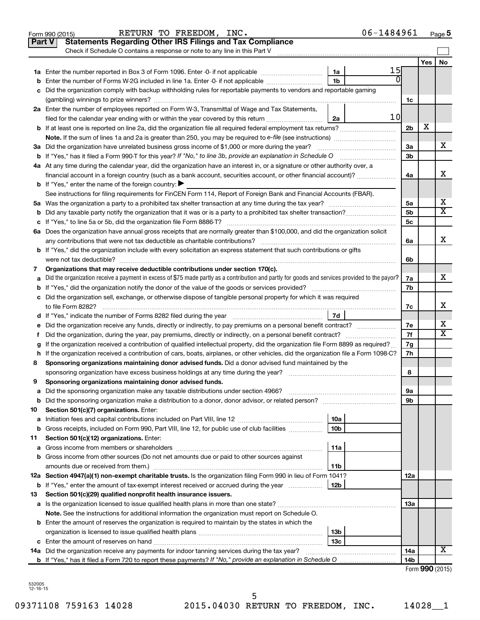|    | 06-1484961<br>RETURN TO FREEDOM, INC.<br>Form 990 (2015)                                                                                        |                 |                 | Page 5 |
|----|-------------------------------------------------------------------------------------------------------------------------------------------------|-----------------|-----------------|--------|
|    | <b>Statements Regarding Other IRS Filings and Tax Compliance</b><br><b>Part V</b>                                                               |                 |                 |        |
|    | Check if Schedule O contains a response or note to any line in this Part V                                                                      |                 |                 |        |
|    |                                                                                                                                                 |                 | Yes             | No     |
|    | 15<br>1a                                                                                                                                        |                 |                 |        |
| b  | $\overline{0}$<br>1 <sub>b</sub><br>Enter the number of Forms W-2G included in line 1a. Enter -0- if not applicable                             |                 |                 |        |
|    | c Did the organization comply with backup withholding rules for reportable payments to vendors and reportable gaming                            |                 |                 |        |
|    |                                                                                                                                                 | 1c              |                 |        |
|    | 2a Enter the number of employees reported on Form W-3, Transmittal of Wage and Tax Statements,                                                  |                 |                 |        |
|    | 10 <sub>l</sub><br>filed for the calendar year ending with or within the year covered by this return<br>2a                                      |                 |                 |        |
|    |                                                                                                                                                 | 2 <sub>b</sub>  | X               |        |
|    |                                                                                                                                                 |                 |                 |        |
|    | 3a Did the organization have unrelated business gross income of \$1,000 or more during the year?                                                | За              |                 | х      |
|    |                                                                                                                                                 | 3 <sub>b</sub>  |                 |        |
|    | 4a At any time during the calendar year, did the organization have an interest in, or a signature or other authority over, a                    |                 |                 |        |
|    | financial account in a foreign country (such as a bank account, securities account, or other financial account)?                                | 4a              |                 | x      |
|    | <b>b</b> If "Yes," enter the name of the foreign country: $\blacktriangleright$                                                                 |                 |                 |        |
|    | See instructions for filing requirements for FinCEN Form 114, Report of Foreign Bank and Financial Accounts (FBAR).                             |                 |                 |        |
|    |                                                                                                                                                 | 5a              |                 | х      |
|    |                                                                                                                                                 | 5 <sub>b</sub>  |                 | X      |
|    |                                                                                                                                                 | 5 <sub>c</sub>  |                 |        |
|    | 6a Does the organization have annual gross receipts that are normally greater than \$100,000, and did the organization solicit                  |                 |                 |        |
|    |                                                                                                                                                 | 6a              |                 | x      |
|    | <b>b</b> If "Yes," did the organization include with every solicitation an express statement that such contributions or gifts                   |                 |                 |        |
|    |                                                                                                                                                 | 6b              |                 |        |
| 7  | Organizations that may receive deductible contributions under section 170(c).                                                                   |                 |                 |        |
| a  | Did the organization receive a payment in excess of \$75 made partly as a contribution and partly for goods and services provided to the payor? | 7a              |                 | x      |
|    |                                                                                                                                                 | 7b              |                 |        |
|    | c Did the organization sell, exchange, or otherwise dispose of tangible personal property for which it was required                             |                 |                 |        |
|    |                                                                                                                                                 | 7с              |                 | х      |
|    | 7d                                                                                                                                              |                 |                 |        |
|    | e Did the organization receive any funds, directly or indirectly, to pay premiums on a personal benefit contract?                               | 7e              |                 | х      |
| f. | Did the organization, during the year, pay premiums, directly or indirectly, on a personal benefit contract?                                    | 7f              |                 | X      |
|    | If the organization received a contribution of qualified intellectual property, did the organization file Form 8899 as required?                | 7g              |                 |        |
|    | h If the organization received a contribution of cars, boats, airplanes, or other vehicles, did the organization file a Form 1098-C?            | 7h              |                 |        |
| 8  | Sponsoring organizations maintaining donor advised funds. Did a donor advised fund maintained by the                                            |                 |                 |        |
|    |                                                                                                                                                 | 8               |                 |        |
|    | Sponsoring organizations maintaining donor advised funds.                                                                                       |                 |                 |        |
| а  | Did the sponsoring organization make any taxable distributions under section 4966?                                                              | 9а              |                 |        |
| b  |                                                                                                                                                 | 9b              |                 |        |
| 10 | Section 501(c)(7) organizations. Enter:                                                                                                         |                 |                 |        |
| a  | 10a<br>10 <sub>b</sub>                                                                                                                          |                 |                 |        |
| b  | Gross receipts, included on Form 990, Part VIII, line 12, for public use of club facilities<br>Section 501(c)(12) organizations. Enter:         |                 |                 |        |
| 11 | 11a                                                                                                                                             |                 |                 |        |
| а  | <b>b</b> Gross income from other sources (Do not net amounts due or paid to other sources against                                               |                 |                 |        |
|    | 11b                                                                                                                                             |                 |                 |        |
|    | 12a Section 4947(a)(1) non-exempt charitable trusts. Is the organization filing Form 990 in lieu of Form 1041?                                  | 12a             |                 |        |
|    | 12b<br><b>b</b> If "Yes," enter the amount of tax-exempt interest received or accrued during the year                                           |                 |                 |        |
| 13 | Section 501(c)(29) qualified nonprofit health insurance issuers.                                                                                |                 |                 |        |
|    | a Is the organization licensed to issue qualified health plans in more than one state?                                                          | 13a             |                 |        |
|    | Note. See the instructions for additional information the organization must report on Schedule O.                                               |                 |                 |        |
|    | <b>b</b> Enter the amount of reserves the organization is required to maintain by the states in which the                                       |                 |                 |        |
|    | 13b                                                                                                                                             |                 |                 |        |
|    | 13 <sub>c</sub>                                                                                                                                 |                 |                 |        |
|    | 14a Did the organization receive any payments for indoor tanning services during the tax year?                                                  | 14a             |                 | x      |
|    |                                                                                                                                                 | 14 <sub>b</sub> |                 |        |
|    |                                                                                                                                                 |                 | Form 990 (2015) |        |

09371108 759163 14028 2015.04030 RETURN TO FREEDOM, INC. 14028\_1 5

| RETURN TO FREEDOM. |
|--------------------|
|--------------------|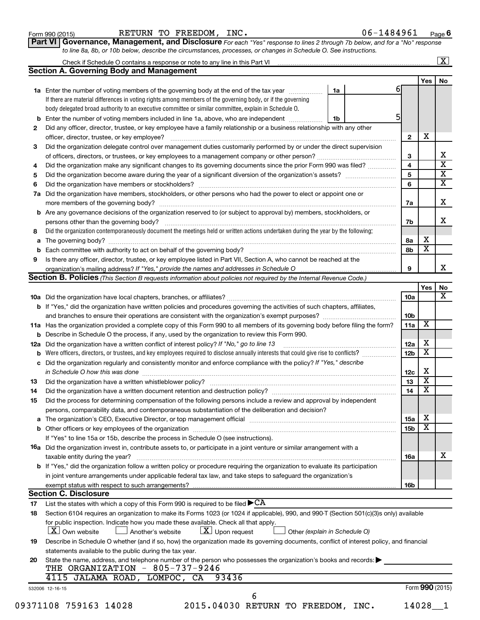| Form 990 (2015) |  |
|-----------------|--|
|-----------------|--|

Form 990 (2015) Page RETURN TO FREEDOM, INC. 06-1484961

**Part VI** Governance, Management, and Disclosure For each "Yes" response to lines 2 through 7b below, and for a "No" response *to line 8a, 8b, or 10b below, describe the circumstances, processes, or changes in Schedule O. See instructions.*

|     |                                                                                                                                           |                               |                 |                         | $\mathbf{X}$            |
|-----|-------------------------------------------------------------------------------------------------------------------------------------------|-------------------------------|-----------------|-------------------------|-------------------------|
|     | <b>Section A. Governing Body and Management</b>                                                                                           |                               |                 |                         |                         |
|     |                                                                                                                                           |                               |                 | Yes                     | No                      |
|     | 1a Enter the number of voting members of the governing body at the end of the tax year manuscom                                           | 1a                            | 61              |                         |                         |
|     | If there are material differences in voting rights among members of the governing body, or if the governing                               |                               |                 |                         |                         |
|     | body delegated broad authority to an executive committee or similar committee, explain in Schedule O.                                     |                               |                 |                         |                         |
| b   | Enter the number of voting members included in line 1a, above, who are independent                                                        | 1b                            |                 |                         |                         |
| 2   | Did any officer, director, trustee, or key employee have a family relationship or a business relationship with any other                  |                               |                 |                         |                         |
|     |                                                                                                                                           |                               | $\overline{2}$  | X                       |                         |
| 3   | Did the organization delegate control over management duties customarily performed by or under the direct supervision                     |                               |                 |                         |                         |
|     |                                                                                                                                           |                               | 3               |                         | х                       |
| 4   | Did the organization make any significant changes to its governing documents since the prior Form 990 was filed?                          |                               | 4               |                         | $\overline{\text{x}}$   |
| 5   |                                                                                                                                           |                               | 5               |                         | $\overline{\textbf{x}}$ |
| 6   |                                                                                                                                           |                               | 6               |                         | $\overline{\textbf{X}}$ |
| 7a  | Did the organization have members, stockholders, or other persons who had the power to elect or appoint one or                            |                               |                 |                         |                         |
|     |                                                                                                                                           |                               | 7a              |                         | X                       |
| b   | Are any governance decisions of the organization reserved to (or subject to approval by) members, stockholders, or                        |                               |                 |                         |                         |
|     |                                                                                                                                           |                               | 7b              |                         | x                       |
| 8   | Did the organization contemporaneously document the meetings held or written actions undertaken during the year by the following:         |                               |                 |                         |                         |
| а   |                                                                                                                                           |                               | 8а              | х                       |                         |
|     |                                                                                                                                           |                               | 8b              | $\overline{\mathbf{x}}$ |                         |
| 9   | Is there any officer, director, trustee, or key employee listed in Part VII, Section A, who cannot be reached at the                      |                               |                 |                         |                         |
|     |                                                                                                                                           |                               | 9               |                         | X.                      |
|     | Section B. Policies (This Section B requests information about policies not required by the Internal Revenue Code.)                       |                               |                 |                         |                         |
|     |                                                                                                                                           |                               |                 | Yes                     | No                      |
|     |                                                                                                                                           |                               | 10a             |                         | x                       |
|     | <b>b</b> If "Yes," did the organization have written policies and procedures governing the activities of such chapters, affiliates,       |                               |                 |                         |                         |
|     |                                                                                                                                           |                               | 10 <sub>b</sub> |                         |                         |
|     | 11a Has the organization provided a complete copy of this Form 990 to all members of its governing body before filing the form?           |                               | 11a             | х                       |                         |
|     | Describe in Schedule O the process, if any, used by the organization to review this Form 990.                                             |                               |                 |                         |                         |
| 12a | Did the organization have a written conflict of interest policy? If "No," go to line 13                                                   |                               | 12a             | х                       |                         |
|     | Were officers, directors, or trustees, and key employees required to disclose annually interests that could give rise to conflicts?       |                               | 12 <sub>b</sub> | $\overline{\textbf{x}}$ |                         |
| с   | Did the organization regularly and consistently monitor and enforce compliance with the policy? If "Yes," describe                        |                               |                 |                         |                         |
|     | in Schedule O how this was done manufactured and contain an account of the was done                                                       |                               | 12c             | х                       |                         |
| 13  |                                                                                                                                           |                               | 13              | $\overline{\textbf{x}}$ |                         |
| 14  |                                                                                                                                           |                               | 14              | $\overline{\mathbf{X}}$ |                         |
| 15  | Did the process for determining compensation of the following persons include a review and approval by independent                        |                               |                 |                         |                         |
|     | persons, comparability data, and contemporaneous substantiation of the deliberation and decision?                                         |                               |                 |                         |                         |
| а   |                                                                                                                                           |                               | 15a             | х                       |                         |
|     |                                                                                                                                           |                               | 15b             | $\overline{\textbf{x}}$ |                         |
|     | If "Yes" to line 15a or 15b, describe the process in Schedule O (see instructions).                                                       |                               |                 |                         |                         |
|     | <b>16a</b> Did the organization invest in, contribute assets to, or participate in a joint venture or similar arrangement with a          |                               |                 |                         |                         |
|     | taxable entity during the year?                                                                                                           |                               | 16a             |                         | х                       |
|     | b If "Yes," did the organization follow a written policy or procedure requiring the organization to evaluate its participation            |                               |                 |                         |                         |
|     | in joint venture arrangements under applicable federal tax law, and take steps to safeguard the organization's                            |                               |                 |                         |                         |
|     | exempt status with respect to such arrangements?                                                                                          |                               | 16b             |                         |                         |
|     | <b>Section C. Disclosure</b>                                                                                                              |                               |                 |                         |                         |
| 17  | List the states with which a copy of this Form 990 is required to be filed $\blacktriangleright$ CA                                       |                               |                 |                         |                         |
| 18  | Section 6104 requires an organization to make its Forms 1023 (or 1024 if applicable), 990, and 990-T (Section 501(c)(3)s only) available  |                               |                 |                         |                         |
|     | for public inspection. Indicate how you made these available. Check all that apply.                                                       |                               |                 |                         |                         |
|     | $\lfloor x \rfloor$ Upon request<br>  X   Own website<br>Another's website                                                                | Other (explain in Schedule O) |                 |                         |                         |
| 19  | Describe in Schedule O whether (and if so, how) the organization made its governing documents, conflict of interest policy, and financial |                               |                 |                         |                         |
|     | statements available to the public during the tax year.                                                                                   |                               |                 |                         |                         |
| 20  | State the name, address, and telephone number of the person who possesses the organization's books and records:                           |                               |                 |                         |                         |
|     | THE ORGANIZATION - 805-737-9246                                                                                                           |                               |                 |                         |                         |
|     | 4115 JALAMA ROAD, LOMPOC, CA<br>93436                                                                                                     |                               |                 |                         |                         |
|     | 532006 12-16-15                                                                                                                           |                               |                 | Form 990 (2015)         |                         |
|     | 6                                                                                                                                         |                               |                 |                         |                         |
|     | 09371108 759163 14028<br>2015.04030 RETURN TO FREEDOM, INC.                                                                               |                               |                 | 14028                   |                         |
|     |                                                                                                                                           |                               |                 |                         |                         |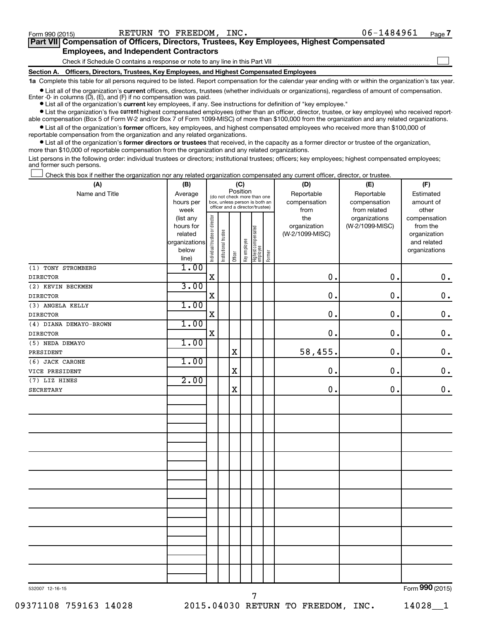$\Box$ 

| Part VII Compensation of Officers, Directors, Trustees, Key Employees, Highest Compensated |  |
|--------------------------------------------------------------------------------------------|--|
| <b>Employees, and Independent Contractors</b>                                              |  |

Check if Schedule O contains a response or note to any line in this Part VII

**Section A. Officers, Directors, Trustees, Key Employees, and Highest Compensated Employees**

**1a**  Complete this table for all persons required to be listed. Report compensation for the calendar year ending with or within the organization's tax year.

**•** List all of the organization's current officers, directors, trustees (whether individuals or organizations), regardless of amount of compensation. Enter -0- in columns  $(D)$ ,  $(E)$ , and  $(F)$  if no compensation was paid.

**•** List all of the organization's **current** key employees, if any. See instructions for definition of "key employee."

**•** List the organization's five current highest compensated employees (other than an officer, director, trustee, or key employee) who received reportable compensation (Box 5 of Form W-2 and/or Box 7 of Form 1099-MISC) of more than \$100,000 from the organization and any related organizations.

**•** List all of the organization's former officers, key employees, and highest compensated employees who received more than \$100,000 of reportable compensation from the organization and any related organizations.

**•** List all of the organization's former directors or trustees that received, in the capacity as a former director or trustee of the organization, more than \$10,000 of reportable compensation from the organization and any related organizations.

List persons in the following order: individual trustees or directors; institutional trustees; officers; key employees; highest compensated employees; and former such persons.

Check this box if neither the organization nor any related organization compensated any current officer, director, or trustee.  $\overline{a}$ 

| (A)                    | (B)                  |                                |                                                                  | (C)         |              |                                 |        | (D)                             | (E)             | (F)                         |
|------------------------|----------------------|--------------------------------|------------------------------------------------------------------|-------------|--------------|---------------------------------|--------|---------------------------------|-----------------|-----------------------------|
| Name and Title         | Average              |                                | (do not check more than one                                      | Position    |              |                                 |        | Reportable                      | Reportable      | Estimated                   |
|                        | hours per            |                                | box, unless person is both an<br>officer and a director/trustee) |             |              |                                 |        | compensation                    | compensation    | amount of                   |
|                        | week                 |                                |                                                                  |             |              |                                 |        | from                            | from related    | other                       |
|                        | (list any            |                                |                                                                  |             |              |                                 |        | the                             | organizations   | compensation                |
|                        | hours for<br>related |                                |                                                                  |             |              |                                 |        | organization<br>(W-2/1099-MISC) | (W-2/1099-MISC) | from the                    |
|                        | organizations        |                                |                                                                  |             |              |                                 |        |                                 |                 | organization<br>and related |
|                        | below                |                                |                                                                  |             |              |                                 |        |                                 |                 | organizations               |
|                        | line)                | Individual trustee or director | Institutional trustee                                            | Officer     | Key employee | Highest compensated<br>employee | Former |                                 |                 |                             |
| (1) TONY STROMBERG     | 1.00                 |                                |                                                                  |             |              |                                 |        |                                 |                 |                             |
| <b>DIRECTOR</b>        |                      | $\mathbf X$                    |                                                                  |             |              |                                 |        | 0.                              | 0.              | $\mathbf 0$ .               |
| (2) KEVIN BECKMEN      | 3.00                 |                                |                                                                  |             |              |                                 |        |                                 |                 |                             |
| <b>DIRECTOR</b>        |                      | $\mathbf X$                    |                                                                  |             |              |                                 |        | $\mathbf 0$ .                   | 0.              | $\mathbf 0$ .               |
| (3) ANGELA KELLY       | 1.00                 |                                |                                                                  |             |              |                                 |        |                                 |                 |                             |
| <b>DIRECTOR</b>        |                      | $\mathbf X$                    |                                                                  |             |              |                                 |        | $\mathbf 0$ .                   | 0.              | $\mathbf 0$ .               |
| (4) DIANA DEMAYO-BROWN | 1.00                 |                                |                                                                  |             |              |                                 |        |                                 |                 |                             |
| <b>DIRECTOR</b>        |                      | $\mathbf X$                    |                                                                  |             |              |                                 |        | 0.                              | 0.              | $\mathbf 0$ .               |
| (5) NEDA DEMAYO        | 1.00                 |                                |                                                                  |             |              |                                 |        |                                 |                 |                             |
| PRESIDENT              |                      |                                |                                                                  | $\mathbf X$ |              |                                 |        | 58,455.                         | 0.              | $\mathbf 0$ .               |
| (6) JACK CARONE        | 1.00                 |                                |                                                                  |             |              |                                 |        |                                 |                 |                             |
| VICE PRESIDENT         |                      |                                |                                                                  | $\mathbf X$ |              |                                 |        | $\mathbf 0$ .                   | 0.              | $\mathbf 0$ .               |
| (7) LIZ HINES          | 2.00                 |                                |                                                                  |             |              |                                 |        |                                 |                 |                             |
| SECRETARY              |                      |                                |                                                                  | X           |              |                                 |        | $\mathbf 0$ .                   | $\mathbf 0$     | $\mathbf 0$ .               |
|                        |                      |                                |                                                                  |             |              |                                 |        |                                 |                 |                             |
|                        |                      |                                |                                                                  |             |              |                                 |        |                                 |                 |                             |
|                        |                      |                                |                                                                  |             |              |                                 |        |                                 |                 |                             |
|                        |                      |                                |                                                                  |             |              |                                 |        |                                 |                 |                             |
|                        |                      |                                |                                                                  |             |              |                                 |        |                                 |                 |                             |
|                        |                      |                                |                                                                  |             |              |                                 |        |                                 |                 |                             |
|                        |                      |                                |                                                                  |             |              |                                 |        |                                 |                 |                             |
|                        |                      |                                |                                                                  |             |              |                                 |        |                                 |                 |                             |
|                        |                      |                                |                                                                  |             |              |                                 |        |                                 |                 |                             |
|                        |                      |                                |                                                                  |             |              |                                 |        |                                 |                 |                             |
|                        |                      |                                |                                                                  |             |              |                                 |        |                                 |                 |                             |
|                        |                      |                                |                                                                  |             |              |                                 |        |                                 |                 |                             |
|                        |                      |                                |                                                                  |             |              |                                 |        |                                 |                 |                             |
|                        |                      |                                |                                                                  |             |              |                                 |        |                                 |                 |                             |
|                        |                      |                                |                                                                  |             |              |                                 |        |                                 |                 |                             |
|                        |                      |                                |                                                                  |             |              |                                 |        |                                 |                 |                             |
|                        |                      |                                |                                                                  |             |              |                                 |        |                                 |                 |                             |
|                        |                      |                                |                                                                  |             |              |                                 |        |                                 |                 |                             |
|                        |                      |                                |                                                                  |             |              |                                 |        |                                 |                 |                             |
|                        |                      |                                |                                                                  |             |              |                                 |        |                                 |                 | $\overline{22}$             |

7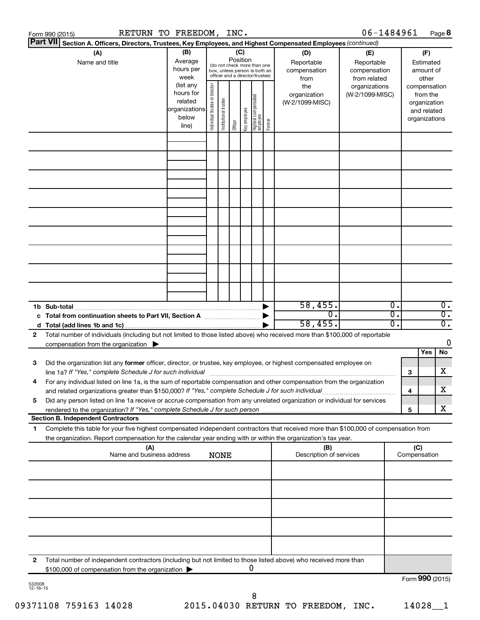|                    | Form 990 (2015)                                                                                                                                                                                                                                                                                     |                                  | RETURN TO FREEDOM, INC.                                              |                                |                       |                 |              |                                                                                                 |        |                                           | 06-1484961                                        |                                      |                     |                                                                          | Page 8                               |
|--------------------|-----------------------------------------------------------------------------------------------------------------------------------------------------------------------------------------------------------------------------------------------------------------------------------------------------|----------------------------------|----------------------------------------------------------------------|--------------------------------|-----------------------|-----------------|--------------|-------------------------------------------------------------------------------------------------|--------|-------------------------------------------|---------------------------------------------------|--------------------------------------|---------------------|--------------------------------------------------------------------------|--------------------------------------|
|                    | Part VII Section A. Officers, Directors, Trustees, Key Employees, and Highest Compensated Employees (continued)                                                                                                                                                                                     |                                  |                                                                      |                                |                       |                 |              |                                                                                                 |        |                                           |                                                   |                                      |                     |                                                                          |                                      |
|                    | (A)<br>Name and title                                                                                                                                                                                                                                                                               |                                  | (B)<br>Average<br>hours per<br>week                                  |                                |                       | (C)<br>Position |              | (do not check more than one<br>box, unless person is both an<br>officer and a director/trustee) |        | (D)<br>Reportable<br>compensation<br>from | (E)<br>Reportable<br>compensation<br>from related |                                      |                     | (F)<br>Estimated<br>amount of<br>other                                   |                                      |
|                    |                                                                                                                                                                                                                                                                                                     |                                  | (list any<br>hours for<br>related<br>organizations<br>below<br>line) | Individual trustee or director | Institutional trustee | Officer         | Key employee | Highest compensated<br>  employee                                                               | Former | the<br>organization<br>(W-2/1099-MISC)    | organizations<br>(W-2/1099-MISC)                  |                                      |                     | compensation<br>from the<br>organization<br>and related<br>organizations |                                      |
|                    |                                                                                                                                                                                                                                                                                                     |                                  |                                                                      |                                |                       |                 |              |                                                                                                 |        |                                           |                                                   |                                      |                     |                                                                          |                                      |
|                    |                                                                                                                                                                                                                                                                                                     |                                  |                                                                      |                                |                       |                 |              |                                                                                                 |        |                                           |                                                   |                                      |                     |                                                                          |                                      |
|                    |                                                                                                                                                                                                                                                                                                     |                                  |                                                                      |                                |                       |                 |              |                                                                                                 |        |                                           |                                                   |                                      |                     |                                                                          |                                      |
|                    |                                                                                                                                                                                                                                                                                                     |                                  |                                                                      |                                |                       |                 |              |                                                                                                 |        |                                           |                                                   |                                      |                     |                                                                          |                                      |
|                    |                                                                                                                                                                                                                                                                                                     |                                  |                                                                      |                                |                       |                 |              |                                                                                                 |        |                                           |                                                   |                                      |                     |                                                                          |                                      |
|                    |                                                                                                                                                                                                                                                                                                     |                                  |                                                                      |                                |                       |                 |              |                                                                                                 |        |                                           |                                                   |                                      |                     |                                                                          |                                      |
|                    |                                                                                                                                                                                                                                                                                                     |                                  |                                                                      |                                |                       |                 |              |                                                                                                 |        |                                           |                                                   |                                      |                     |                                                                          |                                      |
|                    | 1b Sub-total                                                                                                                                                                                                                                                                                        |                                  |                                                                      |                                |                       |                 |              |                                                                                                 |        | 58,455.                                   |                                                   | $\overline{0}$ .                     |                     |                                                                          | 0.                                   |
|                    | c Total from continuation sheets to Part VII, Section A [11, 11, 11, 11, 11]                                                                                                                                                                                                                        |                                  |                                                                      |                                |                       |                 |              |                                                                                                 |        | 0.<br>58,455.                             |                                                   | $\overline{0}$ .<br>$\overline{0}$ . |                     |                                                                          | $\overline{0}$ .<br>$\overline{0}$ . |
| 2                  | Total number of individuals (including but not limited to those listed above) who received more than \$100,000 of reportable<br>compensation from the organization $\blacktriangleright$                                                                                                            |                                  |                                                                      |                                |                       |                 |              |                                                                                                 |        |                                           |                                                   |                                      |                     | Yes                                                                      | 0<br><b>No</b>                       |
| 3                  | Did the organization list any former officer, director, or trustee, key employee, or highest compensated employee on<br>line 1a? If "Yes," complete Schedule J for such individual [11] manufacture manufacture 1a? If "Yes," complete Schedule J for such individual                               |                                  |                                                                      |                                |                       |                 |              |                                                                                                 |        |                                           |                                                   |                                      | 3                   |                                                                          | x                                    |
|                    | For any individual listed on line 1a, is the sum of reportable compensation and other compensation from the organization<br>and related organizations greater than \$150,000? If "Yes," complete Schedule J for such individual                                                                     |                                  |                                                                      |                                |                       |                 |              |                                                                                                 |        |                                           |                                                   |                                      | 4                   |                                                                          | х                                    |
| 5                  | Did any person listed on line 1a receive or accrue compensation from any unrelated organization or individual for services<br>rendered to the organization? If "Yes," complete Schedule J for such person                                                                                           |                                  |                                                                      |                                |                       |                 |              |                                                                                                 |        |                                           |                                                   |                                      | 5                   |                                                                          | x                                    |
| 1                  | <b>Section B. Independent Contractors</b><br>Complete this table for your five highest compensated independent contractors that received more than \$100,000 of compensation from<br>the organization. Report compensation for the calendar year ending with or within the organization's tax year. |                                  |                                                                      |                                |                       |                 |              |                                                                                                 |        |                                           |                                                   |                                      |                     |                                                                          |                                      |
|                    |                                                                                                                                                                                                                                                                                                     | (A)<br>Name and business address |                                                                      |                                | <b>NONE</b>           |                 |              |                                                                                                 |        | (B)<br>Description of services            |                                                   |                                      | (C)<br>Compensation |                                                                          |                                      |
|                    |                                                                                                                                                                                                                                                                                                     |                                  |                                                                      |                                |                       |                 |              |                                                                                                 |        |                                           |                                                   |                                      |                     |                                                                          |                                      |
|                    |                                                                                                                                                                                                                                                                                                     |                                  |                                                                      |                                |                       |                 |              |                                                                                                 |        |                                           |                                                   |                                      |                     |                                                                          |                                      |
|                    |                                                                                                                                                                                                                                                                                                     |                                  |                                                                      |                                |                       |                 |              |                                                                                                 |        |                                           |                                                   |                                      |                     |                                                                          |                                      |
|                    |                                                                                                                                                                                                                                                                                                     |                                  |                                                                      |                                |                       |                 |              |                                                                                                 |        |                                           |                                                   |                                      |                     |                                                                          |                                      |
| 2                  | Total number of independent contractors (including but not limited to those listed above) who received more than<br>\$100,000 of compensation from the organization                                                                                                                                 |                                  |                                                                      |                                |                       |                 |              | 0                                                                                               |        |                                           |                                                   |                                      |                     |                                                                          |                                      |
| 532008<br>12-16-15 |                                                                                                                                                                                                                                                                                                     |                                  |                                                                      |                                |                       |                 |              |                                                                                                 |        |                                           |                                                   |                                      | Form 990 (2015)     |                                                                          |                                      |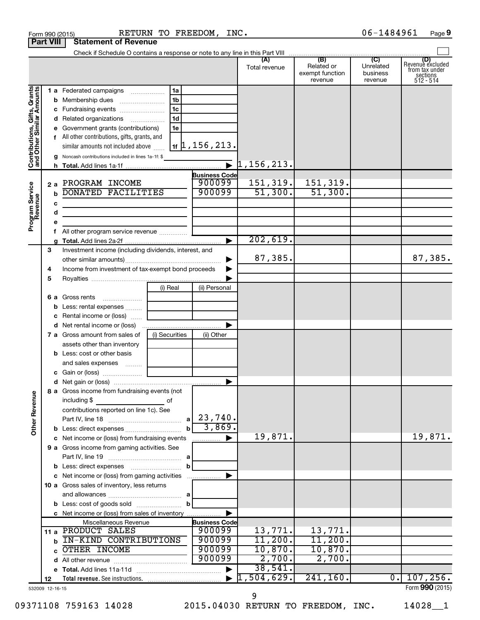|                                                           |                  |   | Form 990 (2015)                                                | RETURN TO FREEDOM, INC. |                            |                                             |                                                 | 06-1484961                              | Page 9                                                      |
|-----------------------------------------------------------|------------------|---|----------------------------------------------------------------|-------------------------|----------------------------|---------------------------------------------|-------------------------------------------------|-----------------------------------------|-------------------------------------------------------------|
|                                                           | <b>Part VIII</b> |   | <b>Statement of Revenue</b>                                    |                         |                            |                                             |                                                 |                                         |                                                             |
|                                                           |                  |   |                                                                |                         |                            |                                             |                                                 |                                         |                                                             |
|                                                           |                  |   |                                                                |                         |                            | (A)<br>Total revenue                        | (B)<br>Related or<br>exempt function<br>revenue | (C)<br>Unrelated<br>business<br>revenue | Revenue excluded<br>from tax under<br>sections<br>512 - 514 |
|                                                           |                  |   | 1 a Federated campaigns                                        | 1a                      |                            |                                             |                                                 |                                         |                                                             |
| Contributions, Gifts, Grants<br>and Other Similar Amounts |                  |   |                                                                | 1 <sub>b</sub>          |                            |                                             |                                                 |                                         |                                                             |
|                                                           |                  |   |                                                                | 1 <sub>c</sub>          |                            |                                             |                                                 |                                         |                                                             |
|                                                           |                  |   | d Related organizations                                        | 1 <sub>d</sub>          |                            |                                             |                                                 |                                         |                                                             |
|                                                           |                  |   | e Government grants (contributions)                            | 1e                      |                            |                                             |                                                 |                                         |                                                             |
|                                                           |                  |   | f All other contributions, gifts, grants, and                  |                         |                            |                                             |                                                 |                                         |                                                             |
|                                                           |                  |   | similar amounts not included above                             |                         | $1$ + $\vert$ 1, 156, 213. |                                             |                                                 |                                         |                                                             |
|                                                           |                  |   | g Noncash contributions included in lines 1a-1f: \$            |                         |                            |                                             |                                                 |                                         |                                                             |
|                                                           |                  |   |                                                                |                         |                            | $\bar{\bullet}$ 1,156,213.                  |                                                 |                                         |                                                             |
|                                                           |                  |   |                                                                |                         | <b>Business Code</b>       |                                             |                                                 |                                         |                                                             |
|                                                           |                  |   | 2 a PROGRAM INCOME                                             |                         | 900099                     | 151,319.                                    | 151,319.                                        |                                         |                                                             |
|                                                           |                  | b | DONATED FACILITIES                                             |                         | 900099                     | 51,300.                                     | 51,300.                                         |                                         |                                                             |
|                                                           |                  | с |                                                                |                         |                            |                                             |                                                 |                                         |                                                             |
|                                                           |                  | d |                                                                |                         |                            |                                             |                                                 |                                         |                                                             |
| Program Service<br>Revenue                                |                  | е |                                                                |                         |                            |                                             |                                                 |                                         |                                                             |
|                                                           |                  |   |                                                                |                         |                            |                                             |                                                 |                                         |                                                             |
|                                                           |                  |   |                                                                |                         |                            | 202,619.                                    |                                                 |                                         |                                                             |
|                                                           | З                |   | Investment income (including dividends, interest, and          |                         |                            | 87,385.                                     |                                                 |                                         | 87,385.                                                     |
|                                                           | 4                |   | Income from investment of tax-exempt bond proceeds             |                         |                            |                                             |                                                 |                                         |                                                             |
|                                                           | 5                |   |                                                                |                         |                            |                                             |                                                 |                                         |                                                             |
|                                                           |                  |   |                                                                | (i) Real                | (ii) Personal              |                                             |                                                 |                                         |                                                             |
|                                                           |                  |   | <b>6 a</b> Gross rents<br>$\ldots \ldots \ldots \ldots \ldots$ |                         |                            |                                             |                                                 |                                         |                                                             |
|                                                           |                  |   | <b>b</b> Less: rental expenses                                 |                         |                            |                                             |                                                 |                                         |                                                             |
|                                                           |                  |   | <b>c</b> Rental income or (loss)                               |                         |                            |                                             |                                                 |                                         |                                                             |
|                                                           |                  |   | d Net rental income or (loss)                                  |                         |                            |                                             |                                                 |                                         |                                                             |
|                                                           |                  |   | 7 a Gross amount from sales of                                 | (i) Securities          | (ii) Other                 |                                             |                                                 |                                         |                                                             |
|                                                           |                  |   | assets other than inventory                                    |                         |                            |                                             |                                                 |                                         |                                                             |
|                                                           |                  |   | <b>b</b> Less: cost or other basis                             |                         |                            |                                             |                                                 |                                         |                                                             |
|                                                           |                  |   | and sales expenses                                             |                         |                            |                                             |                                                 |                                         |                                                             |
|                                                           |                  |   | c Gain or (loss)                                               |                         |                            |                                             |                                                 |                                         |                                                             |
|                                                           |                  |   |                                                                |                         |                            |                                             |                                                 |                                         |                                                             |
|                                                           |                  |   | 8 a Gross income from fundraising events (not                  |                         |                            |                                             |                                                 |                                         |                                                             |
| <b>Other Revenue</b>                                      |                  |   | including \$<br>and the contract of the contract of            |                         |                            |                                             |                                                 |                                         |                                                             |
|                                                           |                  |   | contributions reported on line 1c). See                        |                         | a   23,740.                |                                             |                                                 |                                         |                                                             |
|                                                           |                  |   |                                                                |                         | 3,869.                     |                                             |                                                 |                                         |                                                             |
|                                                           |                  |   | c Net income or (loss) from fundraising events                 |                         | ▶                          | 19,871.                                     |                                                 |                                         | 19,871.                                                     |
|                                                           |                  |   | 9 a Gross income from gaming activities. See                   |                         | .                          |                                             |                                                 |                                         |                                                             |
|                                                           |                  |   |                                                                |                         |                            |                                             |                                                 |                                         |                                                             |
|                                                           |                  |   |                                                                | b                       |                            |                                             |                                                 |                                         |                                                             |
|                                                           |                  |   | c Net income or (loss) from gaming activities                  |                         | ▶                          |                                             |                                                 |                                         |                                                             |
|                                                           |                  |   | 10 a Gross sales of inventory, less returns                    |                         |                            |                                             |                                                 |                                         |                                                             |
|                                                           |                  |   |                                                                |                         |                            |                                             |                                                 |                                         |                                                             |
|                                                           |                  |   |                                                                | b                       |                            |                                             |                                                 |                                         |                                                             |
|                                                           |                  |   | c Net income or (loss) from sales of inventory                 |                         |                            |                                             |                                                 |                                         |                                                             |
|                                                           |                  |   | Miscellaneous Revenue                                          |                         | <b>Business Code</b>       |                                             |                                                 |                                         |                                                             |
|                                                           |                  |   | 11 a PRODUCT SALES                                             |                         | 900099                     | 13,771.                                     | 13,771.                                         |                                         |                                                             |
|                                                           |                  |   | IN-KIND CONTRIBUTIONS                                          |                         | 900099                     | 11,200.                                     | 11,200.                                         |                                         |                                                             |
|                                                           |                  | c | OTHER INCOME                                                   |                         | 900099                     | 10,870.                                     | 10,870.                                         |                                         |                                                             |
|                                                           |                  |   |                                                                |                         | 900099                     | 2,700.                                      | 2,700.                                          |                                         |                                                             |
|                                                           |                  |   |                                                                |                         | ▶                          | 38,541.<br>$\blacktriangleright$ 1,504,629. | 241, 160.                                       | $\overline{0}$ .                        | 107, 256.                                                   |
|                                                           | 12               |   |                                                                |                         |                            |                                             |                                                 |                                         | $Form$ QQQ (2015)                                           |

532009 12-16-15

09371108 759163 14028 2015.04030 RETURN TO FREEDOM, INC. 14028\_1

9

Form (2015) **990**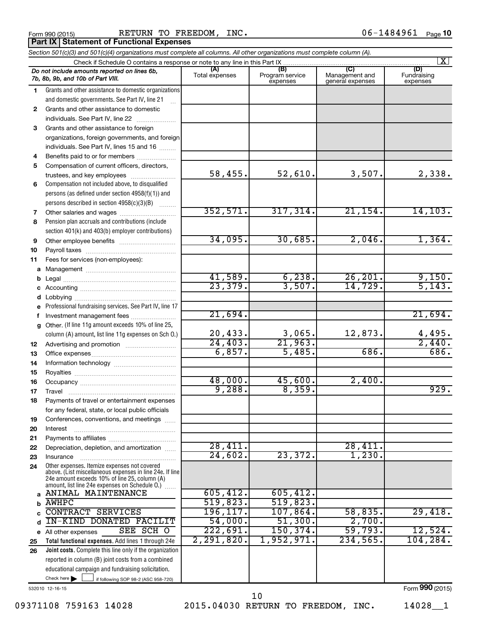**Part IX Statement of Functional Expenses**

Form 990 (2015) Page RETURN TO FREEDOM, INC. 06-1484961

|    | Section 501(c)(3) and 501(c)(4) organizations must complete all columns. All other organizations must complete column (A).                                                                                  |                       |                                    |                                           |                                |
|----|-------------------------------------------------------------------------------------------------------------------------------------------------------------------------------------------------------------|-----------------------|------------------------------------|-------------------------------------------|--------------------------------|
|    | Check if Schedule O contains a response or note to any line in this Part IX.                                                                                                                                |                       |                                    |                                           | $\vert X \vert$                |
|    | Do not include amounts reported on lines 6b,<br>7b, 8b, 9b, and 10b of Part VIII.                                                                                                                           | (A)<br>Total expenses | (B)<br>Program service<br>expenses | (C)<br>Management and<br>general expenses | (D)<br>Fundraising<br>expenses |
| 1  | Grants and other assistance to domestic organizations                                                                                                                                                       |                       |                                    |                                           |                                |
|    | and domestic governments. See Part IV, line 21                                                                                                                                                              |                       |                                    |                                           |                                |
| 2  | Grants and other assistance to domestic                                                                                                                                                                     |                       |                                    |                                           |                                |
|    | individuals. See Part IV, line 22                                                                                                                                                                           |                       |                                    |                                           |                                |
| 3  | Grants and other assistance to foreign                                                                                                                                                                      |                       |                                    |                                           |                                |
|    | organizations, foreign governments, and foreign                                                                                                                                                             |                       |                                    |                                           |                                |
|    | individuals. See Part IV, lines 15 and 16                                                                                                                                                                   |                       |                                    |                                           |                                |
| 4  | Benefits paid to or for members                                                                                                                                                                             |                       |                                    |                                           |                                |
| 5  | Compensation of current officers, directors,                                                                                                                                                                |                       |                                    |                                           |                                |
|    | trustees, and key employees                                                                                                                                                                                 | 58,455.               | 52,610.                            | 3,507.                                    | 2,338.                         |
| 6  | Compensation not included above, to disqualified                                                                                                                                                            |                       |                                    |                                           |                                |
|    | persons (as defined under section 4958(f)(1)) and                                                                                                                                                           |                       |                                    |                                           |                                |
|    | persons described in section 4958(c)(3)(B)                                                                                                                                                                  |                       |                                    |                                           |                                |
| 7  |                                                                                                                                                                                                             | 352,571.              | 317,314.                           | 21, 154.                                  | 14, 103.                       |
| 8  | Pension plan accruals and contributions (include                                                                                                                                                            |                       |                                    |                                           |                                |
|    | section 401(k) and 403(b) employer contributions)                                                                                                                                                           |                       |                                    |                                           |                                |
| 9  | Other employee benefits                                                                                                                                                                                     | 34,095.               | 30,685.                            | 2,046.                                    | 1,364.                         |
| 10 |                                                                                                                                                                                                             |                       |                                    |                                           |                                |
| 11 | Fees for services (non-employees):                                                                                                                                                                          |                       |                                    |                                           |                                |
| a  |                                                                                                                                                                                                             |                       |                                    |                                           |                                |
| b  |                                                                                                                                                                                                             | 41,589.               | 6,238.                             | 26, 201.                                  | 9,150.                         |
| С  |                                                                                                                                                                                                             | 23,379.               | 3,507.                             | 14,729.                                   | 5,143.                         |
| d  |                                                                                                                                                                                                             |                       |                                    |                                           |                                |
| е  | Professional fundraising services. See Part IV, line 17                                                                                                                                                     |                       |                                    |                                           |                                |
| f  | Investment management fees                                                                                                                                                                                  | 21,694.               |                                    |                                           | 21,694.                        |
| g  | Other. (If line 11g amount exceeds 10% of line 25,                                                                                                                                                          |                       |                                    |                                           |                                |
|    | column (A) amount, list line 11g expenses on Sch O.)                                                                                                                                                        | 20,433.               | $\frac{3,065}{21,963}$             | 12,873.                                   | $\frac{4,495}{2,440}$          |
| 12 |                                                                                                                                                                                                             | 24, 403.              |                                    |                                           |                                |
| 13 |                                                                                                                                                                                                             | 6,857.                | 5,485.                             | 686.                                      | 686.                           |
| 14 |                                                                                                                                                                                                             |                       |                                    |                                           |                                |
| 15 |                                                                                                                                                                                                             |                       |                                    |                                           |                                |
| 16 |                                                                                                                                                                                                             | 48,000.               | 45,600.                            | 2,400.                                    |                                |
| 17 |                                                                                                                                                                                                             | 9,288.                | 8,359.                             |                                           | 929.                           |
| 18 | Payments of travel or entertainment expenses                                                                                                                                                                |                       |                                    |                                           |                                |
|    | for any federal, state, or local public officials                                                                                                                                                           |                       |                                    |                                           |                                |
| 19 | Conferences, conventions, and meetings                                                                                                                                                                      |                       |                                    |                                           |                                |
| 20 | Interest                                                                                                                                                                                                    |                       |                                    |                                           |                                |
| 21 |                                                                                                                                                                                                             | 28,411.               |                                    |                                           |                                |
| 22 | Depreciation, depletion, and amortization                                                                                                                                                                   | 24,602.               | 23,372.                            | 28,411.<br>1,230.                         |                                |
| 23 | Insurance                                                                                                                                                                                                   |                       |                                    |                                           |                                |
| 24 | Other expenses. Itemize expenses not covered<br>above. (List miscellaneous expenses in line 24e. If line<br>24e amount exceeds 10% of line 25, column (A)<br>amount, list line 24e expenses on Schedule O.) |                       |                                    |                                           |                                |
| a  | ANIMAL MAINTENANCE                                                                                                                                                                                          | 605, 412.             | 605,412.                           |                                           |                                |
| b  | <b>AWHPC</b>                                                                                                                                                                                                | 519,823.              | 519,823.                           |                                           |                                |
| C  | <b>CONTRACT SERVICES</b>                                                                                                                                                                                    | 196, 117.             | 107,864.                           | 58,835.                                   | 29,418.                        |
| d  | <b>IN-KIND DONATED FACILIT</b>                                                                                                                                                                              | 54,000.               | 51,300.                            | 2,700.                                    |                                |
|    | SEE SCH O<br>e All other expenses                                                                                                                                                                           | 222,691.              | 150, 374.                          | 59,793.                                   | 12,524.                        |
| 25 | Total functional expenses. Add lines 1 through 24e                                                                                                                                                          | 2,291,820.            | 1,952,971.                         | 234,565.                                  | 104, 284.                      |
| 26 | Joint costs. Complete this line only if the organization                                                                                                                                                    |                       |                                    |                                           |                                |
|    | reported in column (B) joint costs from a combined                                                                                                                                                          |                       |                                    |                                           |                                |
|    | educational campaign and fundraising solicitation.                                                                                                                                                          |                       |                                    |                                           |                                |
|    | Check here $\blacktriangleright$<br>if following SOP 98-2 (ASC 958-720)                                                                                                                                     |                       |                                    |                                           |                                |

532010 12-16-15

09371108 759163 14028 2015.04030 RETURN TO FREEDOM, INC. 14028\_1 10

Form (2015) **990**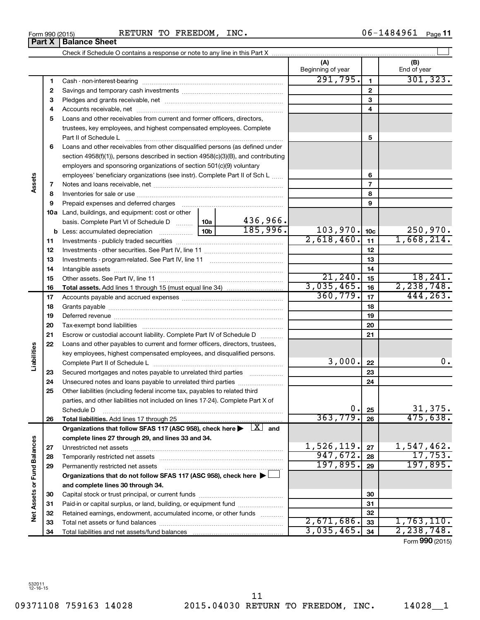**Assets**

**Liabilities**

**Net Assets or Fund Balances**

Net Assets or Fund Balances

|    |                                                                                                                                |                 |          | (A)<br>Beginning of year |                 | (B)<br>End of year  |
|----|--------------------------------------------------------------------------------------------------------------------------------|-----------------|----------|--------------------------|-----------------|---------------------|
| 1  |                                                                                                                                |                 |          | 291,795.                 | $\mathbf{1}$    | 301, 323.           |
| 2  |                                                                                                                                |                 |          |                          | $\overline{2}$  |                     |
| з  |                                                                                                                                |                 |          |                          | 3               |                     |
| 4  |                                                                                                                                |                 |          |                          | 4               |                     |
| 5  | Loans and other receivables from current and former officers, directors,                                                       |                 |          |                          |                 |                     |
|    | trustees, key employees, and highest compensated employees. Complete                                                           |                 |          |                          |                 |                     |
|    | Part II of Schedule Laterman and Contract in the Schedule Laterman and Contract in the Schedule Laterman and S                 |                 |          |                          | 5               |                     |
| 6  | Loans and other receivables from other disqualified persons (as defined under                                                  |                 |          |                          |                 |                     |
|    | section $4958(f)(1)$ , persons described in section $4958(c)(3)(B)$ , and contributing                                         |                 |          |                          |                 |                     |
|    | employers and sponsoring organizations of section 501(c)(9) voluntary                                                          |                 |          |                          |                 |                     |
|    | employees' beneficiary organizations (see instr). Complete Part II of Sch L                                                    |                 |          |                          | 6               |                     |
| 7  |                                                                                                                                |                 |          |                          | $\overline{7}$  |                     |
| 8  |                                                                                                                                |                 |          |                          | 8               |                     |
| 9  | Prepaid expenses and deferred charges                                                                                          |                 |          |                          | 9               |                     |
|    | <b>10a</b> Land, buildings, and equipment: cost or other                                                                       |                 |          |                          |                 |                     |
|    | basis. Complete Part VI of Schedule D  10a                                                                                     |                 | 436,966. |                          |                 |                     |
|    | <b>b</b> Less: accumulated depreciation <i>mimimimini</i>                                                                      | 10 <sub>b</sub> | 185,996. | 103,970.                 | 10 <sub>c</sub> | 250,970.            |
| 11 |                                                                                                                                |                 |          | 2,618,460.               | 11              | 1,668,214.          |
| 12 |                                                                                                                                |                 |          |                          | 12              |                     |
| 13 |                                                                                                                                |                 |          |                          | 13              |                     |
| 14 |                                                                                                                                |                 |          |                          | 14              |                     |
| 15 |                                                                                                                                |                 |          | 21, 240.                 | 15              | 18, 241.            |
| 16 |                                                                                                                                |                 |          | 3,035,465.               | 16              | 2, 238, 748.        |
| 17 |                                                                                                                                |                 |          | 360, 779.                | 17              | 444,263.            |
| 18 |                                                                                                                                |                 |          |                          | 18              |                     |
| 19 |                                                                                                                                |                 |          |                          | 19              |                     |
| 20 |                                                                                                                                |                 |          |                          | 20              |                     |
| 21 | Escrow or custodial account liability. Complete Part IV of Schedule D                                                          |                 |          |                          | 21              |                     |
| 22 | Loans and other payables to current and former officers, directors, trustees,                                                  |                 |          |                          |                 |                     |
|    | key employees, highest compensated employees, and disqualified persons.                                                        |                 |          |                          |                 |                     |
|    |                                                                                                                                |                 |          | 3,000.                   | 22              | 0.                  |
| 23 | Secured mortgages and notes payable to unrelated third parties                                                                 |                 |          |                          | 23              |                     |
| 24 | Unsecured notes and loans payable to unrelated third parties                                                                   |                 |          |                          | 24              |                     |
| 25 | Other liabilities (including federal income tax, payables to related third                                                     |                 |          |                          |                 |                     |
|    | parties, and other liabilities not included on lines 17-24). Complete Part X of                                                |                 |          | 0.                       |                 |                     |
|    | Schedule D                                                                                                                     |                 |          | 363,779.                 | 25              | 31,375.<br>475,638. |
| 26 | Total liabilities. Add lines 17 through 25                                                                                     |                 |          |                          | 26              |                     |
|    | Organizations that follow SFAS 117 (ASC 958), check here $\blacktriangleright \begin{array}{c} \boxed{X} \\ \end{array}$ and   |                 |          |                          |                 |                     |
|    | complete lines 27 through 29, and lines 33 and 34.                                                                             |                 |          | 1,526,119.               | 27              | 1,547,462.          |
| 27 |                                                                                                                                |                 |          | 947,672.                 | 28              | 17,753.             |
| 28 |                                                                                                                                |                 |          | 197,895.                 | 29              | 197,895.            |
| 29 | Permanently restricted net assets<br>Organizations that do not follow SFAS 117 (ASC 958), check here $\blacktriangleright\Box$ |                 |          |                          |                 |                     |
|    | and complete lines 30 through 34.                                                                                              |                 |          |                          |                 |                     |
| 30 |                                                                                                                                |                 |          |                          | 30              |                     |
| 31 | Paid-in or capital surplus, or land, building, or equipment fund                                                               |                 |          |                          | 31              |                     |
| 32 | Retained earnings, endowment, accumulated income, or other funds                                                               |                 |          |                          | 32              |                     |
| 33 |                                                                                                                                |                 |          | 2,671,686.               | 33              | 1,763,110.          |
| 34 |                                                                                                                                |                 |          | 3,035,465.               | 34              | 2,238,748.          |
|    |                                                                                                                                |                 |          |                          |                 |                     |

Form (2015) **990**

**Part X** | Balance Sheet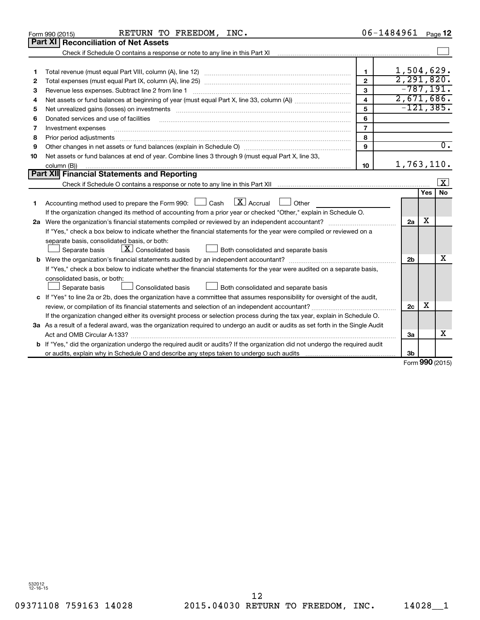|    | RETURN TO FREEDOM, INC.<br>Form 990 (2015)                                                                                                                                                                                     |                         | 06-1484961     |                     | Page 12             |
|----|--------------------------------------------------------------------------------------------------------------------------------------------------------------------------------------------------------------------------------|-------------------------|----------------|---------------------|---------------------|
|    | Part XI   Reconciliation of Net Assets                                                                                                                                                                                         |                         |                |                     |                     |
|    |                                                                                                                                                                                                                                |                         |                |                     |                     |
|    |                                                                                                                                                                                                                                |                         |                |                     |                     |
| 1  |                                                                                                                                                                                                                                | $\mathbf{1}$            | 1,504,629.     |                     |                     |
| 2  |                                                                                                                                                                                                                                | $\overline{2}$          | 2, 291, 820.   |                     |                     |
| З  | Revenue less expenses. Subtract line 2 from line 1                                                                                                                                                                             | 3                       | $-787, 191.$   |                     |                     |
| 4  |                                                                                                                                                                                                                                | $\overline{\mathbf{4}}$ | 2,671,686.     |                     |                     |
| 5  | Net unrealized gains (losses) on investments [11] matter than the control of the state of the state of the state of the state of the state of the state of the state of the state of the state of the state of the state of th | 5                       | $-121, 385.$   |                     |                     |
| 6  | Donated services and use of facilities                                                                                                                                                                                         | 6                       |                |                     |                     |
| 7  | Investment expenses                                                                                                                                                                                                            | $\overline{7}$          |                |                     |                     |
| 8  | Prior period adjustments                                                                                                                                                                                                       | 8                       |                |                     |                     |
| 9  |                                                                                                                                                                                                                                | 9                       |                |                     | $\overline{0}$ .    |
| 10 | Net assets or fund balances at end of year. Combine lines 3 through 9 (must equal Part X, line 33,                                                                                                                             |                         |                |                     |                     |
|    | column (B))                                                                                                                                                                                                                    | 10                      | 1,763,110.     |                     |                     |
|    | <b>Part XII Financial Statements and Reporting</b>                                                                                                                                                                             |                         |                |                     |                     |
|    |                                                                                                                                                                                                                                |                         |                |                     | $\lfloor x \rfloor$ |
|    |                                                                                                                                                                                                                                |                         |                | Yes                 | <b>No</b>           |
| 1  | $\boxed{\text{X}}$ Accrual<br>Accounting method used to prepare the Form 990: [130] Cash<br>$\Box$ Other                                                                                                                       |                         |                |                     |                     |
|    | If the organization changed its method of accounting from a prior year or checked "Other," explain in Schedule O.                                                                                                              |                         |                |                     |                     |
|    |                                                                                                                                                                                                                                |                         | 2a             | x                   |                     |
|    | If "Yes," check a box below to indicate whether the financial statements for the year were compiled or reviewed on a                                                                                                           |                         |                |                     |                     |
|    | separate basis, consolidated basis, or both:                                                                                                                                                                                   |                         |                |                     |                     |
|    | $\lfloor \mathbf{X} \rfloor$ Consolidated basis<br>Both consolidated and separate basis<br>Separate basis                                                                                                                      |                         |                |                     |                     |
|    |                                                                                                                                                                                                                                |                         | 2 <sub>b</sub> |                     | х                   |
|    | If "Yes," check a box below to indicate whether the financial statements for the year were audited on a separate basis,                                                                                                        |                         |                |                     |                     |
|    | consolidated basis, or both:                                                                                                                                                                                                   |                         |                |                     |                     |
|    | Separate basis<br>Consolidated basis<br>Both consolidated and separate basis                                                                                                                                                   |                         |                |                     |                     |
|    | c If "Yes" to line 2a or 2b, does the organization have a committee that assumes responsibility for oversight of the audit,                                                                                                    |                         |                |                     |                     |
|    | review, or compilation of its financial statements and selection of an independent accountant?                                                                                                                                 |                         | 2 <sub>c</sub> | x                   |                     |
|    | If the organization changed either its oversight process or selection process during the tax year, explain in Schedule O.                                                                                                      |                         |                |                     |                     |
|    | 3a As a result of a federal award, was the organization required to undergo an audit or audits as set forth in the Single Audit                                                                                                |                         |                |                     |                     |
|    | Act and OMB Circular A-133?                                                                                                                                                                                                    |                         | За             |                     | х                   |
|    | b If "Yes," did the organization undergo the required audit or audits? If the organization did not undergo the required audit                                                                                                  |                         |                |                     |                     |
|    |                                                                                                                                                                                                                                |                         | Зb             | $000 \, \text{GeV}$ |                     |
|    |                                                                                                                                                                                                                                |                         |                |                     |                     |

Form (2015) **990**

532012 12-16-15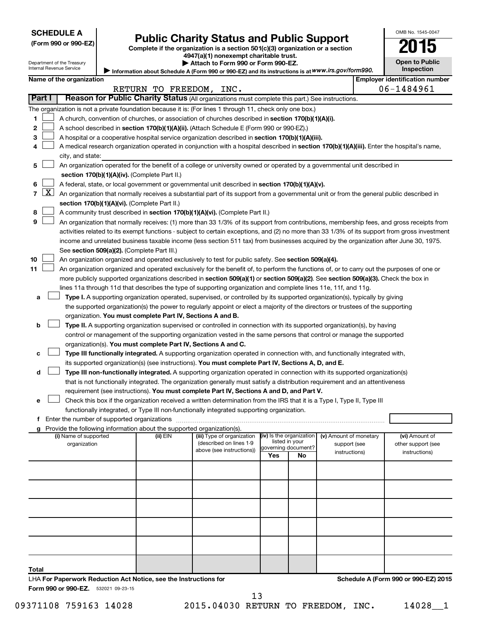### **SCHEDULE A**

Department of the Treasury Internal Revenue Service

| (Form 990 or 990-EZ) |  |  |  |
|----------------------|--|--|--|
|----------------------|--|--|--|

# **Public Charity Status and Public Support**<br> **Public Charity Status and Public Support**<br> **2015**

Complete if the organization is a section 501(c)(3) organization or a section

**4947(a)(1) nonexempt charitable trust. | Attach to Form 990 or Form 990-EZ.** 

| Attach to Form 990 or Form 990-EZ.                                                                |
|---------------------------------------------------------------------------------------------------|
| Information about Schedule A (Form 990 or 990-EZ) and its instructions is at WWW.irs.gov/form990. |

**Open to Public Inspection**

OMB No. 1545-0047

|  | Name of the organization |  |
|--|--------------------------|--|

|    |                     | Name of the organization                                                                                                                                                                                                       |                         |                                                       |                          |    |                                        | <b>Employer identification number</b> |
|----|---------------------|--------------------------------------------------------------------------------------------------------------------------------------------------------------------------------------------------------------------------------|-------------------------|-------------------------------------------------------|--------------------------|----|----------------------------------------|---------------------------------------|
|    |                     |                                                                                                                                                                                                                                | RETURN TO FREEDOM, INC. |                                                       |                          |    |                                        | 06-1484961                            |
|    | Part I              | Reason for Public Charity Status (All organizations must complete this part.) See instructions.                                                                                                                                |                         |                                                       |                          |    |                                        |                                       |
|    |                     | The organization is not a private foundation because it is: (For lines 1 through 11, check only one box.)                                                                                                                      |                         |                                                       |                          |    |                                        |                                       |
| 1  |                     | A church, convention of churches, or association of churches described in section 170(b)(1)(A)(i).                                                                                                                             |                         |                                                       |                          |    |                                        |                                       |
| 2  |                     | A school described in section 170(b)(1)(A)(ii). (Attach Schedule E (Form 990 or 990-EZ).)                                                                                                                                      |                         |                                                       |                          |    |                                        |                                       |
| з  |                     | A hospital or a cooperative hospital service organization described in section 170(b)(1)(A)(iii).                                                                                                                              |                         |                                                       |                          |    |                                        |                                       |
|    |                     | A medical research organization operated in conjunction with a hospital described in section 170(b)(1)(A)(iii). Enter the hospital's name,                                                                                     |                         |                                                       |                          |    |                                        |                                       |
|    |                     | city, and state:                                                                                                                                                                                                               |                         |                                                       |                          |    |                                        |                                       |
| 5  |                     | An organization operated for the benefit of a college or university owned or operated by a governmental unit described in                                                                                                      |                         |                                                       |                          |    |                                        |                                       |
|    |                     | section 170(b)(1)(A)(iv). (Complete Part II.)                                                                                                                                                                                  |                         |                                                       |                          |    |                                        |                                       |
|    |                     | A federal, state, or local government or governmental unit described in section 170(b)(1)(A)(v).                                                                                                                               |                         |                                                       |                          |    |                                        |                                       |
| 7  | $\lfloor x \rfloor$ | An organization that normally receives a substantial part of its support from a governmental unit or from the general public described in                                                                                      |                         |                                                       |                          |    |                                        |                                       |
|    |                     | section 170(b)(1)(A)(vi). (Complete Part II.)                                                                                                                                                                                  |                         |                                                       |                          |    |                                        |                                       |
| 8  |                     | A community trust described in section 170(b)(1)(A)(vi). (Complete Part II.)                                                                                                                                                   |                         |                                                       |                          |    |                                        |                                       |
| 9  |                     | An organization that normally receives: (1) more than 33 1/3% of its support from contributions, membership fees, and gross receipts from                                                                                      |                         |                                                       |                          |    |                                        |                                       |
|    |                     | activities related to its exempt functions - subject to certain exceptions, and (2) no more than 33 1/3% of its support from gross investment                                                                                  |                         |                                                       |                          |    |                                        |                                       |
|    |                     | income and unrelated business taxable income (less section 511 tax) from businesses acquired by the organization after June 30, 1975.                                                                                          |                         |                                                       |                          |    |                                        |                                       |
|    |                     | See section 509(a)(2). (Complete Part III.)                                                                                                                                                                                    |                         |                                                       |                          |    |                                        |                                       |
| 10 |                     | An organization organized and operated exclusively to test for public safety. See section 509(a)(4).                                                                                                                           |                         |                                                       |                          |    |                                        |                                       |
| 11 |                     | An organization organized and operated exclusively for the benefit of, to perform the functions of, or to carry out the purposes of one or                                                                                     |                         |                                                       |                          |    |                                        |                                       |
|    |                     | more publicly supported organizations described in section 509(a)(1) or section 509(a)(2). See section 509(a)(3). Check the box in                                                                                             |                         |                                                       |                          |    |                                        |                                       |
|    |                     | lines 11a through 11d that describes the type of supporting organization and complete lines 11e, 11f, and 11g.                                                                                                                 |                         |                                                       |                          |    |                                        |                                       |
| а  |                     | Type I. A supporting organization operated, supervised, or controlled by its supported organization(s), typically by giving                                                                                                    |                         |                                                       |                          |    |                                        |                                       |
|    |                     | the supported organization(s) the power to regularly appoint or elect a majority of the directors or trustees of the supporting                                                                                                |                         |                                                       |                          |    |                                        |                                       |
|    |                     | organization. You must complete Part IV, Sections A and B.                                                                                                                                                                     |                         |                                                       |                          |    |                                        |                                       |
| b  |                     | Type II. A supporting organization supervised or controlled in connection with its supported organization(s), by having                                                                                                        |                         |                                                       |                          |    |                                        |                                       |
|    |                     | control or management of the supporting organization vested in the same persons that control or manage the supported                                                                                                           |                         |                                                       |                          |    |                                        |                                       |
|    |                     | organization(s). You must complete Part IV, Sections A and C.                                                                                                                                                                  |                         |                                                       |                          |    |                                        |                                       |
| с  |                     | Type III functionally integrated. A supporting organization operated in connection with, and functionally integrated with,                                                                                                     |                         |                                                       |                          |    |                                        |                                       |
|    |                     | its supported organization(s) (see instructions). You must complete Part IV, Sections A, D, and E.                                                                                                                             |                         |                                                       |                          |    |                                        |                                       |
| d  |                     | Type III non-functionally integrated. A supporting organization operated in connection with its supported organization(s)                                                                                                      |                         |                                                       |                          |    |                                        |                                       |
|    |                     | that is not functionally integrated. The organization generally must satisfy a distribution requirement and an attentiveness                                                                                                   |                         |                                                       |                          |    |                                        |                                       |
|    |                     | requirement (see instructions). You must complete Part IV, Sections A and D, and Part V.                                                                                                                                       |                         |                                                       |                          |    |                                        |                                       |
| е  |                     | Check this box if the organization received a written determination from the IRS that it is a Type I, Type II, Type III                                                                                                        |                         |                                                       |                          |    |                                        |                                       |
|    |                     | functionally integrated, or Type III non-functionally integrated supporting organization.                                                                                                                                      |                         |                                                       |                          |    |                                        |                                       |
|    |                     | f Enter the number of supported organizations [111] continuum material contracts and a set of supported organizations [11] continuum material contracts and the number of supported organizations [11] contracts and the numbe |                         |                                                       |                          |    |                                        |                                       |
|    |                     | <b>g</b> Provide the following information about the supported organization(s).                                                                                                                                                |                         |                                                       | (iv) Is the organization |    |                                        |                                       |
|    |                     | (i) Name of supported<br>organization                                                                                                                                                                                          | (ii) EIN                | (iii) Type of organization<br>(described on lines 1-9 | listed in your           |    | (v) Amount of monetary<br>support (see | (vi) Amount of<br>other support (see  |
|    |                     |                                                                                                                                                                                                                                |                         | above (see instructions))                             | governing document?      |    | instructions)                          | instructions)                         |
|    |                     |                                                                                                                                                                                                                                |                         |                                                       | Yes                      | No |                                        |                                       |
|    |                     |                                                                                                                                                                                                                                |                         |                                                       |                          |    |                                        |                                       |
|    |                     |                                                                                                                                                                                                                                |                         |                                                       |                          |    |                                        |                                       |
|    |                     |                                                                                                                                                                                                                                |                         |                                                       |                          |    |                                        |                                       |

**Total** LHA **For Paperwork Reduction Act Notice, see the Instructions for** 

**Schedule A (Form 990 or 990-EZ) 2015**

Form 990 or 990-EZ. 532021 09-23-15

09371108 759163 14028 2015.04030 RETURN TO FREEDOM, INC. 14028\_1

13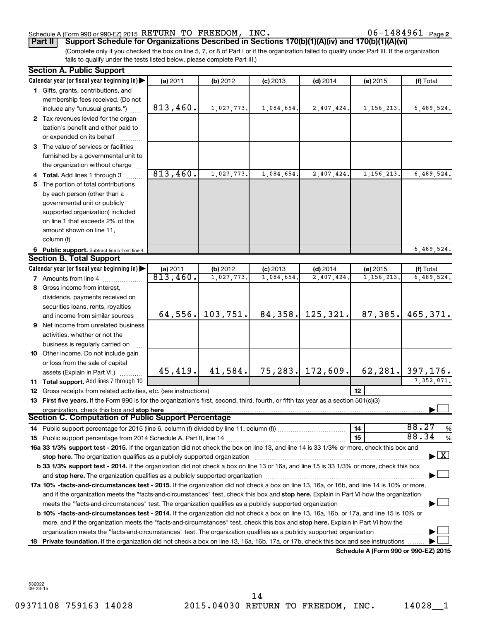#### Schedule A (Form 990 or 990-EZ) 2015 RETURN TO FREEDOM, INC.  $06-1484961$  Page

06-1484961 Page 2

(Complete only if you checked the box on line 5, 7, or 8 of Part I or if the organization failed to qualify under Part III. If the organization fails to qualify under the tests listed below, please complete Part III.) **Part II Support Schedule for Organizations Described in Sections 170(b)(1)(A)(iv) and 170(b)(1)(A)(vi)**

|    | <b>Section A. Public Support</b>                                                                                                                                                                                               |                         |            |            |                       |                                      |                                          |
|----|--------------------------------------------------------------------------------------------------------------------------------------------------------------------------------------------------------------------------------|-------------------------|------------|------------|-----------------------|--------------------------------------|------------------------------------------|
|    | Calendar year (or fiscal year beginning in)                                                                                                                                                                                    | (a) 2011                | (b) 2012   | $(c)$ 2013 | $(d)$ 2014            | (e) 2015                             | (f) Total                                |
|    | 1 Gifts, grants, contributions, and                                                                                                                                                                                            |                         |            |            |                       |                                      |                                          |
|    | membership fees received. (Do not                                                                                                                                                                                              |                         |            |            |                       |                                      |                                          |
|    | include any "unusual grants.")                                                                                                                                                                                                 | 813,460.                | 1,027,773. | 1,084,654. | 2,407,424.            | 1, 156, 213.                         | 6,489,524.                               |
|    | 2 Tax revenues levied for the organ-                                                                                                                                                                                           |                         |            |            |                       |                                      |                                          |
|    | ization's benefit and either paid to                                                                                                                                                                                           |                         |            |            |                       |                                      |                                          |
|    | or expended on its behalf                                                                                                                                                                                                      |                         |            |            |                       |                                      |                                          |
|    | 3 The value of services or facilities                                                                                                                                                                                          |                         |            |            |                       |                                      |                                          |
|    | furnished by a governmental unit to                                                                                                                                                                                            |                         |            |            |                       |                                      |                                          |
|    | the organization without charge                                                                                                                                                                                                |                         |            |            |                       |                                      |                                          |
|    | 4 Total. Add lines 1 through 3                                                                                                                                                                                                 | 813,460.                | 1,027,773. | 1,084,654. | 2,407,424.            | 1, 156, 213.                         | 6,489,524.                               |
| 5  | The portion of total contributions                                                                                                                                                                                             |                         |            |            |                       |                                      |                                          |
|    | by each person (other than a                                                                                                                                                                                                   |                         |            |            |                       |                                      |                                          |
|    | governmental unit or publicly                                                                                                                                                                                                  |                         |            |            |                       |                                      |                                          |
|    | supported organization) included                                                                                                                                                                                               |                         |            |            |                       |                                      |                                          |
|    | on line 1 that exceeds 2% of the                                                                                                                                                                                               |                         |            |            |                       |                                      |                                          |
|    | amount shown on line 11,                                                                                                                                                                                                       |                         |            |            |                       |                                      |                                          |
|    | column (f)                                                                                                                                                                                                                     |                         |            |            |                       |                                      |                                          |
|    | 6 Public support. Subtract line 5 from line 4.                                                                                                                                                                                 |                         |            |            |                       |                                      | 6,489,524.                               |
|    | <b>Section B. Total Support</b>                                                                                                                                                                                                |                         |            |            |                       |                                      |                                          |
|    | Calendar year (or fiscal year beginning in)                                                                                                                                                                                    |                         | (b) 2012   | $(c)$ 2013 | $(d)$ 2014            | (e) 2015                             | (f) Total                                |
|    | 7 Amounts from line 4                                                                                                                                                                                                          | (a) $2011$<br>813, 460. | 1,027,773. | 1,084,654  | 2,407,424.            | 1, 156, 213.                         | 6,489,524.                               |
|    | 8 Gross income from interest,                                                                                                                                                                                                  |                         |            |            |                       |                                      |                                          |
|    | dividends, payments received on                                                                                                                                                                                                |                         |            |            |                       |                                      |                                          |
|    | securities loans, rents, royalties                                                                                                                                                                                             |                         |            |            |                       |                                      |                                          |
|    | and income from similar sources                                                                                                                                                                                                | 64, 556.                | 103, 751.  |            | $84, 358$ . 125, 321. | 87,385.                              | 465,371.                                 |
| 9  | Net income from unrelated business                                                                                                                                                                                             |                         |            |            |                       |                                      |                                          |
|    | activities, whether or not the                                                                                                                                                                                                 |                         |            |            |                       |                                      |                                          |
|    | business is regularly carried on                                                                                                                                                                                               |                         |            |            |                       |                                      |                                          |
|    | 10 Other income. Do not include gain                                                                                                                                                                                           |                         |            |            |                       |                                      |                                          |
|    | or loss from the sale of capital                                                                                                                                                                                               |                         |            |            |                       |                                      |                                          |
|    | assets (Explain in Part VI.)                                                                                                                                                                                                   | 45, 419.                | 41,584.    |            | $75, 283$ . 172,609.  |                                      | $62, 281.$ 397, 176.                     |
|    | 11 Total support. Add lines 7 through 10                                                                                                                                                                                       |                         |            |            |                       |                                      | 7,352,071.                               |
|    | 12 Gross receipts from related activities, etc. (see instructions)                                                                                                                                                             |                         |            |            |                       | 12 <sup>2</sup>                      |                                          |
|    | 13 First five years. If the Form 990 is for the organization's first, second, third, fourth, or fifth tax year as a section 501(c)(3)                                                                                          |                         |            |            |                       |                                      |                                          |
|    | organization, check this box and stop here                                                                                                                                                                                     |                         |            |            |                       |                                      |                                          |
|    | Section C. Computation of Public Support Percentage                                                                                                                                                                            |                         |            |            |                       |                                      |                                          |
|    |                                                                                                                                                                                                                                |                         |            |            |                       | 14                                   | 88.27<br>%                               |
|    |                                                                                                                                                                                                                                |                         |            |            |                       | 15                                   | 88.34<br>%                               |
|    | 16a 33 1/3% support test - 2015. If the organization did not check the box on line 13, and line 14 is 33 1/3% or more, check this box and                                                                                      |                         |            |            |                       |                                      |                                          |
|    |                                                                                                                                                                                                                                |                         |            |            |                       |                                      | $\blacktriangleright$ $\boxed{\text{X}}$ |
|    | <b>b 33 1/3% support test - 2014.</b> If the organization did not check a box on line 13 or 16a, and line 15 is 33 1/3% or more, check this box                                                                                |                         |            |            |                       |                                      |                                          |
|    | and stop here. The organization qualifies as a publicly supported organization [11] manuscription manuscription manuscription manuscription manuscription manuscription and starting and starting and starting and starting an |                         |            |            |                       |                                      |                                          |
|    | 17a 10% -facts-and-circumstances test - 2015. If the organization did not check a box on line 13, 16a, or 16b, and line 14 is 10% or more,                                                                                     |                         |            |            |                       |                                      |                                          |
|    | and if the organization meets the "facts-and-circumstances" test, check this box and stop here. Explain in Part VI how the organization                                                                                        |                         |            |            |                       |                                      |                                          |
|    |                                                                                                                                                                                                                                |                         |            |            |                       |                                      |                                          |
|    | <b>b 10%</b> -facts-and-circumstances test - 2014. If the organization did not check a box on line 13, 16a, 16b, or 17a, and line 15 is 10% or                                                                                 |                         |            |            |                       |                                      |                                          |
|    | more, and if the organization meets the "facts-and-circumstances" test, check this box and stop here. Explain in Part VI how the                                                                                               |                         |            |            |                       |                                      |                                          |
|    | organization meets the "facts-and-circumstances" test. The organization qualifies as a publicly supported organization                                                                                                         |                         |            |            |                       |                                      |                                          |
| 18 | Private foundation. If the organization did not check a box on line 13, 16a, 16b, 17a, or 17b, check this box and see instructions                                                                                             |                         |            |            |                       |                                      |                                          |
|    |                                                                                                                                                                                                                                |                         |            |            |                       | Schedule A (Form 990 or 990-EZ) 2015 |                                          |

532022 09-23-15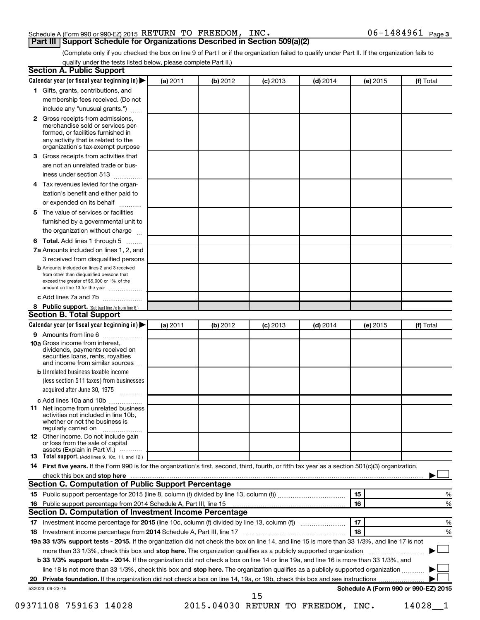#### Schedule A (Form 990 or 990-EZ) 2015 RETURN TO FREEDOM, INC.  $06-1484961$  Page

06-1484961 Page 3

(Complete only if you checked the box on line 9 of Part I or if the organization failed to qualify under Part II. If the organization fails to qualify under the tests listed below, please complete Part II.)

| 1 Gifts, grants, contributions, and<br>membership fees received. (Do not<br>include any "unusual grants.")<br>2 Gross receipts from admissions,<br>merchandise sold or services per-<br>formed, or facilities furnished in<br>any activity that is related to the<br>organization's tax-exempt purpose<br>Gross receipts from activities that<br>are not an unrelated trade or bus-<br>iness under section 513<br>Tax revenues levied for the organ-<br>ization's benefit and either paid to<br>or expended on its behalf<br>.<br>The value of services or facilities<br>furnished by a governmental unit to<br>the organization without charge<br>Total. Add lines 1 through 5<br>7a Amounts included on lines 1, 2, and<br>3 received from disqualified persons<br><b>b</b> Amounts included on lines 2 and 3 received<br>from other than disqualified persons that<br>exceed the greater of \$5,000 or 1% of the<br>amount on line 13 for the year |                                                                                                                                                                             |                       |                                                     |                                                              |                      |                                                                                                                                                                                                                                                                                                                                                                                                                                                                                                                                                                                                                                                                                                                                                                                                         |
|-------------------------------------------------------------------------------------------------------------------------------------------------------------------------------------------------------------------------------------------------------------------------------------------------------------------------------------------------------------------------------------------------------------------------------------------------------------------------------------------------------------------------------------------------------------------------------------------------------------------------------------------------------------------------------------------------------------------------------------------------------------------------------------------------------------------------------------------------------------------------------------------------------------------------------------------------------|-----------------------------------------------------------------------------------------------------------------------------------------------------------------------------|-----------------------|-----------------------------------------------------|--------------------------------------------------------------|----------------------|---------------------------------------------------------------------------------------------------------------------------------------------------------------------------------------------------------------------------------------------------------------------------------------------------------------------------------------------------------------------------------------------------------------------------------------------------------------------------------------------------------------------------------------------------------------------------------------------------------------------------------------------------------------------------------------------------------------------------------------------------------------------------------------------------------|
|                                                                                                                                                                                                                                                                                                                                                                                                                                                                                                                                                                                                                                                                                                                                                                                                                                                                                                                                                       |                                                                                                                                                                             |                       |                                                     |                                                              |                      |                                                                                                                                                                                                                                                                                                                                                                                                                                                                                                                                                                                                                                                                                                                                                                                                         |
|                                                                                                                                                                                                                                                                                                                                                                                                                                                                                                                                                                                                                                                                                                                                                                                                                                                                                                                                                       |                                                                                                                                                                             |                       |                                                     |                                                              |                      |                                                                                                                                                                                                                                                                                                                                                                                                                                                                                                                                                                                                                                                                                                                                                                                                         |
|                                                                                                                                                                                                                                                                                                                                                                                                                                                                                                                                                                                                                                                                                                                                                                                                                                                                                                                                                       |                                                                                                                                                                             |                       |                                                     |                                                              |                      |                                                                                                                                                                                                                                                                                                                                                                                                                                                                                                                                                                                                                                                                                                                                                                                                         |
|                                                                                                                                                                                                                                                                                                                                                                                                                                                                                                                                                                                                                                                                                                                                                                                                                                                                                                                                                       |                                                                                                                                                                             |                       |                                                     |                                                              |                      |                                                                                                                                                                                                                                                                                                                                                                                                                                                                                                                                                                                                                                                                                                                                                                                                         |
|                                                                                                                                                                                                                                                                                                                                                                                                                                                                                                                                                                                                                                                                                                                                                                                                                                                                                                                                                       |                                                                                                                                                                             |                       |                                                     |                                                              |                      |                                                                                                                                                                                                                                                                                                                                                                                                                                                                                                                                                                                                                                                                                                                                                                                                         |
|                                                                                                                                                                                                                                                                                                                                                                                                                                                                                                                                                                                                                                                                                                                                                                                                                                                                                                                                                       |                                                                                                                                                                             |                       |                                                     |                                                              |                      |                                                                                                                                                                                                                                                                                                                                                                                                                                                                                                                                                                                                                                                                                                                                                                                                         |
|                                                                                                                                                                                                                                                                                                                                                                                                                                                                                                                                                                                                                                                                                                                                                                                                                                                                                                                                                       |                                                                                                                                                                             |                       |                                                     |                                                              |                      |                                                                                                                                                                                                                                                                                                                                                                                                                                                                                                                                                                                                                                                                                                                                                                                                         |
|                                                                                                                                                                                                                                                                                                                                                                                                                                                                                                                                                                                                                                                                                                                                                                                                                                                                                                                                                       |                                                                                                                                                                             |                       |                                                     |                                                              |                      |                                                                                                                                                                                                                                                                                                                                                                                                                                                                                                                                                                                                                                                                                                                                                                                                         |
|                                                                                                                                                                                                                                                                                                                                                                                                                                                                                                                                                                                                                                                                                                                                                                                                                                                                                                                                                       |                                                                                                                                                                             |                       |                                                     |                                                              |                      |                                                                                                                                                                                                                                                                                                                                                                                                                                                                                                                                                                                                                                                                                                                                                                                                         |
|                                                                                                                                                                                                                                                                                                                                                                                                                                                                                                                                                                                                                                                                                                                                                                                                                                                                                                                                                       |                                                                                                                                                                             |                       |                                                     |                                                              |                      |                                                                                                                                                                                                                                                                                                                                                                                                                                                                                                                                                                                                                                                                                                                                                                                                         |
|                                                                                                                                                                                                                                                                                                                                                                                                                                                                                                                                                                                                                                                                                                                                                                                                                                                                                                                                                       |                                                                                                                                                                             |                       |                                                     |                                                              |                      |                                                                                                                                                                                                                                                                                                                                                                                                                                                                                                                                                                                                                                                                                                                                                                                                         |
|                                                                                                                                                                                                                                                                                                                                                                                                                                                                                                                                                                                                                                                                                                                                                                                                                                                                                                                                                       |                                                                                                                                                                             |                       |                                                     |                                                              |                      |                                                                                                                                                                                                                                                                                                                                                                                                                                                                                                                                                                                                                                                                                                                                                                                                         |
|                                                                                                                                                                                                                                                                                                                                                                                                                                                                                                                                                                                                                                                                                                                                                                                                                                                                                                                                                       |                                                                                                                                                                             |                       |                                                     |                                                              |                      |                                                                                                                                                                                                                                                                                                                                                                                                                                                                                                                                                                                                                                                                                                                                                                                                         |
|                                                                                                                                                                                                                                                                                                                                                                                                                                                                                                                                                                                                                                                                                                                                                                                                                                                                                                                                                       |                                                                                                                                                                             |                       |                                                     |                                                              |                      |                                                                                                                                                                                                                                                                                                                                                                                                                                                                                                                                                                                                                                                                                                                                                                                                         |
|                                                                                                                                                                                                                                                                                                                                                                                                                                                                                                                                                                                                                                                                                                                                                                                                                                                                                                                                                       |                                                                                                                                                                             |                       |                                                     |                                                              |                      |                                                                                                                                                                                                                                                                                                                                                                                                                                                                                                                                                                                                                                                                                                                                                                                                         |
|                                                                                                                                                                                                                                                                                                                                                                                                                                                                                                                                                                                                                                                                                                                                                                                                                                                                                                                                                       |                                                                                                                                                                             |                       |                                                     |                                                              |                      |                                                                                                                                                                                                                                                                                                                                                                                                                                                                                                                                                                                                                                                                                                                                                                                                         |
| c Add lines 7a and 7b                                                                                                                                                                                                                                                                                                                                                                                                                                                                                                                                                                                                                                                                                                                                                                                                                                                                                                                                 |                                                                                                                                                                             |                       |                                                     |                                                              |                      |                                                                                                                                                                                                                                                                                                                                                                                                                                                                                                                                                                                                                                                                                                                                                                                                         |
| 8 Public support. (Subtract line 7c from line 6.)                                                                                                                                                                                                                                                                                                                                                                                                                                                                                                                                                                                                                                                                                                                                                                                                                                                                                                     |                                                                                                                                                                             |                       |                                                     |                                                              |                      |                                                                                                                                                                                                                                                                                                                                                                                                                                                                                                                                                                                                                                                                                                                                                                                                         |
| <b>Section B. Total Support</b>                                                                                                                                                                                                                                                                                                                                                                                                                                                                                                                                                                                                                                                                                                                                                                                                                                                                                                                       |                                                                                                                                                                             |                       |                                                     |                                                              |                      |                                                                                                                                                                                                                                                                                                                                                                                                                                                                                                                                                                                                                                                                                                                                                                                                         |
| Calendar year (or fiscal year beginning in)                                                                                                                                                                                                                                                                                                                                                                                                                                                                                                                                                                                                                                                                                                                                                                                                                                                                                                           | (a) 2011                                                                                                                                                                    | (b) 2012              | $(c)$ 2013                                          | $(d)$ 2014                                                   | (e) 2015             | (f) Total                                                                                                                                                                                                                                                                                                                                                                                                                                                                                                                                                                                                                                                                                                                                                                                               |
| 9 Amounts from line 6                                                                                                                                                                                                                                                                                                                                                                                                                                                                                                                                                                                                                                                                                                                                                                                                                                                                                                                                 |                                                                                                                                                                             |                       |                                                     |                                                              |                      |                                                                                                                                                                                                                                                                                                                                                                                                                                                                                                                                                                                                                                                                                                                                                                                                         |
| <b>10a</b> Gross income from interest,<br>dividends, payments received on<br>securities loans, rents, royalties<br>and income from similar sources                                                                                                                                                                                                                                                                                                                                                                                                                                                                                                                                                                                                                                                                                                                                                                                                    |                                                                                                                                                                             |                       |                                                     |                                                              |                      |                                                                                                                                                                                                                                                                                                                                                                                                                                                                                                                                                                                                                                                                                                                                                                                                         |
| <b>b</b> Unrelated business taxable income                                                                                                                                                                                                                                                                                                                                                                                                                                                                                                                                                                                                                                                                                                                                                                                                                                                                                                            |                                                                                                                                                                             |                       |                                                     |                                                              |                      |                                                                                                                                                                                                                                                                                                                                                                                                                                                                                                                                                                                                                                                                                                                                                                                                         |
| (less section 511 taxes) from businesses                                                                                                                                                                                                                                                                                                                                                                                                                                                                                                                                                                                                                                                                                                                                                                                                                                                                                                              |                                                                                                                                                                             |                       |                                                     |                                                              |                      |                                                                                                                                                                                                                                                                                                                                                                                                                                                                                                                                                                                                                                                                                                                                                                                                         |
|                                                                                                                                                                                                                                                                                                                                                                                                                                                                                                                                                                                                                                                                                                                                                                                                                                                                                                                                                       |                                                                                                                                                                             |                       |                                                     |                                                              |                      |                                                                                                                                                                                                                                                                                                                                                                                                                                                                                                                                                                                                                                                                                                                                                                                                         |
| Net income from unrelated business<br>activities not included in line 10b.<br>whether or not the business is                                                                                                                                                                                                                                                                                                                                                                                                                                                                                                                                                                                                                                                                                                                                                                                                                                          |                                                                                                                                                                             |                       |                                                     |                                                              |                      |                                                                                                                                                                                                                                                                                                                                                                                                                                                                                                                                                                                                                                                                                                                                                                                                         |
| <b>12</b> Other income. Do not include gain<br>or loss from the sale of capital                                                                                                                                                                                                                                                                                                                                                                                                                                                                                                                                                                                                                                                                                                                                                                                                                                                                       |                                                                                                                                                                             |                       |                                                     |                                                              |                      |                                                                                                                                                                                                                                                                                                                                                                                                                                                                                                                                                                                                                                                                                                                                                                                                         |
|                                                                                                                                                                                                                                                                                                                                                                                                                                                                                                                                                                                                                                                                                                                                                                                                                                                                                                                                                       |                                                                                                                                                                             |                       |                                                     |                                                              |                      |                                                                                                                                                                                                                                                                                                                                                                                                                                                                                                                                                                                                                                                                                                                                                                                                         |
|                                                                                                                                                                                                                                                                                                                                                                                                                                                                                                                                                                                                                                                                                                                                                                                                                                                                                                                                                       |                                                                                                                                                                             |                       |                                                     |                                                              |                      |                                                                                                                                                                                                                                                                                                                                                                                                                                                                                                                                                                                                                                                                                                                                                                                                         |
|                                                                                                                                                                                                                                                                                                                                                                                                                                                                                                                                                                                                                                                                                                                                                                                                                                                                                                                                                       |                                                                                                                                                                             |                       |                                                     |                                                              |                      |                                                                                                                                                                                                                                                                                                                                                                                                                                                                                                                                                                                                                                                                                                                                                                                                         |
|                                                                                                                                                                                                                                                                                                                                                                                                                                                                                                                                                                                                                                                                                                                                                                                                                                                                                                                                                       |                                                                                                                                                                             |                       |                                                     |                                                              |                      |                                                                                                                                                                                                                                                                                                                                                                                                                                                                                                                                                                                                                                                                                                                                                                                                         |
|                                                                                                                                                                                                                                                                                                                                                                                                                                                                                                                                                                                                                                                                                                                                                                                                                                                                                                                                                       |                                                                                                                                                                             |                       |                                                     |                                                              |                      | %                                                                                                                                                                                                                                                                                                                                                                                                                                                                                                                                                                                                                                                                                                                                                                                                       |
|                                                                                                                                                                                                                                                                                                                                                                                                                                                                                                                                                                                                                                                                                                                                                                                                                                                                                                                                                       |                                                                                                                                                                             |                       |                                                     |                                                              |                      | %                                                                                                                                                                                                                                                                                                                                                                                                                                                                                                                                                                                                                                                                                                                                                                                                       |
|                                                                                                                                                                                                                                                                                                                                                                                                                                                                                                                                                                                                                                                                                                                                                                                                                                                                                                                                                       |                                                                                                                                                                             |                       |                                                     |                                                              |                      |                                                                                                                                                                                                                                                                                                                                                                                                                                                                                                                                                                                                                                                                                                                                                                                                         |
|                                                                                                                                                                                                                                                                                                                                                                                                                                                                                                                                                                                                                                                                                                                                                                                                                                                                                                                                                       |                                                                                                                                                                             |                       |                                                     |                                                              |                      | %                                                                                                                                                                                                                                                                                                                                                                                                                                                                                                                                                                                                                                                                                                                                                                                                       |
|                                                                                                                                                                                                                                                                                                                                                                                                                                                                                                                                                                                                                                                                                                                                                                                                                                                                                                                                                       |                                                                                                                                                                             |                       |                                                     |                                                              |                      |                                                                                                                                                                                                                                                                                                                                                                                                                                                                                                                                                                                                                                                                                                                                                                                                         |
|                                                                                                                                                                                                                                                                                                                                                                                                                                                                                                                                                                                                                                                                                                                                                                                                                                                                                                                                                       |                                                                                                                                                                             |                       |                                                     |                                                              |                      | %                                                                                                                                                                                                                                                                                                                                                                                                                                                                                                                                                                                                                                                                                                                                                                                                       |
|                                                                                                                                                                                                                                                                                                                                                                                                                                                                                                                                                                                                                                                                                                                                                                                                                                                                                                                                                       |                                                                                                                                                                             |                       |                                                     |                                                              |                      |                                                                                                                                                                                                                                                                                                                                                                                                                                                                                                                                                                                                                                                                                                                                                                                                         |
|                                                                                                                                                                                                                                                                                                                                                                                                                                                                                                                                                                                                                                                                                                                                                                                                                                                                                                                                                       |                                                                                                                                                                             |                       |                                                     |                                                              |                      |                                                                                                                                                                                                                                                                                                                                                                                                                                                                                                                                                                                                                                                                                                                                                                                                         |
|                                                                                                                                                                                                                                                                                                                                                                                                                                                                                                                                                                                                                                                                                                                                                                                                                                                                                                                                                       |                                                                                                                                                                             |                       |                                                     |                                                              |                      |                                                                                                                                                                                                                                                                                                                                                                                                                                                                                                                                                                                                                                                                                                                                                                                                         |
|                                                                                                                                                                                                                                                                                                                                                                                                                                                                                                                                                                                                                                                                                                                                                                                                                                                                                                                                                       |                                                                                                                                                                             |                       |                                                     |                                                              |                      |                                                                                                                                                                                                                                                                                                                                                                                                                                                                                                                                                                                                                                                                                                                                                                                                         |
|                                                                                                                                                                                                                                                                                                                                                                                                                                                                                                                                                                                                                                                                                                                                                                                                                                                                                                                                                       |                                                                                                                                                                             |                       |                                                     |                                                              |                      |                                                                                                                                                                                                                                                                                                                                                                                                                                                                                                                                                                                                                                                                                                                                                                                                         |
| 532023 09-23-15                                                                                                                                                                                                                                                                                                                                                                                                                                                                                                                                                                                                                                                                                                                                                                                                                                                                                                                                       |                                                                                                                                                                             |                       |                                                     |                                                              |                      |                                                                                                                                                                                                                                                                                                                                                                                                                                                                                                                                                                                                                                                                                                                                                                                                         |
|                                                                                                                                                                                                                                                                                                                                                                                                                                                                                                                                                                                                                                                                                                                                                                                                                                                                                                                                                       | acquired after June 30, 1975<br>c Add lines 10a and 10b<br>regularly carried on<br>assets (Explain in Part VI.)<br><b>13</b> Total support. (Add lines 9, 10c, 11, and 12.) | 09371108 759163 14028 | Section C. Computation of Public Support Percentage | Section D. Computation of Investment Income Percentage<br>15 | 15<br>16<br>17<br>18 | 14 First five years. If the Form 990 is for the organization's first, second, third, fourth, or fifth tax year as a section 501(c)(3) organization,<br>19a 33 1/3% support tests - 2015. If the organization did not check the box on line 14, and line 15 is more than 33 1/3%, and line 17 is not<br>more than 33 1/3%, check this box and stop here. The organization qualifies as a publicly supported organization <i>marroummanness</i><br>b 33 1/3% support tests - 2014. If the organization did not check a box on line 14 or line 19a, and line 16 is more than 33 1/3%, and<br>line 18 is not more than 33 1/3%, check this box and stop here. The organization qualifies as a publicly supported organization<br>Schedule A (Form 990 or 990-EZ) 2015<br>2015.04030 RETURN TO FREEDOM, INC. |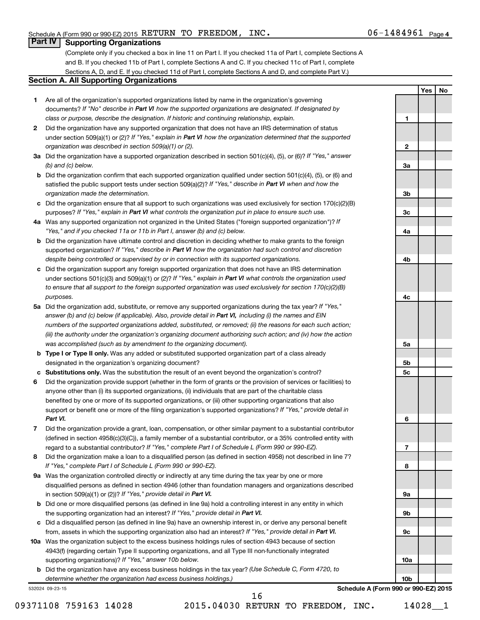**1**

**2**

**3a**

**3b**

**3c**

**4a**

**4b**

**4c**

**Yes No**

#### **Part IV Supporting Organizations**

(Complete only if you checked a box in line 11 on Part I. If you checked 11a of Part I, complete Sections A and B. If you checked 11b of Part I, complete Sections A and C. If you checked 11c of Part I, complete Sections A, D, and E. If you checked 11d of Part I, complete Sections A and D, and complete Part V.)

#### **Section A. All Supporting Organizations**

- **1** Are all of the organization's supported organizations listed by name in the organization's governing documents? If "No" describe in Part VI how the supported organizations are designated. If designated by *class or purpose, describe the designation. If historic and continuing relationship, explain.*
- **2** Did the organization have any supported organization that does not have an IRS determination of status under section 509(a)(1) or (2)? If "Yes," explain in Part VI how the organization determined that the supported *organization was described in section 509(a)(1) or (2).*
- **3a** Did the organization have a supported organization described in section 501(c)(4), (5), or (6)? If "Yes," answer *(b) and (c) below.*
- **b** Did the organization confirm that each supported organization qualified under section 501(c)(4), (5), or (6) and satisfied the public support tests under section 509(a)(2)? If "Yes," describe in Part VI when and how the *organization made the determination.*
- **c** Did the organization ensure that all support to such organizations was used exclusively for section 170(c)(2)(B) purposes? If "Yes," explain in Part VI what controls the organization put in place to ensure such use.
- **4 a** *If* Was any supported organization not organized in the United States ("foreign supported organization")? *"Yes," and if you checked 11a or 11b in Part I, answer (b) and (c) below.*
- **b** Did the organization have ultimate control and discretion in deciding whether to make grants to the foreign supported organization? If "Yes," describe in Part VI how the organization had such control and discretion *despite being controlled or supervised by or in connection with its supported organizations.*
- **c** Did the organization support any foreign supported organization that does not have an IRS determination under sections 501(c)(3) and 509(a)(1) or (2)? If "Yes," explain in Part VI what controls the organization used *to ensure that all support to the foreign supported organization was used exclusively for section 170(c)(2)(B) purposes.*
- **5a** Did the organization add, substitute, or remove any supported organizations during the tax year? If "Yes," answer (b) and (c) below (if applicable). Also, provide detail in Part VI, including (i) the names and EIN *numbers of the supported organizations added, substituted, or removed; (ii) the reasons for each such action; (iii) the authority under the organization's organizing document authorizing such action; and (iv) how the action was accomplished (such as by amendment to the organizing document).*
- **b** Type I or Type II only. Was any added or substituted supported organization part of a class already designated in the organization's organizing document?
- **c Substitutions only.**  Was the substitution the result of an event beyond the organization's control?
- **6** Did the organization provide support (whether in the form of grants or the provision of services or facilities) to support or benefit one or more of the filing organization's supported organizations? If "Yes," provide detail in anyone other than (i) its supported organizations, (ii) individuals that are part of the charitable class benefited by one or more of its supported organizations, or (iii) other supporting organizations that also *Part VI.*
- **7** Did the organization provide a grant, loan, compensation, or other similar payment to a substantial contributor regard to a substantial contributor? If "Yes," complete Part I of Schedule L (Form 990 or 990-EZ). (defined in section 4958(c)(3)(C)), a family member of a substantial contributor, or a 35% controlled entity with
- **8** Did the organization make a loan to a disqualified person (as defined in section 4958) not described in line 7? *If "Yes," complete Part I of Schedule L (Form 990 or 990-EZ).*
- **9 a** Was the organization controlled directly or indirectly at any time during the tax year by one or more in section 509(a)(1) or (2))? If "Yes," provide detail in Part VI. disqualified persons as defined in section 4946 (other than foundation managers and organizations described
- **b** Did one or more disqualified persons (as defined in line 9a) hold a controlling interest in any entity in which the supporting organization had an interest? If "Yes," provide detail in Part VI.
- **c** Did a disqualified person (as defined in line 9a) have an ownership interest in, or derive any personal benefit from, assets in which the supporting organization also had an interest? If "Yes," provide detail in Part VI.
- **10 a** Was the organization subject to the excess business holdings rules of section 4943 because of section supporting organizations)? If "Yes," answer 10b below. 4943(f) (regarding certain Type II supporting organizations, and all Type III non-functionally integrated
	- **b** Did the organization have any excess business holdings in the tax year? (Use Schedule C, Form 4720, to *determine whether the organization had excess business holdings.)*

532024 09-23-15

**5a 5b 5c 6 7 8 9a 9b 9c 10a 10b Schedule A (Form 990 or 990-EZ) 2015**

09371108 759163 14028 2015.04030 RETURN TO FREEDOM, INC. 14028 1

16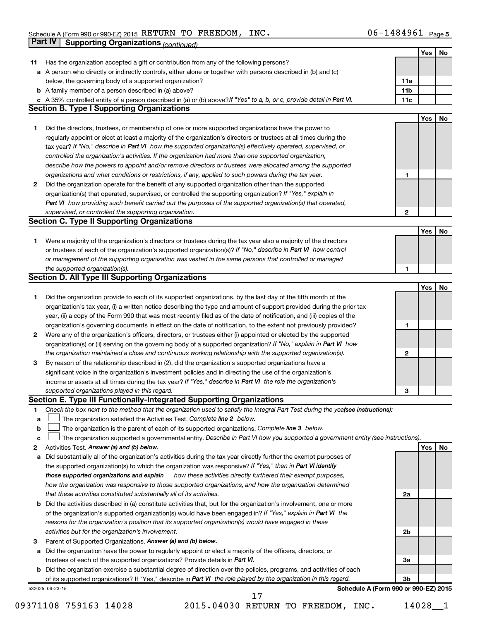|    | <b>Part IV</b>  | <b>Supporting Organizations (continued)</b>                                                                                                                                                                                          |                 |     |    |
|----|-----------------|--------------------------------------------------------------------------------------------------------------------------------------------------------------------------------------------------------------------------------------|-----------------|-----|----|
|    |                 |                                                                                                                                                                                                                                      |                 | Yes | No |
| 11 |                 | Has the organization accepted a gift or contribution from any of the following persons?                                                                                                                                              |                 |     |    |
| а  |                 | A person who directly or indirectly controls, either alone or together with persons described in (b) and (c)                                                                                                                         |                 |     |    |
|    |                 | below, the governing body of a supported organization?                                                                                                                                                                               | 11a             |     |    |
|    |                 | <b>b</b> A family member of a person described in (a) above?                                                                                                                                                                         | 11 <sub>b</sub> |     |    |
|    |                 | c A 35% controlled entity of a person described in (a) or (b) above? If "Yes" to a, b, or c, provide detail in Part VI.                                                                                                              | 11c             |     |    |
|    |                 | <b>Section B. Type I Supporting Organizations</b>                                                                                                                                                                                    |                 |     |    |
|    |                 |                                                                                                                                                                                                                                      |                 | Yes | No |
| 1. |                 | Did the directors, trustees, or membership of one or more supported organizations have the power to                                                                                                                                  |                 |     |    |
|    |                 | regularly appoint or elect at least a majority of the organization's directors or trustees at all times during the                                                                                                                   |                 |     |    |
|    |                 | tax year? If "No," describe in Part VI how the supported organization(s) effectively operated, supervised, or                                                                                                                        |                 |     |    |
|    |                 | controlled the organization's activities. If the organization had more than one supported organization,                                                                                                                              |                 |     |    |
|    |                 | describe how the powers to appoint and/or remove directors or trustees were allocated among the supported                                                                                                                            |                 |     |    |
|    |                 | organizations and what conditions or restrictions, if any, applied to such powers during the tax year.                                                                                                                               | 1               |     |    |
| 2  |                 | Did the organization operate for the benefit of any supported organization other than the supported                                                                                                                                  |                 |     |    |
|    |                 | organization(s) that operated, supervised, or controlled the supporting organization? If "Yes," explain in                                                                                                                           |                 |     |    |
|    |                 | Part VI how providing such benefit carried out the purposes of the supported organization(s) that operated,                                                                                                                          |                 |     |    |
|    |                 | supervised, or controlled the supporting organization.                                                                                                                                                                               | 2               |     |    |
|    |                 | <b>Section C. Type II Supporting Organizations</b>                                                                                                                                                                                   |                 |     |    |
|    |                 |                                                                                                                                                                                                                                      |                 | Yes | No |
| 1. |                 | Were a majority of the organization's directors or trustees during the tax year also a majority of the directors                                                                                                                     |                 |     |    |
|    |                 | or trustees of each of the organization's supported organization(s)? If "No," describe in Part VI how control                                                                                                                        |                 |     |    |
|    |                 | or management of the supporting organization was vested in the same persons that controlled or managed                                                                                                                               |                 |     |    |
|    |                 | the supported organization(s).                                                                                                                                                                                                       | 1               |     |    |
|    |                 | <b>Section D. All Type III Supporting Organizations</b>                                                                                                                                                                              |                 |     |    |
|    |                 |                                                                                                                                                                                                                                      |                 | Yes | No |
| 1  |                 | Did the organization provide to each of its supported organizations, by the last day of the fifth month of the                                                                                                                       |                 |     |    |
|    |                 | organization's tax year, (i) a written notice describing the type and amount of support provided during the prior tax                                                                                                                |                 |     |    |
|    |                 | year, (ii) a copy of the Form 990 that was most recently filed as of the date of notification, and (iii) copies of the                                                                                                               |                 |     |    |
|    |                 |                                                                                                                                                                                                                                      | 1               |     |    |
|    |                 | organization's governing documents in effect on the date of notification, to the extent not previously provided?<br>Were any of the organization's officers, directors, or trustees either (i) appointed or elected by the supported |                 |     |    |
| 2  |                 | organization(s) or (ii) serving on the governing body of a supported organization? If "No," explain in Part VI how                                                                                                                   |                 |     |    |
|    |                 | the organization maintained a close and continuous working relationship with the supported organization(s).                                                                                                                          | 2               |     |    |
| 3  |                 | By reason of the relationship described in (2), did the organization's supported organizations have a                                                                                                                                |                 |     |    |
|    |                 | significant voice in the organization's investment policies and in directing the use of the organization's                                                                                                                           |                 |     |    |
|    |                 | income or assets at all times during the tax year? If "Yes," describe in Part VI the role the organization's                                                                                                                         |                 |     |    |
|    |                 | supported organizations played in this regard.                                                                                                                                                                                       | з               |     |    |
|    |                 | Section E. Type III Functionally-Integrated Supporting Organizations                                                                                                                                                                 |                 |     |    |
| 1  |                 | Check the box next to the method that the organization used to satisfy the Integral Part Test during the yeafsee instructions):                                                                                                      |                 |     |    |
| a  |                 | The organization satisfied the Activities Test. Complete line 2 below.                                                                                                                                                               |                 |     |    |
| b  |                 | The organization is the parent of each of its supported organizations. Complete line 3 below.                                                                                                                                        |                 |     |    |
| c  |                 | The organization supported a governmental entity. Describe in Part VI how you supported a government entity (see instructions).                                                                                                      |                 |     |    |
| 2  |                 | Activities Test. Answer (a) and (b) below.                                                                                                                                                                                           |                 | Yes | No |
| а  |                 | Did substantially all of the organization's activities during the tax year directly further the exempt purposes of                                                                                                                   |                 |     |    |
|    |                 | the supported organization(s) to which the organization was responsive? If "Yes," then in Part VI identify                                                                                                                           |                 |     |    |
|    |                 | those supported organizations and explain<br>how these activities directly furthered their exempt purposes,                                                                                                                          |                 |     |    |
|    |                 | how the organization was responsive to those supported organizations, and how the organization determined                                                                                                                            |                 |     |    |
|    |                 | that these activities constituted substantially all of its activities.                                                                                                                                                               | 2a              |     |    |
| b  |                 | Did the activities described in (a) constitute activities that, but for the organization's involvement, one or more                                                                                                                  |                 |     |    |
|    |                 | of the organization's supported organization(s) would have been engaged in? If "Yes," explain in Part VI the                                                                                                                         |                 |     |    |
|    |                 | reasons for the organization's position that its supported organization(s) would have engaged in these                                                                                                                               |                 |     |    |
|    |                 | activities but for the organization's involvement.                                                                                                                                                                                   | 2b              |     |    |
| з  |                 | Parent of Supported Organizations. Answer (a) and (b) below.                                                                                                                                                                         |                 |     |    |
| а  |                 | Did the organization have the power to regularly appoint or elect a majority of the officers, directors, or                                                                                                                          |                 |     |    |
|    |                 | trustees of each of the supported organizations? Provide details in Part VI.                                                                                                                                                         | За              |     |    |
| b  |                 | Did the organization exercise a substantial degree of direction over the policies, programs, and activities of each                                                                                                                  |                 |     |    |
|    |                 | of its supported organizations? If "Yes," describe in Part VI the role played by the organization in this regard.                                                                                                                    | 3b              |     |    |
|    | 532025 09-23-15 | Schedule A (Form 990 or 990-EZ) 2015                                                                                                                                                                                                 |                 |     |    |

09371108 759163 14028 2015.04030 RETURN TO FREEDOM, INC. 14028\_1 17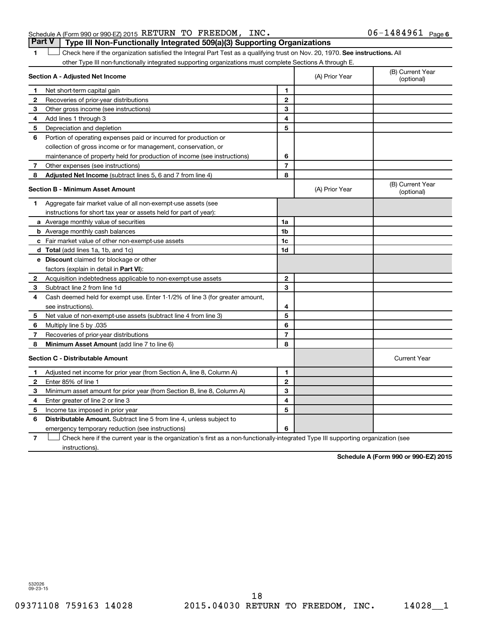#### Schedule A (Form 990 or 990-EZ) 2015 RETURN TO FREEDOM, INC.  $06-1484961$  Page **Part V Type III Non-Functionally Integrated 509(a)(3) Supporting Organizations**

1 **Letter on Reck here if the organization satisfied the Integral Part Test as a qualifying trust on Nov. 20, 1970. See instructions. All** other Type III non-functionally integrated supporting organizations must complete Sections A through E.

|              | Section A - Adjusted Net Income                                              |                | (A) Prior Year | (B) Current Year<br>(optional) |
|--------------|------------------------------------------------------------------------------|----------------|----------------|--------------------------------|
| 1            | Net short-term capital gain                                                  | 1              |                |                                |
| 2            | Recoveries of prior-year distributions                                       | $\mathbf{2}$   |                |                                |
| З            | Other gross income (see instructions)                                        | 3              |                |                                |
| 4            | Add lines 1 through 3                                                        | 4              |                |                                |
| 5            | Depreciation and depletion                                                   | 5              |                |                                |
| 6            | Portion of operating expenses paid or incurred for production or             |                |                |                                |
|              | collection of gross income or for management, conservation, or               |                |                |                                |
|              | maintenance of property held for production of income (see instructions)     | 6              |                |                                |
| 7            | Other expenses (see instructions)                                            | $\overline{7}$ |                |                                |
| 8            | <b>Adjusted Net Income</b> (subtract lines 5, 6 and 7 from line 4)           | 8              |                |                                |
|              | <b>Section B - Minimum Asset Amount</b>                                      |                | (A) Prior Year | (B) Current Year<br>(optional) |
| 1            | Aggregate fair market value of all non-exempt-use assets (see                |                |                |                                |
|              | instructions for short tax year or assets held for part of year):            |                |                |                                |
|              | a Average monthly value of securities                                        | 1a             |                |                                |
|              | <b>b</b> Average monthly cash balances                                       | 1b             |                |                                |
|              | c Fair market value of other non-exempt-use assets                           | 1c             |                |                                |
|              | <b>d</b> Total (add lines 1a, 1b, and 1c)                                    | 1d             |                |                                |
|              | e Discount claimed for blockage or other                                     |                |                |                                |
|              | factors (explain in detail in Part VI):                                      |                |                |                                |
| $\mathbf{2}$ | Acquisition indebtedness applicable to non-exempt-use assets                 | $\mathbf{2}$   |                |                                |
| З            | Subtract line 2 from line 1d                                                 | 3              |                |                                |
| 4            | Cash deemed held for exempt use. Enter 1-1/2% of line 3 (for greater amount, |                |                |                                |
|              | see instructions).                                                           | 4              |                |                                |
| 5            | Net value of non-exempt-use assets (subtract line 4 from line 3)             | 5              |                |                                |
| 6            | Multiply line 5 by .035                                                      | 6              |                |                                |
| 7            | Recoveries of prior-year distributions                                       | $\overline{7}$ |                |                                |
| 8            | Minimum Asset Amount (add line 7 to line 6)                                  | 8              |                |                                |
|              | <b>Section C - Distributable Amount</b>                                      |                |                | <b>Current Year</b>            |
| 1            | Adjusted net income for prior year (from Section A, line 8, Column A)        | 1              |                |                                |
| 2            | Enter 85% of line 1                                                          | $\mathbf{2}$   |                |                                |
| З            | Minimum asset amount for prior year (from Section B, line 8, Column A)       | 3              |                |                                |
| 4            | Enter greater of line 2 or line 3                                            | 4              |                |                                |
| 5            | Income tax imposed in prior year                                             | 5              |                |                                |
| 6            | Distributable Amount. Subtract line 5 from line 4, unless subject to         |                |                |                                |
|              | emergency temporary reduction (see instructions)                             | 6              |                |                                |
|              |                                                                              |                |                |                                |

**7** Check here if the current year is the organization's first as a non-functionally-integrated Type III supporting organization (see † instructions).

**Schedule A (Form 990 or 990-EZ) 2015**

532026 09-23-15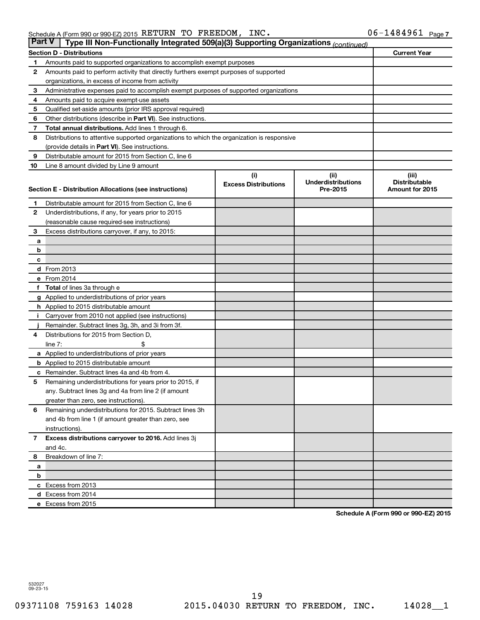| <b>Part V</b>  | Type III Non-Functionally Integrated 509(a)(3) Supporting Organizations (continued)         |                             |                                       |                                         |
|----------------|---------------------------------------------------------------------------------------------|-----------------------------|---------------------------------------|-----------------------------------------|
|                | <b>Section D - Distributions</b>                                                            |                             |                                       | <b>Current Year</b>                     |
| 1              | Amounts paid to supported organizations to accomplish exempt purposes                       |                             |                                       |                                         |
| $\mathbf{2}$   | Amounts paid to perform activity that directly furthers exempt purposes of supported        |                             |                                       |                                         |
|                | organizations, in excess of income from activity                                            |                             |                                       |                                         |
| 3              | Administrative expenses paid to accomplish exempt purposes of supported organizations       |                             |                                       |                                         |
| 4              | Amounts paid to acquire exempt-use assets                                                   |                             |                                       |                                         |
| 5              | Qualified set-aside amounts (prior IRS approval required)                                   |                             |                                       |                                         |
| 6              | Other distributions (describe in Part VI). See instructions.                                |                             |                                       |                                         |
| 7              | <b>Total annual distributions.</b> Add lines 1 through 6.                                   |                             |                                       |                                         |
| 8              | Distributions to attentive supported organizations to which the organization is responsive  |                             |                                       |                                         |
|                | (provide details in Part VI). See instructions.                                             |                             |                                       |                                         |
| 9              | Distributable amount for 2015 from Section C, line 6                                        |                             |                                       |                                         |
| 10             | Line 8 amount divided by Line 9 amount                                                      |                             |                                       |                                         |
|                |                                                                                             | (i)                         | (ii)                                  | (iii)                                   |
|                | Section E - Distribution Allocations (see instructions)                                     | <b>Excess Distributions</b> | <b>Underdistributions</b><br>Pre-2015 | <b>Distributable</b><br>Amount for 2015 |
|                |                                                                                             |                             |                                       |                                         |
| 1              | Distributable amount for 2015 from Section C, line 6                                        |                             |                                       |                                         |
| $\mathbf{2}$   | Underdistributions, if any, for years prior to 2015                                         |                             |                                       |                                         |
|                | (reasonable cause required-see instructions)                                                |                             |                                       |                                         |
| 3              | Excess distributions carryover, if any, to 2015:                                            |                             |                                       |                                         |
| а              |                                                                                             |                             |                                       |                                         |
| b              |                                                                                             |                             |                                       |                                         |
| с              |                                                                                             |                             |                                       |                                         |
|                | d From 2013                                                                                 |                             |                                       |                                         |
|                | e From 2014                                                                                 |                             |                                       |                                         |
|                | f Total of lines 3a through e                                                               |                             |                                       |                                         |
|                | <b>g</b> Applied to underdistributions of prior years                                       |                             |                                       |                                         |
|                | h Applied to 2015 distributable amount                                                      |                             |                                       |                                         |
| Ť.             | Carryover from 2010 not applied (see instructions)                                          |                             |                                       |                                         |
|                | Remainder. Subtract lines 3g, 3h, and 3i from 3f.<br>Distributions for 2015 from Section D, |                             |                                       |                                         |
| 4              | line $7:$                                                                                   |                             |                                       |                                         |
|                | a Applied to underdistributions of prior years                                              |                             |                                       |                                         |
|                | <b>b</b> Applied to 2015 distributable amount                                               |                             |                                       |                                         |
| c              | Remainder. Subtract lines 4a and 4b from 4.                                                 |                             |                                       |                                         |
| 5              | Remaining underdistributions for years prior to 2015, if                                    |                             |                                       |                                         |
|                | any. Subtract lines 3g and 4a from line 2 (if amount                                        |                             |                                       |                                         |
|                | greater than zero, see instructions).                                                       |                             |                                       |                                         |
| 6              | Remaining underdistributions for 2015. Subtract lines 3h                                    |                             |                                       |                                         |
|                | and 4b from line 1 (if amount greater than zero, see                                        |                             |                                       |                                         |
|                | instructions).                                                                              |                             |                                       |                                         |
| $\overline{7}$ | Excess distributions carryover to 2016. Add lines 3j                                        |                             |                                       |                                         |
|                | and 4c.                                                                                     |                             |                                       |                                         |
| 8              | Breakdown of line 7:                                                                        |                             |                                       |                                         |
| а              |                                                                                             |                             |                                       |                                         |
| b              |                                                                                             |                             |                                       |                                         |
|                | c Excess from 2013                                                                          |                             |                                       |                                         |
|                | d Excess from 2014                                                                          |                             |                                       |                                         |
|                | e Excess from 2015                                                                          |                             |                                       |                                         |

**Schedule A (Form 990 or 990-EZ) 2015**

532027 09-23-15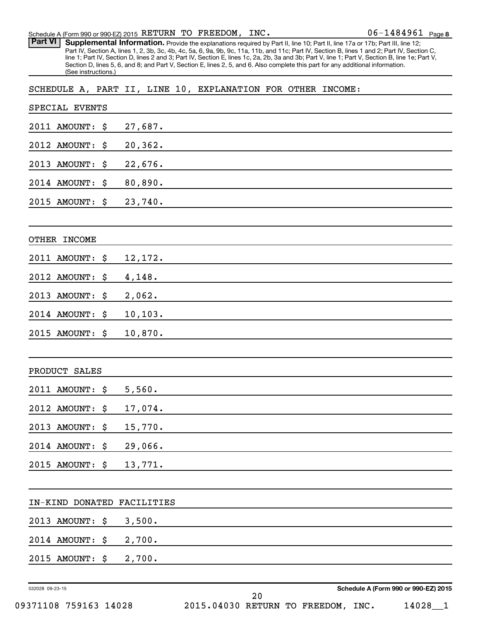Part VI | Supplemental Information. Provide the explanations required by Part II, line 10; Part II, line 17a or 17b; Part III, line 12; Part IV, Section A, lines 1, 2, 3b, 3c, 4b, 4c, 5a, 6, 9a, 9b, 9c, 11a, 11b, and 11c; Part IV, Section B, lines 1 and 2; Part IV, Section C, line 1; Part IV, Section D, lines 2 and 3; Part IV, Section E, lines 1c, 2a, 2b, 3a and 3b; Part V, line 1; Part V, Section B, line 1e; Part V, Section D, lines 5, 6, and 8; and Part V, Section E, lines 2, 5, and 6. Also complete this part for any additional information. (See instructions.)

SCHEDULE A, PART II, LINE 10, EXPLANATION FOR OTHER INCOME:

|                 | SPECIAL EVENTS  |                |    |  |                                      |  |
|-----------------|-----------------|----------------|----|--|--------------------------------------|--|
|                 | 2011 AMOUNT:    | \$<br>27,687.  |    |  |                                      |  |
|                 | 2012 AMOUNT:    | \$<br>20,362.  |    |  |                                      |  |
|                 | 2013 AMOUNT:    | \$<br>22,676.  |    |  |                                      |  |
|                 | 2014 AMOUNT:    | \$<br>80,890.  |    |  |                                      |  |
|                 | 2015 AMOUNT:    | \$<br>23,740.  |    |  |                                      |  |
|                 |                 |                |    |  |                                      |  |
|                 | OTHER INCOME    |                |    |  |                                      |  |
|                 | 2011 AMOUNT:    | \$<br>12,172.  |    |  |                                      |  |
|                 | 2012 AMOUNT:    | \$<br>4,148.   |    |  |                                      |  |
|                 | 2013 AMOUNT:    | \$<br>2,062.   |    |  |                                      |  |
|                 | 2014 AMOUNT:    | \$<br>10, 103. |    |  |                                      |  |
|                 | 2015 AMOUNT:    | \$<br>10,870.  |    |  |                                      |  |
|                 |                 |                |    |  |                                      |  |
|                 | PRODUCT SALES   |                |    |  |                                      |  |
|                 | 2011 AMOUNT:    | \$<br>5,560.   |    |  |                                      |  |
|                 | 2012 AMOUNT:    | \$<br>17,074.  |    |  |                                      |  |
|                 | 2013 AMOUNT:    | \$<br>15,770.  |    |  |                                      |  |
|                 | 2014 AMOUNT:    | \$<br>29,066.  |    |  |                                      |  |
|                 | 2015 AMOUNT: \$ | 13,771.        |    |  |                                      |  |
|                 |                 |                |    |  |                                      |  |
|                 | IN-KIND DONATED | FACILITIES     |    |  |                                      |  |
|                 | 2013 AMOUNT:    | \$<br>3,500.   |    |  |                                      |  |
|                 | 2014 AMOUNT:    | \$<br>2,700.   |    |  |                                      |  |
|                 | 2015 AMOUNT:    | \$<br>2,700.   |    |  |                                      |  |
|                 |                 |                |    |  | Schedule A (Form 990 or 990-EZ) 2015 |  |
| 532028 09-23-15 |                 |                | 20 |  |                                      |  |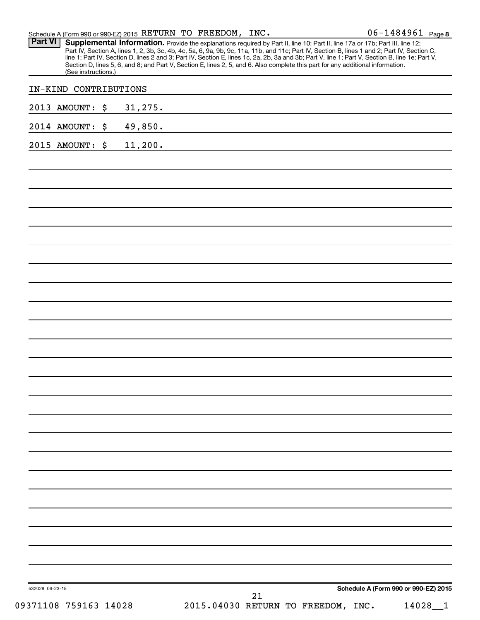|                       | Schedule A (Form 990 or 990-EZ) 2015 RETURN TO FREEDOM, INC.                                                                                                                                                                                                                                                                                                                                                                                                                                                                                                        | $06 - 1484961$ Page 8                |
|-----------------------|---------------------------------------------------------------------------------------------------------------------------------------------------------------------------------------------------------------------------------------------------------------------------------------------------------------------------------------------------------------------------------------------------------------------------------------------------------------------------------------------------------------------------------------------------------------------|--------------------------------------|
| <b>Part VI</b>        | Supplemental Information. Provide the explanations required by Part II, line 10; Part II, line 17a or 17b; Part III, line 12;<br>Part IV, Section A, lines 1, 2, 3b, 3c, 4b, 4c, 5a, 6, 9a, 9b, 9c, 11a, 11b, and 11c; Part IV, Section B, lines 1 and 2; Part IV, Section C,<br>line 1; Part IV, Section D, lines 2 and 3; Part IV, Section E, lines 1c, 2a, 2b, 3a and 3b; Part V, line 1; Part V, Section B, line 1e; Part V,<br>Section D, lines 5, 6, and 8; and Part V, Section E, lines 2, 5, and 6. Also complete this part for any additional information. |                                      |
| (See instructions.)   |                                                                                                                                                                                                                                                                                                                                                                                                                                                                                                                                                                     |                                      |
| IN-KIND CONTRIBUTIONS |                                                                                                                                                                                                                                                                                                                                                                                                                                                                                                                                                                     |                                      |
| 2013 AMOUNT: \$       | 31, 275.                                                                                                                                                                                                                                                                                                                                                                                                                                                                                                                                                            |                                      |
| 2014 AMOUNT:<br>\$    | 49,850.                                                                                                                                                                                                                                                                                                                                                                                                                                                                                                                                                             |                                      |
| 2015 AMOUNT: \$       | 11,200.                                                                                                                                                                                                                                                                                                                                                                                                                                                                                                                                                             |                                      |
|                       |                                                                                                                                                                                                                                                                                                                                                                                                                                                                                                                                                                     |                                      |
|                       |                                                                                                                                                                                                                                                                                                                                                                                                                                                                                                                                                                     |                                      |
|                       |                                                                                                                                                                                                                                                                                                                                                                                                                                                                                                                                                                     |                                      |
|                       |                                                                                                                                                                                                                                                                                                                                                                                                                                                                                                                                                                     |                                      |
|                       |                                                                                                                                                                                                                                                                                                                                                                                                                                                                                                                                                                     |                                      |
|                       |                                                                                                                                                                                                                                                                                                                                                                                                                                                                                                                                                                     |                                      |
|                       |                                                                                                                                                                                                                                                                                                                                                                                                                                                                                                                                                                     |                                      |
|                       |                                                                                                                                                                                                                                                                                                                                                                                                                                                                                                                                                                     |                                      |
|                       |                                                                                                                                                                                                                                                                                                                                                                                                                                                                                                                                                                     |                                      |
|                       |                                                                                                                                                                                                                                                                                                                                                                                                                                                                                                                                                                     |                                      |
|                       |                                                                                                                                                                                                                                                                                                                                                                                                                                                                                                                                                                     |                                      |
|                       |                                                                                                                                                                                                                                                                                                                                                                                                                                                                                                                                                                     |                                      |
|                       |                                                                                                                                                                                                                                                                                                                                                                                                                                                                                                                                                                     |                                      |
|                       |                                                                                                                                                                                                                                                                                                                                                                                                                                                                                                                                                                     |                                      |
|                       |                                                                                                                                                                                                                                                                                                                                                                                                                                                                                                                                                                     |                                      |
|                       |                                                                                                                                                                                                                                                                                                                                                                                                                                                                                                                                                                     |                                      |
|                       |                                                                                                                                                                                                                                                                                                                                                                                                                                                                                                                                                                     |                                      |
|                       |                                                                                                                                                                                                                                                                                                                                                                                                                                                                                                                                                                     |                                      |
|                       |                                                                                                                                                                                                                                                                                                                                                                                                                                                                                                                                                                     |                                      |
|                       |                                                                                                                                                                                                                                                                                                                                                                                                                                                                                                                                                                     |                                      |
|                       |                                                                                                                                                                                                                                                                                                                                                                                                                                                                                                                                                                     |                                      |
|                       |                                                                                                                                                                                                                                                                                                                                                                                                                                                                                                                                                                     |                                      |
|                       |                                                                                                                                                                                                                                                                                                                                                                                                                                                                                                                                                                     |                                      |
|                       |                                                                                                                                                                                                                                                                                                                                                                                                                                                                                                                                                                     |                                      |
|                       |                                                                                                                                                                                                                                                                                                                                                                                                                                                                                                                                                                     |                                      |
| 532028 09-23-15       | 21                                                                                                                                                                                                                                                                                                                                                                                                                                                                                                                                                                  | Schedule A (Form 990 or 990-EZ) 2015 |
| 09371108 759163 14028 | 2015.04030 RETURN TO FREEDOM, INC.                                                                                                                                                                                                                                                                                                                                                                                                                                                                                                                                  | 14028                                |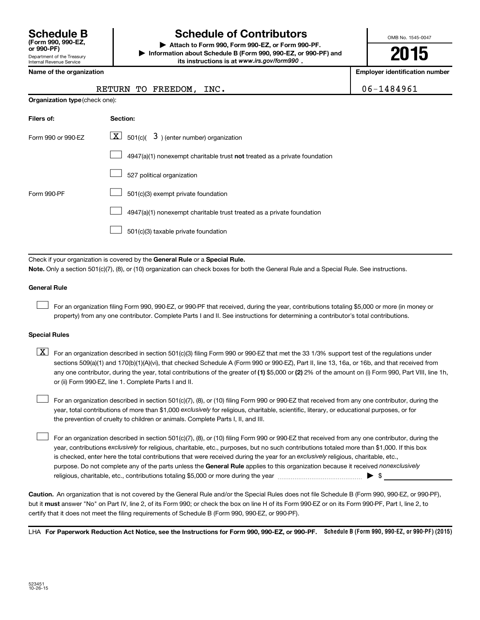Department of the Treasury Internal Revenue Service **(Form 990, 990-EZ,**

# **Schedule B Schedule of Contributors**

**or 990-PF) | Attach to Form 990, Form 990-EZ, or Form 990-PF. | Information about Schedule B (Form 990, 990-EZ, or 990-PF) and** its instructions is at www.irs.gov/form990.

OMB No. 1545-0047

**2015**

**Employer identification number** 

|  | Name of the organization |
|--|--------------------------|
|  |                          |

**Organization type** (check one):

#### RETURN TO FREEDOM, INC.  $\vert$  06-1484961

| Filers of:         | Section:                                                                  |
|--------------------|---------------------------------------------------------------------------|
| Form 990 or 990-EZ | $ \mathbf{X} $ 501(c)( 3) (enter number) organization                     |
|                    | 4947(a)(1) nonexempt charitable trust not treated as a private foundation |
|                    | 527 political organization                                                |
| Form 990-PF        | 501(c)(3) exempt private foundation                                       |
|                    | 4947(a)(1) nonexempt charitable trust treated as a private foundation     |
|                    | 501(c)(3) taxable private foundation                                      |

Check if your organization is covered by the General Rule or a Special Rule.

**Note.**  Only a section 501(c)(7), (8), or (10) organization can check boxes for both the General Rule and a Special Rule. See instructions.

#### **General Rule**

 $\Box$ 

For an organization filing Form 990, 990-EZ, or 990-PF that received, during the year, contributions totaling \$5,000 or more (in money or property) from any one contributor. Complete Parts I and II. See instructions for determining a contributor's total contributions.

#### **Special Rules**

any one contributor, during the year, total contributions of the greater of **(1)** \$5,000 or **(2)** 2% of the amount on (i) Form 990, Part VIII, line 1h,  $\boxed{\text{X}}$  For an organization described in section 501(c)(3) filing Form 990 or 990-EZ that met the 33 1/3% support test of the regulations under sections 509(a)(1) and 170(b)(1)(A)(vi), that checked Schedule A (Form 990 or 990-EZ), Part II, line 13, 16a, or 16b, and that received from or (ii) Form 990-EZ, line 1. Complete Parts I and II.

year, total contributions of more than \$1,000 *exclusively* for religious, charitable, scientific, literary, or educational purposes, or for For an organization described in section 501(c)(7), (8), or (10) filing Form 990 or 990-EZ that received from any one contributor, during the the prevention of cruelty to children or animals. Complete Parts I, II, and III.  $\Box$ 

purpose. Do not complete any of the parts unless the General Rule applies to this organization because it received nonexclusively year, contributions exclusively for religious, charitable, etc., purposes, but no such contributions totaled more than \$1,000. If this box is checked, enter here the total contributions that were received during the year for an exclusively religious, charitable, etc., For an organization described in section 501(c)(7), (8), or (10) filing Form 990 or 990-EZ that received from any one contributor, during the religious, charitable, etc., contributions totaling \$5,000 or more during the year  $\ldots$  $\ldots$  $\ldots$  $\ldots$  $\ldots$  $\ldots$  $\Box$ 

**Caution.** An organization that is not covered by the General Rule and/or the Special Rules does not file Schedule B (Form 990, 990-EZ, or 990-PF),  **must** but it answer "No" on Part IV, line 2, of its Form 990; or check the box on line H of its Form 990-EZ or on its Form 990-PF, Part I, line 2, to certify that it does not meet the filing requirements of Schedule B (Form 990, 990-EZ, or 990-PF).

LHA For Paperwork Reduction Act Notice, see the Instructions for Form 990, 990-EZ, or 990-PF. Schedule B (Form 990, 990-EZ, or 990-PF) (2015)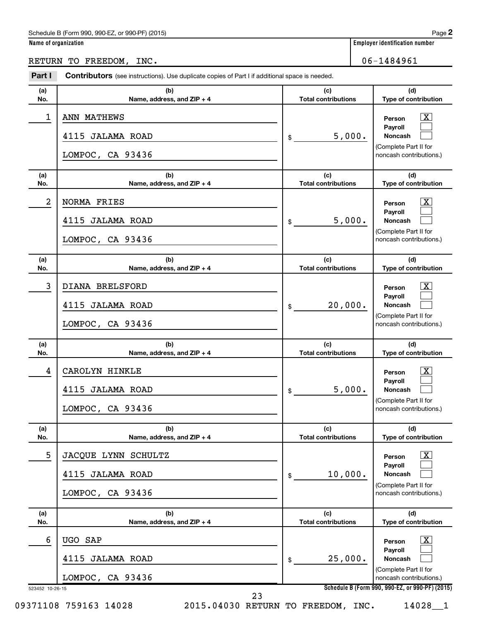#### Schedule B (Form 990, 990-EZ, or 990-PF) (2015)

| Name of organization |
|----------------------|
|----------------------|

## RETURN TO FREEDOM, INC. 06-1484961

| (a)        | (b)                                                 | (c)<br><b>Total contributions</b> | (d)                                                                                              |
|------------|-----------------------------------------------------|-----------------------------------|--------------------------------------------------------------------------------------------------|
| No.        | Name, address, and ZIP + 4                          |                                   | Type of contribution                                                                             |
| 1          | ANN MATHEWS<br>4115 JALAMA ROAD<br>LOMPOC, CA 93436 | 5,000.<br>$\frac{1}{2}$           | $\mathbf{X}$<br>Person<br>Payroll<br>Noncash<br>(Complete Part II for<br>noncash contributions.) |
| (a)<br>No. | (b)<br>Name, address, and ZIP + 4                   | (c)<br><b>Total contributions</b> | (d)<br>Type of contribution                                                                      |
| 2          | NORMA FRIES                                         |                                   | $\overline{\mathbf{X}}$<br>Person                                                                |
|            | 4115 JALAMA ROAD                                    | 5,000.<br>\$                      | Payroll<br>Noncash<br>(Complete Part II for                                                      |
|            | LOMPOC, CA 93436                                    |                                   | noncash contributions.)                                                                          |
| (a)<br>No. | (b)<br>Name, address, and ZIP + 4                   | (c)<br><b>Total contributions</b> | (d)<br>Type of contribution                                                                      |
| 3          | DIANA BRELSFORD                                     |                                   | $\mathbf{X}$                                                                                     |
|            | 4115 JALAMA ROAD                                    | 20,000.<br>\$                     | Person<br>Payroll<br>Noncash                                                                     |
|            | LOMPOC, CA 93436                                    |                                   | (Complete Part II for<br>noncash contributions.)                                                 |
| (a)<br>No. | (b)<br>Name, address, and ZIP + 4                   | (c)<br><b>Total contributions</b> | (d)<br>Type of contribution                                                                      |
| 4          | CAROLYN HINKLE                                      |                                   | $\overline{\mathbf{X}}$<br>Person                                                                |
|            | 4115 JALAMA ROAD                                    | 5,000.<br>\$                      | Payroll<br>Noncash                                                                               |
|            | LOMPOC, CA 93436                                    |                                   | (Complete Part II for<br>noncash contributions.)                                                 |
| (a)        | (b)                                                 | (c)                               | (d)                                                                                              |
| No.        | Name, address, and ZIP + 4                          | <b>Total contributions</b>        | Type of contribution                                                                             |
| 5          | JACQUE LYNN SCHULTZ<br>4115 JALAMA ROAD             | 10,000.                           | $\mathbf{X}$<br>Person<br>Payroll<br>Noncash                                                     |
|            | LOMPOC, CA 93436                                    | \$                                | (Complete Part II for<br>noncash contributions.)                                                 |
| (a)        | (b)                                                 | (c)                               | (d)                                                                                              |
| No.        | Name, address, and ZIP + 4                          | <b>Total contributions</b>        | Type of contribution                                                                             |
|            | UGO SAP                                             |                                   | $\mathbf{X}$<br>Person                                                                           |
| 6          |                                                     |                                   | Payroll                                                                                          |
|            | 4115 JALAMA ROAD                                    | 25,000.<br>\$                     | Noncash<br>(Complete Part II for                                                                 |

**2**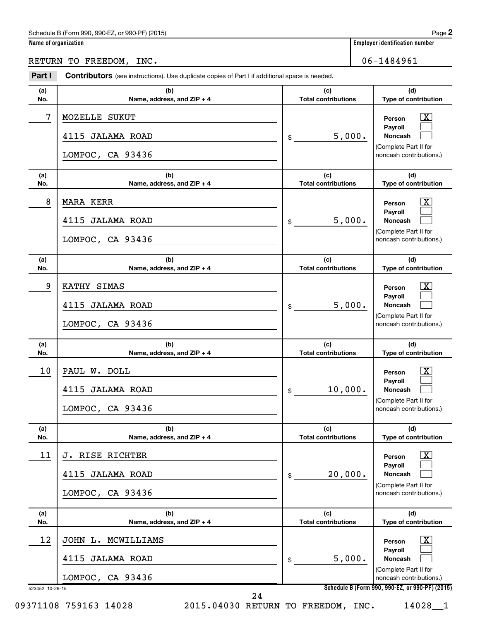#### Schedule B (Form 990, 990-EZ, or 990-PF) (2015)

| Name of organization |
|----------------------|
|----------------------|

# RETURN TO FREEDOM, INC. 06-1484961

| (b)<br>Name, address, and ZIP + 4                                 | <b>Contributors</b> (see instructions). Use duplicate copies of Part I if additional space is needed. |                                                                                                                    |
|-------------------------------------------------------------------|-------------------------------------------------------------------------------------------------------|--------------------------------------------------------------------------------------------------------------------|
|                                                                   | (c)<br><b>Total contributions</b>                                                                     | (d)<br>Type of contribution                                                                                        |
| MOZELLE SUKUT<br>4115 JALAMA ROAD<br>LOMPOC, CA 93436             | 5,000.<br>\$                                                                                          | $\overline{\text{X}}$<br>Person<br>Payroll<br>Noncash<br>(Complete Part II for<br>noncash contributions.)          |
| (b)<br>Name, address, and ZIP + 4                                 | (c)<br><b>Total contributions</b>                                                                     | (d)<br>Type of contribution                                                                                        |
| <b>MARA KERR</b><br>4115 JALAMA ROAD<br>LOMPOC, CA 93436          | 5,000.<br>\$                                                                                          | $\overline{\mathbf{X}}$<br>Person<br>Payroll<br><b>Noncash</b><br>(Complete Part II for<br>noncash contributions.) |
| (b)<br>Name, address, and ZIP + 4                                 | (c)<br><b>Total contributions</b>                                                                     | (d)<br>Type of contribution                                                                                        |
| KATHY SIMAS<br>4115<br><b>JALAMA ROAD</b><br>LOMPOC, CA 93436     | 5,000.<br>\$                                                                                          | $\boxed{\textbf{X}}$<br>Person<br>Payroll<br><b>Noncash</b><br>(Complete Part II for<br>noncash contributions.)    |
| (b)<br>Name, address, and ZIP + 4                                 | (c)<br><b>Total contributions</b>                                                                     | (d)<br>Type of contribution                                                                                        |
| PAUL W. DOLL<br>4115<br><b>JALAMA ROAD</b><br>LOMPOC, CA 93436    | 10,000.<br>\$                                                                                         | $\boxed{\textbf{X}}$<br>Person<br>Payroll<br><b>Noncash</b><br>(Complete Part II for<br>noncash contributions.)    |
| (b)<br>Name, address, and ZIP + 4                                 | (c)<br><b>Total contributions</b>                                                                     | (d)<br>Type of contribution                                                                                        |
| J. RISE RICHTER<br>4115<br><b>JALAMA ROAD</b><br>LOMPOC, CA 93436 | 20,000.<br>\$                                                                                         | $\boxed{\textbf{X}}$<br>Person<br>Payroll<br>Noncash<br>(Complete Part II for<br>noncash contributions.)           |
| (b)<br>Name, address, and ZIP + 4                                 | (c)<br><b>Total contributions</b>                                                                     | (d)<br>Type of contribution                                                                                        |
|                                                                   | 5,000.<br>\$                                                                                          | $\vert X \vert$<br>Person<br>Payroll<br>Noncash<br>(Complete Part II for<br>noncash contributions.)                |
|                                                                   | JOHN L. MCWILLIAMS<br><b>JALAMA ROAD</b>                                                              | LOMPOC, CA 93436                                                                                                   |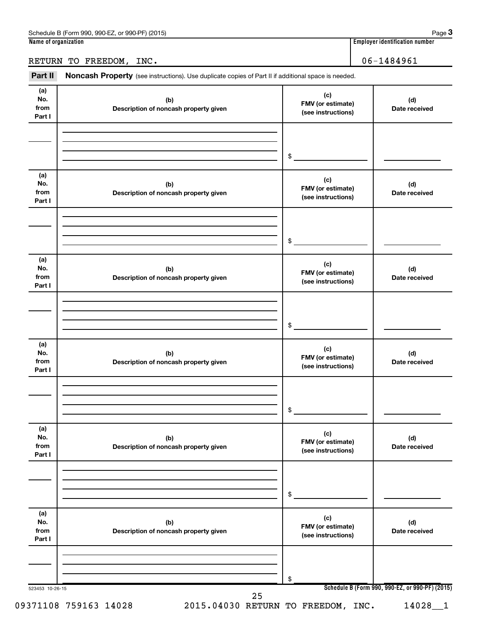RETURN TO FREEDOM, INC. 106-1484961

Part II Noncash Property (see instructions). Use duplicate copies of Part II if additional space is needed.

| (a)<br>No.<br>from<br>Part I | (b)<br>Description of noncash property given | (c)<br>FMV (or estimate)<br>(see instructions) | (d)<br>Date received                                       |
|------------------------------|----------------------------------------------|------------------------------------------------|------------------------------------------------------------|
|                              |                                              | \$                                             |                                                            |
| (a)<br>No.<br>from<br>Part I | (b)<br>Description of noncash property given | (c)<br>FMV (or estimate)<br>(see instructions) | (d)<br>Date received                                       |
|                              |                                              | \$                                             |                                                            |
| (a)<br>No.<br>from<br>Part I | (b)<br>Description of noncash property given | (c)<br>FMV (or estimate)<br>(see instructions) | (d)<br>Date received                                       |
|                              |                                              | \$                                             |                                                            |
| (a)<br>No.<br>from<br>Part I | (b)<br>Description of noncash property given | (c)<br>FMV (or estimate)<br>(see instructions) | (d)<br>Date received                                       |
|                              |                                              | \$                                             |                                                            |
| (a)<br>No.<br>from<br>Part I | (b)<br>Description of noncash property given | (c)<br>FMV (or estimate)<br>(see instructions) | (d)<br>Date received                                       |
|                              |                                              | \$                                             |                                                            |
| (a)<br>No.<br>from<br>Part I | (b)<br>Description of noncash property given | (c)<br>FMV (or estimate)<br>(see instructions) | (d)<br>Date received                                       |
|                              |                                              | \$                                             |                                                            |
| 523453 10-26-15              | 25<br>09371108 759163 14028                  | 2015.04030 RETURN TO FREEDOM, INC.             | Schedule B (Form 990, 990-EZ, or 990-PF) (2015)<br>14028_1 |

**3**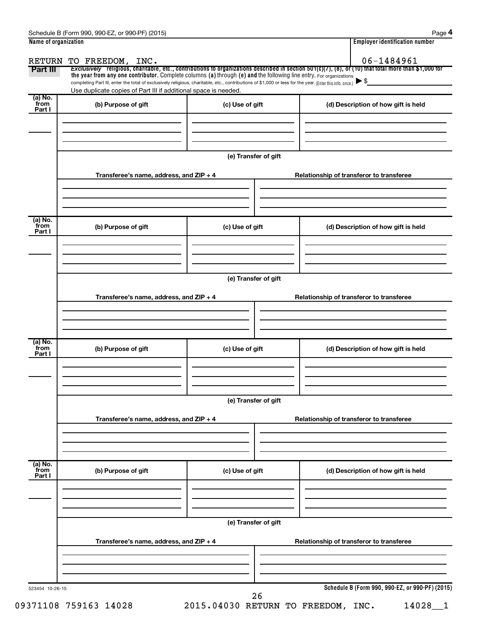| Name of organization      |                                                                                                                                                                                                                                                                                 |                      | <b>Employer identification number</b>                                                                                                                               |  |  |  |  |  |
|---------------------------|---------------------------------------------------------------------------------------------------------------------------------------------------------------------------------------------------------------------------------------------------------------------------------|----------------------|---------------------------------------------------------------------------------------------------------------------------------------------------------------------|--|--|--|--|--|
| Part III                  | RETURN TO FREEDOM, INC.                                                                                                                                                                                                                                                         |                      | 06-1484961<br>Exclusively religious, charitable, etc., contributions to organizations described in section 501(c)(7), (8), or (10) that total more than \$1,000 for |  |  |  |  |  |
|                           | the year from any one contributor. Complete columns (a) through (e) and the following line entry. For organizations<br>completing Part III, enter the total of exclusively religious, charitable, etc., contributions of \$1,000 or less for the year. (Enter this info. once.) |                      |                                                                                                                                                                     |  |  |  |  |  |
|                           | Use duplicate copies of Part III if additional space is needed.                                                                                                                                                                                                                 |                      |                                                                                                                                                                     |  |  |  |  |  |
| (a) No.<br>from<br>Part I | (b) Purpose of gift                                                                                                                                                                                                                                                             | (c) Use of gift      | (d) Description of how gift is held                                                                                                                                 |  |  |  |  |  |
|                           |                                                                                                                                                                                                                                                                                 | (e) Transfer of gift |                                                                                                                                                                     |  |  |  |  |  |
|                           | Transferee's name, address, and ZIP + 4                                                                                                                                                                                                                                         |                      | Relationship of transferor to transferee                                                                                                                            |  |  |  |  |  |
| (a) No.<br>from<br>Part I | (b) Purpose of gift                                                                                                                                                                                                                                                             | (c) Use of gift      | (d) Description of how gift is held                                                                                                                                 |  |  |  |  |  |
|                           |                                                                                                                                                                                                                                                                                 |                      |                                                                                                                                                                     |  |  |  |  |  |
|                           | (e) Transfer of gift                                                                                                                                                                                                                                                            |                      |                                                                                                                                                                     |  |  |  |  |  |
|                           | Transferee's name, address, and ZIP + 4                                                                                                                                                                                                                                         |                      | Relationship of transferor to transferee                                                                                                                            |  |  |  |  |  |
|                           |                                                                                                                                                                                                                                                                                 |                      |                                                                                                                                                                     |  |  |  |  |  |
| (a) No.<br>from<br>Part I | (b) Purpose of gift                                                                                                                                                                                                                                                             | (c) Use of gift      | (d) Description of how gift is held                                                                                                                                 |  |  |  |  |  |
|                           |                                                                                                                                                                                                                                                                                 |                      |                                                                                                                                                                     |  |  |  |  |  |
|                           |                                                                                                                                                                                                                                                                                 | (e) Transfer of gift |                                                                                                                                                                     |  |  |  |  |  |
|                           | Transferee's name, address, and ZIP + 4                                                                                                                                                                                                                                         |                      | Relationship of transferor to transferee                                                                                                                            |  |  |  |  |  |
| (a) No.<br>from<br>Part I | (b) Purpose of gift                                                                                                                                                                                                                                                             | (c) Use of gift      | (d) Description of how gift is held                                                                                                                                 |  |  |  |  |  |
|                           |                                                                                                                                                                                                                                                                                 |                      |                                                                                                                                                                     |  |  |  |  |  |
|                           | (e) Transfer of gift                                                                                                                                                                                                                                                            |                      |                                                                                                                                                                     |  |  |  |  |  |
|                           | Transferee's name, address, and ZIP + 4                                                                                                                                                                                                                                         |                      | Relationship of transferor to transferee                                                                                                                            |  |  |  |  |  |
|                           |                                                                                                                                                                                                                                                                                 |                      |                                                                                                                                                                     |  |  |  |  |  |
| 523454 10-26-15           |                                                                                                                                                                                                                                                                                 | 26                   | Schedule B (Form 990, 990-EZ, or 990-PF) (2015)                                                                                                                     |  |  |  |  |  |

09371108 759163 14028 2015.04030 RETURN TO FREEDOM, INC. 14028\_1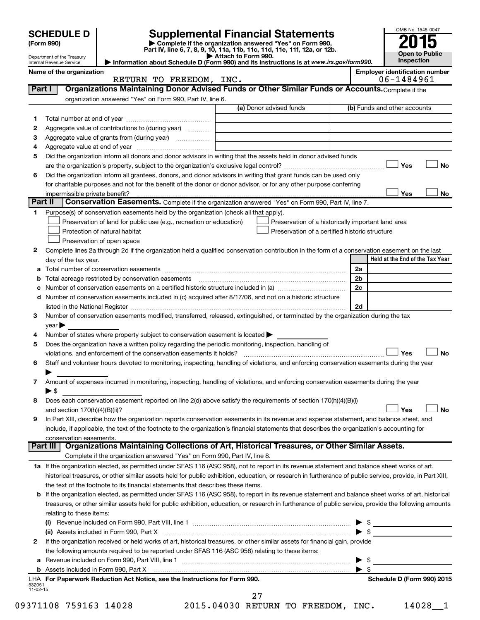|                      |                                                        |                                                                                                        |                                                                                                                                                                                                                                                                                                            |          | OMB No. 1545-0047                     |
|----------------------|--------------------------------------------------------|--------------------------------------------------------------------------------------------------------|------------------------------------------------------------------------------------------------------------------------------------------------------------------------------------------------------------------------------------------------------------------------------------------------------------|----------|---------------------------------------|
|                      | <b>SCHEDULE D</b><br>(Form 990)                        |                                                                                                        | <b>Supplemental Financial Statements</b><br>Complete if the organization answered "Yes" on Form 990,                                                                                                                                                                                                       |          |                                       |
|                      |                                                        |                                                                                                        | Part IV, line 6, 7, 8, 9, 10, 11a, 11b, 11c, 11d, 11e, 11f, 12a, or 12b.                                                                                                                                                                                                                                   |          | <b>Open to Public</b>                 |
|                      | Department of the Treasury<br>Internal Revenue Service |                                                                                                        | Attach to Form 990.<br>Information about Schedule D (Form 990) and its instructions is at www.irs.gov/form990.                                                                                                                                                                                             |          | Inspection                            |
|                      | Name of the organization                               |                                                                                                        |                                                                                                                                                                                                                                                                                                            |          | <b>Employer identification number</b> |
|                      |                                                        | RETURN TO FREEDOM, INC.                                                                                |                                                                                                                                                                                                                                                                                                            |          | 06-1484961                            |
| Part I               |                                                        | organization answered "Yes" on Form 990, Part IV, line 6.                                              | Organizations Maintaining Donor Advised Funds or Other Similar Funds or Accounts. Complete if the                                                                                                                                                                                                          |          |                                       |
|                      |                                                        |                                                                                                        | (a) Donor advised funds                                                                                                                                                                                                                                                                                    |          | (b) Funds and other accounts          |
| 1                    |                                                        |                                                                                                        |                                                                                                                                                                                                                                                                                                            |          |                                       |
| 2                    |                                                        | Aggregate value of contributions to (during year)                                                      |                                                                                                                                                                                                                                                                                                            |          |                                       |
| З                    |                                                        | Aggregate value of grants from (during year)                                                           |                                                                                                                                                                                                                                                                                                            |          |                                       |
| 4                    |                                                        |                                                                                                        |                                                                                                                                                                                                                                                                                                            |          |                                       |
| 5                    |                                                        |                                                                                                        | Did the organization inform all donors and donor advisors in writing that the assets held in donor advised funds                                                                                                                                                                                           |          |                                       |
|                      |                                                        |                                                                                                        |                                                                                                                                                                                                                                                                                                            |          | Yes<br>No                             |
| 6                    |                                                        |                                                                                                        | Did the organization inform all grantees, donors, and donor advisors in writing that grant funds can be used only<br>for charitable purposes and not for the benefit of the donor or donor advisor, or for any other purpose conferring                                                                    |          |                                       |
|                      | impermissible private benefit?                         |                                                                                                        |                                                                                                                                                                                                                                                                                                            |          | Yes<br>No                             |
|                      | Part II                                                |                                                                                                        | Conservation Easements. Complete if the organization answered "Yes" on Form 990, Part IV, line 7.                                                                                                                                                                                                          |          |                                       |
| 1.                   |                                                        | Purpose(s) of conservation easements held by the organization (check all that apply).                  |                                                                                                                                                                                                                                                                                                            |          |                                       |
|                      |                                                        | Preservation of land for public use (e.g., recreation or education)                                    | Preservation of a historically important land area                                                                                                                                                                                                                                                         |          |                                       |
|                      |                                                        | Protection of natural habitat                                                                          | Preservation of a certified historic structure                                                                                                                                                                                                                                                             |          |                                       |
|                      |                                                        | Preservation of open space                                                                             |                                                                                                                                                                                                                                                                                                            |          |                                       |
| 2                    |                                                        |                                                                                                        | Complete lines 2a through 2d if the organization held a qualified conservation contribution in the form of a conservation easement on the last                                                                                                                                                             |          |                                       |
|                      | day of the tax year.                                   |                                                                                                        |                                                                                                                                                                                                                                                                                                            |          | Held at the End of the Tax Year       |
| а                    |                                                        |                                                                                                        |                                                                                                                                                                                                                                                                                                            | 2a       |                                       |
| b                    |                                                        | Total acreage restricted by conservation easements                                                     | Number of conservation easements on a certified historic structure included in (a) manufacture included in (a)                                                                                                                                                                                             | 2b<br>2c |                                       |
| d                    |                                                        |                                                                                                        | Number of conservation easements included in (c) acquired after 8/17/06, and not on a historic structure                                                                                                                                                                                                   |          |                                       |
|                      |                                                        |                                                                                                        | listed in the National Register [111] Marshall Register [11] Marshall Register [11] Marshall Register [11] Marshall Register [11] Marshall Register [11] Marshall Register [11] Marshall Register [11] Marshall Register [11]                                                                              | 2d       |                                       |
| 3                    |                                                        |                                                                                                        | Number of conservation easements modified, transferred, released, extinguished, or terminated by the organization during the tax                                                                                                                                                                           |          |                                       |
|                      | $year \triangleright$                                  |                                                                                                        |                                                                                                                                                                                                                                                                                                            |          |                                       |
| 4                    |                                                        | Number of states where property subject to conservation easement is located >                          |                                                                                                                                                                                                                                                                                                            |          |                                       |
| 5                    |                                                        | Does the organization have a written policy regarding the periodic monitoring, inspection, handling of |                                                                                                                                                                                                                                                                                                            |          |                                       |
|                      |                                                        | violations, and enforcement of the conservation easements it holds?                                    |                                                                                                                                                                                                                                                                                                            |          | Yes<br>No                             |
| 6                    |                                                        |                                                                                                        | Staff and volunteer hours devoted to monitoring, inspecting, handling of violations, and enforcing conservation easements during the year                                                                                                                                                                  |          |                                       |
| 7                    |                                                        |                                                                                                        | Amount of expenses incurred in monitoring, inspecting, handling of violations, and enforcing conservation easements during the year                                                                                                                                                                        |          |                                       |
|                      | $\blacktriangleright$ \$                               |                                                                                                        |                                                                                                                                                                                                                                                                                                            |          |                                       |
| 8                    |                                                        |                                                                                                        | Does each conservation easement reported on line 2(d) above satisfy the requirements of section 170(h)(4)(B)(i)                                                                                                                                                                                            |          |                                       |
|                      |                                                        |                                                                                                        |                                                                                                                                                                                                                                                                                                            |          | <b>No</b><br>Yes                      |
| 9                    |                                                        |                                                                                                        | In Part XIII, describe how the organization reports conservation easements in its revenue and expense statement, and balance sheet, and                                                                                                                                                                    |          |                                       |
|                      |                                                        |                                                                                                        | include, if applicable, the text of the footnote to the organization's financial statements that describes the organization's accounting for                                                                                                                                                               |          |                                       |
|                      | conservation easements.                                |                                                                                                        |                                                                                                                                                                                                                                                                                                            |          |                                       |
|                      | Part III                                               | Complete if the organization answered "Yes" on Form 990, Part IV, line 8.                              | Organizations Maintaining Collections of Art, Historical Treasures, or Other Similar Assets.                                                                                                                                                                                                               |          |                                       |
|                      |                                                        |                                                                                                        |                                                                                                                                                                                                                                                                                                            |          |                                       |
|                      |                                                        |                                                                                                        | 1a If the organization elected, as permitted under SFAS 116 (ASC 958), not to report in its revenue statement and balance sheet works of art,<br>historical treasures, or other similar assets held for public exhibition, education, or research in furtherance of public service, provide, in Part XIII, |          |                                       |
|                      |                                                        | the text of the footnote to its financial statements that describes these items.                       |                                                                                                                                                                                                                                                                                                            |          |                                       |
|                      |                                                        |                                                                                                        | b If the organization elected, as permitted under SFAS 116 (ASC 958), to report in its revenue statement and balance sheet works of art, historical                                                                                                                                                        |          |                                       |
|                      |                                                        |                                                                                                        | treasures, or other similar assets held for public exhibition, education, or research in furtherance of public service, provide the following amounts                                                                                                                                                      |          |                                       |
|                      | relating to these items:                               |                                                                                                        |                                                                                                                                                                                                                                                                                                            |          |                                       |
|                      |                                                        |                                                                                                        |                                                                                                                                                                                                                                                                                                            |          |                                       |
|                      |                                                        |                                                                                                        |                                                                                                                                                                                                                                                                                                            |          | $\blacktriangleright$ \$              |
| 2                    |                                                        |                                                                                                        | If the organization received or held works of art, historical treasures, or other similar assets for financial gain, provide                                                                                                                                                                               |          |                                       |
|                      |                                                        | the following amounts required to be reported under SFAS 116 (ASC 958) relating to these items:        |                                                                                                                                                                                                                                                                                                            |          |                                       |
| а                    |                                                        |                                                                                                        |                                                                                                                                                                                                                                                                                                            | -\$      |                                       |
|                      |                                                        | LHA For Paperwork Reduction Act Notice, see the Instructions for Form 990.                             |                                                                                                                                                                                                                                                                                                            |          | Schedule D (Form 990) 2015            |
| 532051<br>$11-02-15$ |                                                        |                                                                                                        |                                                                                                                                                                                                                                                                                                            |          |                                       |
|                      |                                                        |                                                                                                        | 27                                                                                                                                                                                                                                                                                                         |          |                                       |

09371108 759163 14028 2015.04030 RETURN TO FREEDOM, INC. 14028\_1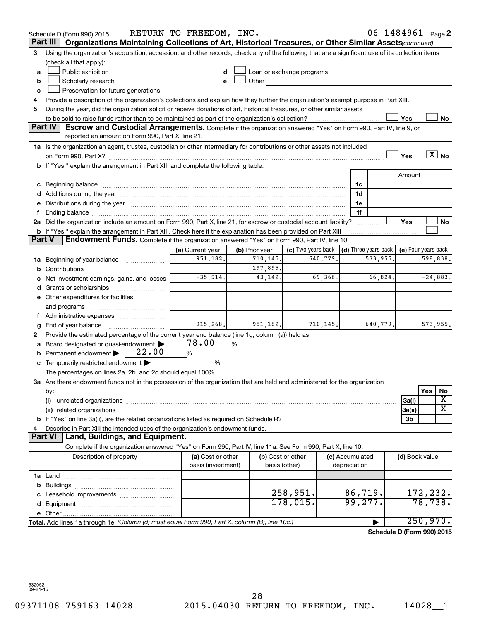|        | Schedule D (Form 990) 2015                                                                                                                                                                                                    | RETURN TO FREEDOM, INC. |                |                                                                                                                                                                                                                                |                 | $06 - 1484961$ Page 2                      |                |          |                   |
|--------|-------------------------------------------------------------------------------------------------------------------------------------------------------------------------------------------------------------------------------|-------------------------|----------------|--------------------------------------------------------------------------------------------------------------------------------------------------------------------------------------------------------------------------------|-----------------|--------------------------------------------|----------------|----------|-------------------|
|        | Part III<br>Organizations Maintaining Collections of Art, Historical Treasures, or Other Similar Assets (continued)                                                                                                           |                         |                |                                                                                                                                                                                                                                |                 |                                            |                |          |                   |
| 3      | Using the organization's acquisition, accession, and other records, check any of the following that are a significant use of its collection items                                                                             |                         |                |                                                                                                                                                                                                                                |                 |                                            |                |          |                   |
|        | (check all that apply):                                                                                                                                                                                                       |                         |                |                                                                                                                                                                                                                                |                 |                                            |                |          |                   |
| a      | Public exhibition                                                                                                                                                                                                             | d                       |                | Loan or exchange programs                                                                                                                                                                                                      |                 |                                            |                |          |                   |
| b      | Scholarly research                                                                                                                                                                                                            | e                       |                | Other the contract of the contract of the contract of the contract of the contract of the contract of the contract of the contract of the contract of the contract of the contract of the contract of the contract of the cont |                 |                                            |                |          |                   |
| с      | Preservation for future generations                                                                                                                                                                                           |                         |                |                                                                                                                                                                                                                                |                 |                                            |                |          |                   |
| 4      | Provide a description of the organization's collections and explain how they further the organization's exempt purpose in Part XIII.                                                                                          |                         |                |                                                                                                                                                                                                                                |                 |                                            |                |          |                   |
| 5      | During the year, did the organization solicit or receive donations of art, historical treasures, or other similar assets                                                                                                      |                         |                |                                                                                                                                                                                                                                |                 |                                            |                |          |                   |
|        |                                                                                                                                                                                                                               |                         |                |                                                                                                                                                                                                                                |                 |                                            | Yes            |          | No                |
|        | Part IV<br>Escrow and Custodial Arrangements. Complete if the organization answered "Yes" on Form 990, Part IV, line 9, or                                                                                                    |                         |                |                                                                                                                                                                                                                                |                 |                                            |                |          |                   |
|        | reported an amount on Form 990, Part X, line 21.                                                                                                                                                                              |                         |                |                                                                                                                                                                                                                                |                 |                                            |                |          |                   |
|        | 1a Is the organization an agent, trustee, custodian or other intermediary for contributions or other assets not included                                                                                                      |                         |                |                                                                                                                                                                                                                                |                 |                                            |                |          | $\overline{X}$ No |
|        |                                                                                                                                                                                                                               |                         |                |                                                                                                                                                                                                                                |                 |                                            | Yes            |          |                   |
|        | b If "Yes," explain the arrangement in Part XIII and complete the following table:                                                                                                                                            |                         |                |                                                                                                                                                                                                                                |                 |                                            |                |          |                   |
|        |                                                                                                                                                                                                                               |                         |                |                                                                                                                                                                                                                                |                 |                                            | Amount         |          |                   |
|        |                                                                                                                                                                                                                               |                         |                |                                                                                                                                                                                                                                | 1c              |                                            |                |          |                   |
|        |                                                                                                                                                                                                                               |                         |                |                                                                                                                                                                                                                                | 1d              |                                            |                |          |                   |
|        | e Distributions during the year manufactured and continuum control of the control of the control of the state of the control of the control of the control of the control of the control of the control of the control of the |                         |                |                                                                                                                                                                                                                                | 1e              |                                            |                |          |                   |
| f.     |                                                                                                                                                                                                                               |                         |                |                                                                                                                                                                                                                                | 1f              |                                            |                |          |                   |
|        | 2a Did the organization include an amount on Form 990, Part X, line 21, for escrow or custodial account liability?                                                                                                            |                         |                |                                                                                                                                                                                                                                |                 |                                            | Yes            |          | No                |
|        | <b>b</b> If "Yes," explain the arrangement in Part XIII. Check here if the explanation has been provided on Part XIII                                                                                                         |                         |                |                                                                                                                                                                                                                                |                 |                                            |                |          |                   |
| Part V | Endowment Funds. Complete if the organization answered "Yes" on Form 990, Part IV, line 10.                                                                                                                                   |                         |                |                                                                                                                                                                                                                                |                 |                                            |                |          |                   |
|        |                                                                                                                                                                                                                               | (a) Current year        | (b) Prior year | (c) Two years back                                                                                                                                                                                                             |                 | (d) Three years back   (e) Four years back |                |          |                   |
|        | 1a Beginning of year balance                                                                                                                                                                                                  | 951,182.                | 710,145.       | 640,779.                                                                                                                                                                                                                       |                 | 573,955.                                   |                | 598,838. |                   |
|        |                                                                                                                                                                                                                               |                         | 197,895.       |                                                                                                                                                                                                                                |                 |                                            |                |          |                   |
|        | c Net investment earnings, gains, and losses                                                                                                                                                                                  | $-35,914.$              | 43, 142.       | 69,366.                                                                                                                                                                                                                        |                 | 66,824.                                    |                |          | $-24,883.$        |
|        |                                                                                                                                                                                                                               |                         |                |                                                                                                                                                                                                                                |                 |                                            |                |          |                   |
|        | e Other expenditures for facilities                                                                                                                                                                                           |                         |                |                                                                                                                                                                                                                                |                 |                                            |                |          |                   |
|        | and programs                                                                                                                                                                                                                  |                         |                |                                                                                                                                                                                                                                |                 |                                            |                |          |                   |
| f.     | Administrative expenses                                                                                                                                                                                                       |                         |                |                                                                                                                                                                                                                                |                 |                                            |                |          |                   |
| g      | End of year balance <i>manually contained</i>                                                                                                                                                                                 | 915, 268.               | 951,182.       | 710, 145.                                                                                                                                                                                                                      |                 | 640,779.                                   |                |          | 573,955.          |
| 2      | Provide the estimated percentage of the current year end balance (line 1g, column (a)) held as:                                                                                                                               |                         |                |                                                                                                                                                                                                                                |                 |                                            |                |          |                   |
| a      | Board designated or quasi-endowment                                                                                                                                                                                           | 78.00                   | %              |                                                                                                                                                                                                                                |                 |                                            |                |          |                   |
|        | 22.00<br><b>b</b> Permanent endowment $\blacktriangleright$                                                                                                                                                                   | %                       |                |                                                                                                                                                                                                                                |                 |                                            |                |          |                   |
|        | c Temporarily restricted endowment $\blacktriangleright$                                                                                                                                                                      | %                       |                |                                                                                                                                                                                                                                |                 |                                            |                |          |                   |
|        | The percentages on lines 2a, 2b, and 2c should equal 100%.                                                                                                                                                                    |                         |                |                                                                                                                                                                                                                                |                 |                                            |                |          |                   |
|        | 3a Are there endowment funds not in the possession of the organization that are held and administered for the organization                                                                                                    |                         |                |                                                                                                                                                                                                                                |                 |                                            |                |          |                   |
|        | by:                                                                                                                                                                                                                           |                         |                |                                                                                                                                                                                                                                |                 |                                            |                | Yes      | No<br>х           |
|        | (i)                                                                                                                                                                                                                           |                         |                |                                                                                                                                                                                                                                |                 |                                            | 3a(i)          |          |                   |
|        |                                                                                                                                                                                                                               |                         |                |                                                                                                                                                                                                                                |                 |                                            | 3a(ii)         |          | x                 |
|        |                                                                                                                                                                                                                               |                         |                |                                                                                                                                                                                                                                |                 |                                            | 3b             |          |                   |
| 4      | Describe in Part XIII the intended uses of the organization's endowment funds.                                                                                                                                                |                         |                |                                                                                                                                                                                                                                |                 |                                            |                |          |                   |
|        | Land, Buildings, and Equipment.<br><b>Part VI</b>                                                                                                                                                                             |                         |                |                                                                                                                                                                                                                                |                 |                                            |                |          |                   |
|        | Complete if the organization answered "Yes" on Form 990, Part IV, line 11a. See Form 990, Part X, line 10.                                                                                                                    |                         |                |                                                                                                                                                                                                                                |                 |                                            |                |          |                   |
|        | Description of property                                                                                                                                                                                                       | (a) Cost or other       |                | (b) Cost or other                                                                                                                                                                                                              | (c) Accumulated |                                            | (d) Book value |          |                   |
|        |                                                                                                                                                                                                                               | basis (investment)      |                | basis (other)                                                                                                                                                                                                                  | depreciation    |                                            |                |          |                   |
|        |                                                                                                                                                                                                                               |                         |                |                                                                                                                                                                                                                                |                 |                                            |                |          |                   |
|        |                                                                                                                                                                                                                               |                         |                |                                                                                                                                                                                                                                |                 |                                            |                |          |                   |
|        |                                                                                                                                                                                                                               |                         |                | 258,951.                                                                                                                                                                                                                       | 86,719.         |                                            |                | 172,232. |                   |
|        |                                                                                                                                                                                                                               |                         |                | 178,015.                                                                                                                                                                                                                       | 99,277.         |                                            |                | 78,738.  |                   |
|        |                                                                                                                                                                                                                               |                         |                |                                                                                                                                                                                                                                |                 |                                            |                |          |                   |
|        | Total. Add lines 1a through 1e. (Column (d) must equal Form 990, Part X, column (B), line 10c.)                                                                                                                               |                         |                |                                                                                                                                                                                                                                |                 |                                            |                | 250,970. |                   |
|        |                                                                                                                                                                                                                               |                         |                |                                                                                                                                                                                                                                |                 | Schedule D (Form 990) 2015                 |                |          |                   |

532052 09-21-15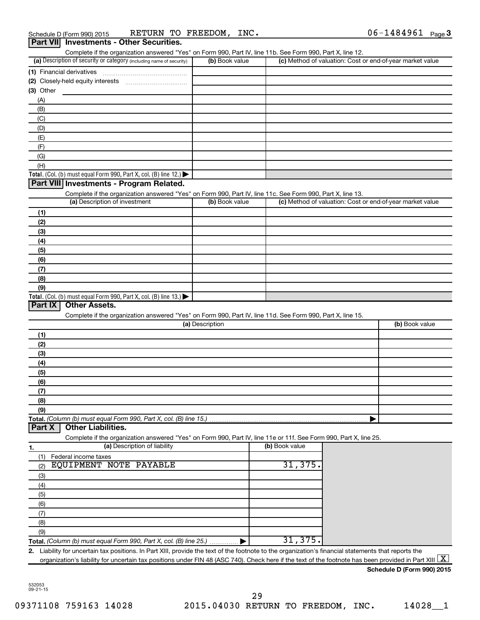| (a) Description of security or category (including name of security)                                              | Complete if the organization answered "Yes" on Form 990, Part IV, line 11b. See Form 990, Part X, line 12.<br>(b) Book value |                | (c) Method of valuation: Cost or end-of-year market value |
|-------------------------------------------------------------------------------------------------------------------|------------------------------------------------------------------------------------------------------------------------------|----------------|-----------------------------------------------------------|
| (1) Financial derivatives                                                                                         |                                                                                                                              |                |                                                           |
|                                                                                                                   |                                                                                                                              |                |                                                           |
| (3) Other                                                                                                         |                                                                                                                              |                |                                                           |
| (A)                                                                                                               |                                                                                                                              |                |                                                           |
| (B)                                                                                                               |                                                                                                                              |                |                                                           |
| (C)                                                                                                               |                                                                                                                              |                |                                                           |
| (D)                                                                                                               |                                                                                                                              |                |                                                           |
| (E)                                                                                                               |                                                                                                                              |                |                                                           |
| (F)                                                                                                               |                                                                                                                              |                |                                                           |
| (G)                                                                                                               |                                                                                                                              |                |                                                           |
| (H)                                                                                                               |                                                                                                                              |                |                                                           |
| <b>Total.</b> (Col. (b) must equal Form 990, Part X, col. (B) line 12.) $\blacktriangleright$                     |                                                                                                                              |                |                                                           |
| Part VIII Investments - Program Related.                                                                          |                                                                                                                              |                |                                                           |
| Complete if the organization answered "Yes" on Form 990, Part IV, line 11c. See Form 990, Part X, line 13.        |                                                                                                                              |                |                                                           |
| (a) Description of investment                                                                                     | (b) Book value                                                                                                               |                | (c) Method of valuation: Cost or end-of-year market value |
|                                                                                                                   |                                                                                                                              |                |                                                           |
| (1)                                                                                                               |                                                                                                                              |                |                                                           |
| (2)                                                                                                               |                                                                                                                              |                |                                                           |
| (3)                                                                                                               |                                                                                                                              |                |                                                           |
| (4)                                                                                                               |                                                                                                                              |                |                                                           |
| (5)                                                                                                               |                                                                                                                              |                |                                                           |
| (6)                                                                                                               |                                                                                                                              |                |                                                           |
| (7)                                                                                                               |                                                                                                                              |                |                                                           |
| (8)                                                                                                               |                                                                                                                              |                |                                                           |
| (9)                                                                                                               |                                                                                                                              |                |                                                           |
| <b>Other Assets.</b>                                                                                              |                                                                                                                              |                |                                                           |
| Complete if the organization answered "Yes" on Form 990, Part IV, line 11d. See Form 990, Part X, line 15.        | (a) Description                                                                                                              |                | (b) Book value                                            |
| (1)                                                                                                               |                                                                                                                              |                |                                                           |
| (2)                                                                                                               |                                                                                                                              |                |                                                           |
| (3)                                                                                                               |                                                                                                                              |                |                                                           |
| (4)                                                                                                               |                                                                                                                              |                |                                                           |
| (5)                                                                                                               |                                                                                                                              |                |                                                           |
| (6)                                                                                                               |                                                                                                                              |                |                                                           |
|                                                                                                                   |                                                                                                                              |                |                                                           |
| (7)                                                                                                               |                                                                                                                              |                |                                                           |
| <b>Total.</b> (Col. (b) must equal Form 990, Part X, col. (B) line 13.)<br>Part IX<br>(8)                         |                                                                                                                              |                |                                                           |
| (9)<br><b>Other Liabilities.</b>                                                                                  |                                                                                                                              |                |                                                           |
| Complete if the organization answered "Yes" on Form 990, Part IV, line 11e or 11f. See Form 990, Part X, line 25. |                                                                                                                              |                |                                                           |
| (a) Description of liability                                                                                      |                                                                                                                              | (b) Book value |                                                           |
| (1)<br>Federal income taxes                                                                                       |                                                                                                                              |                |                                                           |
| EQUIPMENT NOTE PAYABLE<br>(2)                                                                                     |                                                                                                                              | 31, 375.       |                                                           |
| (3)                                                                                                               |                                                                                                                              |                |                                                           |
| (4)                                                                                                               |                                                                                                                              |                |                                                           |
| (5)                                                                                                               |                                                                                                                              |                |                                                           |
| (6)                                                                                                               |                                                                                                                              |                |                                                           |
| (7)                                                                                                               |                                                                                                                              |                |                                                           |
| Total. (Column (b) must equal Form 990, Part X, col. (B) line 15.)<br>Part X<br>1.                                |                                                                                                                              |                |                                                           |
| (8)<br>(9)                                                                                                        |                                                                                                                              |                |                                                           |

532053 09-21-15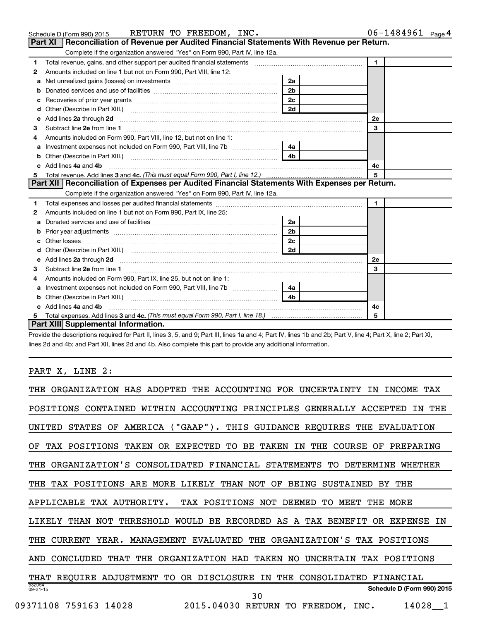|    | RETURN TO FREEDOM, INC.<br>Schedule D (Form 990) 2015                                                                                                                |                | $06 - 1484961$ Page 4 |
|----|----------------------------------------------------------------------------------------------------------------------------------------------------------------------|----------------|-----------------------|
|    | Reconciliation of Revenue per Audited Financial Statements With Revenue per Return.<br>Part XI                                                                       |                |                       |
|    | Complete if the organization answered "Yes" on Form 990, Part IV, line 12a.                                                                                          |                |                       |
| 1. | Total revenue, gains, and other support per audited financial statements [11] [11] Total revenue, [21] Total revenue of the support per audited financial statements |                | $\mathbf{1}$          |
| 2  | Amounts included on line 1 but not on Form 990, Part VIII, line 12:                                                                                                  |                |                       |
|    |                                                                                                                                                                      | 2a             |                       |
|    |                                                                                                                                                                      | 2 <sub>b</sub> |                       |
|    |                                                                                                                                                                      | 2c             |                       |
|    |                                                                                                                                                                      |                |                       |
|    | e Add lines 2a through 2d                                                                                                                                            |                | 2е                    |
| 3  |                                                                                                                                                                      |                | 3                     |
| 4  | Amounts included on Form 990, Part VIII, line 12, but not on line 1:                                                                                                 |                |                       |
| a  |                                                                                                                                                                      | 4a             |                       |
|    |                                                                                                                                                                      |                |                       |
|    | c Add lines 4a and 4b                                                                                                                                                |                | 4c                    |
| 5  |                                                                                                                                                                      |                | 5                     |
|    | Part XII   Reconciliation of Expenses per Audited Financial Statements With Expenses per Return.                                                                     |                |                       |
|    | Complete if the organization answered "Yes" on Form 990, Part IV, line 12a.                                                                                          |                |                       |
| 1  |                                                                                                                                                                      |                | $\mathbf{1}$          |
| 2  | Amounts included on line 1 but not on Form 990. Part IX, line 25:                                                                                                    |                |                       |
| a  |                                                                                                                                                                      | 2a             |                       |
|    |                                                                                                                                                                      | 2 <sub>b</sub> |                       |
|    |                                                                                                                                                                      | 2c             |                       |
|    |                                                                                                                                                                      |                |                       |
| е  |                                                                                                                                                                      |                | 2е                    |
| З  |                                                                                                                                                                      |                | 3                     |
|    | Amounts included on Form 990, Part IX, line 25, but not on line 1:                                                                                                   |                |                       |
|    |                                                                                                                                                                      | 4a             |                       |

**5 3 4c.**  *(This must equal Form 990, Part I, line 18.)* Total expenses. Add lines and **Part XIII Supplemental Information.**

**b** Other (Describe in Part XIII.) ~~~~~~~~~~~~~~~~~~~~~~~~~~

Provide the descriptions required for Part II, lines 3, 5, and 9; Part III, lines 1a and 4; Part IV, lines 1b and 2b; Part V, line 4; Part X, line 2; Part XI, lines 2d and 4b; and Part XII, lines 2d and 4b. Also complete this part to provide any additional information.

**4b**

**4c 5**

**c 4a 4b** Add lines and ~~~~~~~~~~~~~~~~~~~~~~~~~~~~~~~~~~~~~~~~~~~~~

## PART X, LINE 2:

| ADOPTED<br>ORGANIZATION HAS<br>ACCOUNTING<br><b>FOR</b><br>UNCERTAINTY<br>TAX<br>THE.<br>THE<br><b>INCOME</b><br>ΤN                    |
|----------------------------------------------------------------------------------------------------------------------------------------|
| THE<br>POSITIONS<br>CONTAINED<br>ACCOUNTING<br>PRINCIPLES<br>GENERALLY<br>ACCEPTED<br>WITHIN<br>ΤN                                     |
| $("GARP")$ .<br>GUIDANCE<br><b>STATES</b><br>AMERICA<br>THIS<br>REQUIRES<br>UNITED<br>ΟF<br>THE<br><b>EVALUATION</b>                   |
| POSITIONS<br>OR.<br>EXPECTED<br>TО<br>ВE<br>TAKEN<br>THE<br><b>COURSE</b><br>PREPARING<br>ΟF<br>TAX<br>TAKEN<br>ΙN<br>ΟF               |
| ORGANIZATION'S<br>CONSOLIDATED<br>FINANCIAL<br><b>STATEMENTS</b><br>TО<br>DETERMINE<br>WHETHER<br>THE                                  |
| POSITIONS<br>MORE<br>THAN<br><b>SUSTAINED</b><br>THE<br>ARE<br>LIKELY<br>NOT<br>OF<br><b>BEING</b><br>THE<br>TAX<br>BY                 |
| APPLICABLE<br>TAX AUTHORITY.<br>TAX POSITIONS<br>NOT<br><b>DEEMED</b><br>MEET<br>THE<br>MORE<br>TО                                     |
| RECORDED<br>THAN<br>NOT<br>THRESHOLD<br><b>WOULD</b><br>BE<br>AS<br>A<br>TAX<br><b>BENEFIT</b><br><b>EXPENSE</b><br>ΙN<br>LIKELY<br>0R |
| ORGANIZATION'S<br>CURRENT<br>YEAR.<br>MANAGEMENT<br>EVALUATED<br>THE<br>TAX POSITIONS<br>THE                                           |
| ORGANIZATION<br><b>UNCERTAIN</b><br>CONCLUDED<br>THAT<br>THE<br>HAD<br>TAKEN<br>TAX POSITIONS<br>NO<br>AND                             |
| <b>REQUIRE</b><br>ADJUSTMENT<br>OR.<br><b>DISCLOSURE</b><br>CONSOLIDATED<br>TО<br>ΙN<br>THE<br>FINANCIAL<br>THAT                       |
| 532054<br>Schedule D (Form 990) 2015<br>$09 - 21 - 15$<br>30                                                                           |
| 09371108<br>759163<br>14028<br>2015.04030<br>14028<br><b>RETURN</b><br>TО<br>FREEDOM,<br>INC.                                          |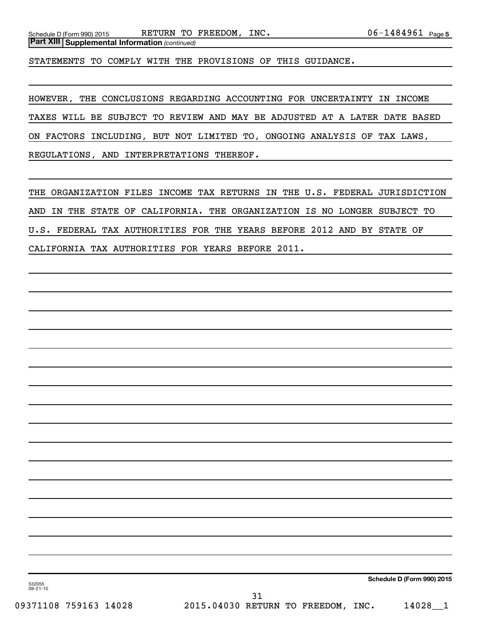STATEMENTS TO COMPLY WITH THE PROVISIONS OF THIS GUIDANCE.

HOWEVER, THE CONCLUSIONS REGARDING ACCOUNTING FOR UNCERTAINTY IN INCOME TAXES WILL BE SUBJECT TO REVIEW AND MAY BE ADJUSTED AT A LATER DATE BASED ON FACTORS INCLUDING, BUT NOT LIMITED TO, ONGOING ANALYSIS OF TAX LAWS, REGULATIONS, AND INTERPRETATIONS THEREOF.

THE ORGANIZATION FILES INCOME TAX RETURNS IN THE U.S. FEDERAL JURISDICTION AND IN THE STATE OF CALIFORNIA. THE ORGANIZATION IS NO LONGER SUBJECT TO U.S. FEDERAL TAX AUTHORITIES FOR THE YEARS BEFORE 2012 AND BY STATE OF CALIFORNIA TAX AUTHORITIES FOR YEARS BEFORE 2011.

**Schedule D (Form 990) 2015**

532055 09-21-15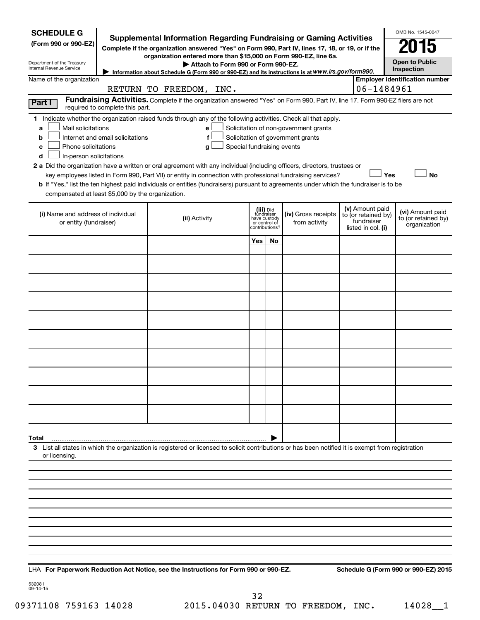| <b>SCHEDULE G</b><br>(Form 990 or 990-EZ)<br>Department of the Treasury<br>Internal Revenue Service                                                                               | <b>Supplemental Information Regarding Fundraising or Gaming Activities</b><br>Complete if the organization answered "Yes" on Form 990, Part IV, lines 17, 18, or 19, or if the<br>organization entered more than \$15,000 on Form 990-EZ, line 6a.<br>Attach to Form 990 or Form 990-EZ.<br>Information about Schedule G (Form 990 or 990-EZ) and its instructions is at WWW.irs.gov/form990.                                                                                                                                                      |     |                                                                            |                                                                            |                                                                            | OMB No. 1545-0047<br><b>Open to Public</b><br>Inspection |
|-----------------------------------------------------------------------------------------------------------------------------------------------------------------------------------|----------------------------------------------------------------------------------------------------------------------------------------------------------------------------------------------------------------------------------------------------------------------------------------------------------------------------------------------------------------------------------------------------------------------------------------------------------------------------------------------------------------------------------------------------|-----|----------------------------------------------------------------------------|----------------------------------------------------------------------------|----------------------------------------------------------------------------|----------------------------------------------------------|
| Name of the organization                                                                                                                                                          |                                                                                                                                                                                                                                                                                                                                                                                                                                                                                                                                                    |     |                                                                            |                                                                            |                                                                            | <b>Employer identification number</b>                    |
|                                                                                                                                                                                   | RETURN TO FREEDOM, INC.                                                                                                                                                                                                                                                                                                                                                                                                                                                                                                                            |     |                                                                            |                                                                            | 06-1484961                                                                 |                                                          |
| Part I<br>required to complete this part.                                                                                                                                         | Fundraising Activities. Complete if the organization answered "Yes" on Form 990, Part IV, line 17. Form 990-EZ filers are not                                                                                                                                                                                                                                                                                                                                                                                                                      |     |                                                                            |                                                                            |                                                                            |                                                          |
| Mail solicitations<br>a<br>Internet and email solicitations<br>b<br>Phone solicitations<br>с<br>In-person solicitations<br>d<br>compensated at least \$5,000 by the organization. | 1 Indicate whether the organization raised funds through any of the following activities. Check all that apply.<br>е<br>f<br>Special fundraising events<br>g<br>2 a Did the organization have a written or oral agreement with any individual (including officers, directors, trustees or<br>key employees listed in Form 990, Part VII) or entity in connection with professional fundraising services?<br>b If "Yes," list the ten highest paid individuals or entities (fundraisers) pursuant to agreements under which the fundraiser is to be |     |                                                                            | Solicitation of non-government grants<br>Solicitation of government grants |                                                                            | Yes<br><b>No</b>                                         |
| (i) Name and address of individual<br>or entity (fundraiser)                                                                                                                      | (ii) Activity                                                                                                                                                                                                                                                                                                                                                                                                                                                                                                                                      |     | (iii) Did<br>fundraiser<br>have custody<br>or control of<br>contributions? | (iv) Gross receipts<br>from activity                                       | (v) Amount paid<br>to (or retained by)<br>fundraiser<br>listed in col. (i) | (vi) Amount paid<br>to (or retained by)<br>organization  |
|                                                                                                                                                                                   |                                                                                                                                                                                                                                                                                                                                                                                                                                                                                                                                                    | Yes | No                                                                         |                                                                            |                                                                            |                                                          |
|                                                                                                                                                                                   |                                                                                                                                                                                                                                                                                                                                                                                                                                                                                                                                                    |     |                                                                            |                                                                            |                                                                            |                                                          |
|                                                                                                                                                                                   |                                                                                                                                                                                                                                                                                                                                                                                                                                                                                                                                                    |     |                                                                            |                                                                            |                                                                            |                                                          |
|                                                                                                                                                                                   |                                                                                                                                                                                                                                                                                                                                                                                                                                                                                                                                                    |     |                                                                            |                                                                            |                                                                            |                                                          |
|                                                                                                                                                                                   |                                                                                                                                                                                                                                                                                                                                                                                                                                                                                                                                                    |     |                                                                            |                                                                            |                                                                            |                                                          |
|                                                                                                                                                                                   |                                                                                                                                                                                                                                                                                                                                                                                                                                                                                                                                                    |     |                                                                            |                                                                            |                                                                            |                                                          |
|                                                                                                                                                                                   |                                                                                                                                                                                                                                                                                                                                                                                                                                                                                                                                                    |     |                                                                            |                                                                            |                                                                            |                                                          |
|                                                                                                                                                                                   |                                                                                                                                                                                                                                                                                                                                                                                                                                                                                                                                                    |     |                                                                            |                                                                            |                                                                            |                                                          |
|                                                                                                                                                                                   |                                                                                                                                                                                                                                                                                                                                                                                                                                                                                                                                                    |     |                                                                            |                                                                            |                                                                            |                                                          |
|                                                                                                                                                                                   |                                                                                                                                                                                                                                                                                                                                                                                                                                                                                                                                                    |     |                                                                            |                                                                            |                                                                            |                                                          |
| Total                                                                                                                                                                             | 3 List all states in which the organization is registered or licensed to solicit contributions or has been notified it is exempt from registration                                                                                                                                                                                                                                                                                                                                                                                                 |     |                                                                            |                                                                            |                                                                            |                                                          |
| or licensing.                                                                                                                                                                     |                                                                                                                                                                                                                                                                                                                                                                                                                                                                                                                                                    |     |                                                                            |                                                                            |                                                                            |                                                          |
|                                                                                                                                                                                   |                                                                                                                                                                                                                                                                                                                                                                                                                                                                                                                                                    |     |                                                                            |                                                                            |                                                                            |                                                          |
|                                                                                                                                                                                   |                                                                                                                                                                                                                                                                                                                                                                                                                                                                                                                                                    |     |                                                                            |                                                                            |                                                                            |                                                          |
|                                                                                                                                                                                   |                                                                                                                                                                                                                                                                                                                                                                                                                                                                                                                                                    |     |                                                                            |                                                                            |                                                                            |                                                          |
|                                                                                                                                                                                   |                                                                                                                                                                                                                                                                                                                                                                                                                                                                                                                                                    |     |                                                                            |                                                                            |                                                                            |                                                          |
|                                                                                                                                                                                   |                                                                                                                                                                                                                                                                                                                                                                                                                                                                                                                                                    |     |                                                                            |                                                                            |                                                                            |                                                          |
|                                                                                                                                                                                   |                                                                                                                                                                                                                                                                                                                                                                                                                                                                                                                                                    |     |                                                                            |                                                                            |                                                                            |                                                          |
|                                                                                                                                                                                   |                                                                                                                                                                                                                                                                                                                                                                                                                                                                                                                                                    |     |                                                                            |                                                                            |                                                                            |                                                          |
|                                                                                                                                                                                   |                                                                                                                                                                                                                                                                                                                                                                                                                                                                                                                                                    |     |                                                                            |                                                                            |                                                                            |                                                          |

**For Paperwork Reduction Act Notice, see the Instructions for Form 990 or 990-EZ. Schedule G (Form 990 or 990-EZ) 2015** LHA

532081 09-14-15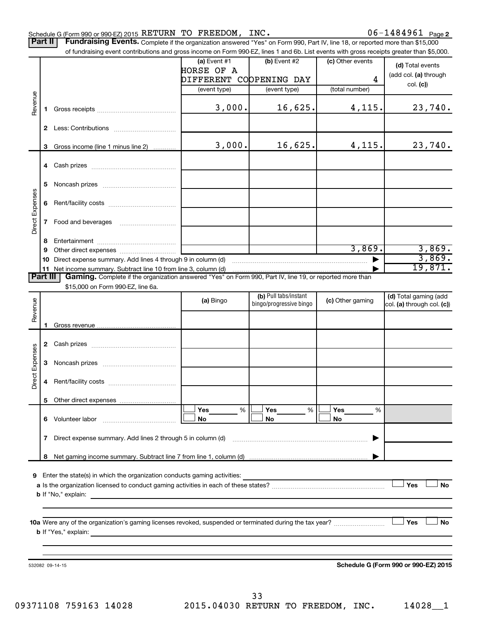|                 |          | Schedule G (Form 990 or 990-EZ) 2015 RETURN TO FREEDOM, INC.                                                                              |                |                         |                  | $06 - 1484961$ Page 2                |
|-----------------|----------|-------------------------------------------------------------------------------------------------------------------------------------------|----------------|-------------------------|------------------|--------------------------------------|
| Part II         |          | Fundraising Events. Complete if the organization answered "Yes" on Form 990, Part IV, line 18, or reported more than \$15,000             |                |                         |                  |                                      |
|                 |          | of fundraising event contributions and gross income on Form 990-EZ, lines 1 and 6b. List events with gross receipts greater than \$5,000. | (a) Event $#1$ | (b) Event #2            |                  |                                      |
|                 |          |                                                                                                                                           | HORSE OF A     |                         | (c) Other events | (d) Total events                     |
|                 |          |                                                                                                                                           |                |                         |                  | (add col. (a) through                |
|                 |          |                                                                                                                                           | DIFFERENT      | COOPENING DAY           | 4                | col. (c)                             |
|                 |          |                                                                                                                                           | (event type)   | (event type)            | (total number)   |                                      |
| Revenue         |          |                                                                                                                                           |                |                         |                  |                                      |
|                 | 1        |                                                                                                                                           | 3,000.         | 16,625.                 | 4,115.           | 23,740.                              |
|                 |          |                                                                                                                                           |                |                         |                  |                                      |
|                 | 2.       |                                                                                                                                           |                |                         |                  |                                      |
|                 |          |                                                                                                                                           |                |                         |                  |                                      |
|                 | 3        | Gross income (line 1 minus line 2)                                                                                                        | 3,000.         | 16,625.                 | 4,115.           | 23,740.                              |
|                 |          |                                                                                                                                           |                |                         |                  |                                      |
|                 |          |                                                                                                                                           |                |                         |                  |                                      |
|                 |          |                                                                                                                                           |                |                         |                  |                                      |
|                 | 5        |                                                                                                                                           |                |                         |                  |                                      |
|                 |          |                                                                                                                                           |                |                         |                  |                                      |
|                 | 6        |                                                                                                                                           |                |                         |                  |                                      |
| Direct Expenses |          |                                                                                                                                           |                |                         |                  |                                      |
|                 | 7        |                                                                                                                                           |                |                         |                  |                                      |
|                 |          |                                                                                                                                           |                |                         |                  |                                      |
|                 | 8        |                                                                                                                                           |                |                         |                  |                                      |
|                 | 9        |                                                                                                                                           |                |                         | 3,869.           | 3,869.                               |
|                 | 10       |                                                                                                                                           |                |                         |                  | 3,869.                               |
|                 | 11       |                                                                                                                                           |                |                         |                  | 19,871.                              |
|                 | Part III | Gaming. Complete if the organization answered "Yes" on Form 990, Part IV, line 19, or reported more than                                  |                |                         |                  |                                      |
|                 |          | \$15,000 on Form 990-EZ, line 6a.                                                                                                         |                |                         |                  |                                      |
|                 |          |                                                                                                                                           | (a) Bingo      | (b) Pull tabs/instant   | (c) Other gaming | (d) Total gaming (add                |
| Revenue         |          |                                                                                                                                           |                | bingo/progressive bingo |                  | col. (a) through col. (c))           |
|                 |          |                                                                                                                                           |                |                         |                  |                                      |
|                 |          |                                                                                                                                           |                |                         |                  |                                      |
|                 |          |                                                                                                                                           |                |                         |                  |                                      |
|                 | 2        |                                                                                                                                           |                |                         |                  |                                      |
|                 |          |                                                                                                                                           |                |                         |                  |                                      |
| Expenses        | 3        |                                                                                                                                           |                |                         |                  |                                      |
|                 |          |                                                                                                                                           |                |                         |                  |                                      |
| ë               |          |                                                                                                                                           |                |                         |                  |                                      |
| à               |          |                                                                                                                                           |                |                         |                  |                                      |
|                 |          |                                                                                                                                           |                |                         |                  |                                      |
|                 |          |                                                                                                                                           | Yes<br>%       | Yes<br>%                | Yes<br>%         |                                      |
|                 | 6        |                                                                                                                                           | No             | No                      | No               |                                      |
|                 |          |                                                                                                                                           |                |                         |                  |                                      |
|                 | 7        | Direct expense summary. Add lines 2 through 5 in column (d)                                                                               |                |                         |                  |                                      |
|                 |          |                                                                                                                                           |                |                         |                  |                                      |
|                 | 8        |                                                                                                                                           |                |                         |                  |                                      |
|                 |          |                                                                                                                                           |                |                         |                  |                                      |
| 9               |          |                                                                                                                                           |                |                         |                  |                                      |
|                 |          |                                                                                                                                           |                |                         |                  | Yes<br><b>No</b>                     |
|                 |          |                                                                                                                                           |                |                         |                  |                                      |
|                 |          |                                                                                                                                           |                |                         |                  |                                      |
|                 |          |                                                                                                                                           |                |                         |                  |                                      |
|                 |          |                                                                                                                                           |                |                         |                  | Yes<br><b>No</b>                     |
|                 |          |                                                                                                                                           |                |                         |                  |                                      |
|                 |          |                                                                                                                                           |                |                         |                  |                                      |
|                 |          |                                                                                                                                           |                |                         |                  |                                      |
|                 |          |                                                                                                                                           |                |                         |                  |                                      |
|                 |          | 532082 09-14-15                                                                                                                           |                |                         |                  | Schedule G (Form 990 or 990-EZ) 2015 |
|                 |          |                                                                                                                                           |                |                         |                  |                                      |
|                 |          |                                                                                                                                           |                |                         |                  |                                      |

09371108 759163 14028 2015.04030 RETURN TO FREEDOM, INC. 14028\_1 33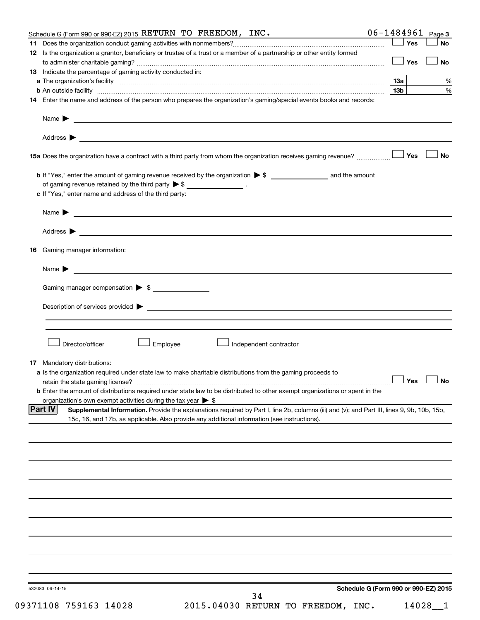|    | Schedule G (Form 990 or 990-EZ) 2015 RETURN TO FREEDOM, INC.                                                                                       |                 |       | $06 - 1484961$ Page 3 |
|----|----------------------------------------------------------------------------------------------------------------------------------------------------|-----------------|-------|-----------------------|
|    |                                                                                                                                                    |                 | Yes   | <b>No</b>             |
|    | 12 Is the organization a grantor, beneficiary or trustee of a trust or a member of a partnership or other entity formed                            |                 |       |                       |
|    |                                                                                                                                                    |                 | ∣ Yes | <b>No</b>             |
|    | 13 Indicate the percentage of gaming activity conducted in:                                                                                        |                 |       |                       |
|    |                                                                                                                                                    |                 |       | %                     |
|    |                                                                                                                                                    | 13 <sub>b</sub> |       | %                     |
|    | 14 Enter the name and address of the person who prepares the organization's gaming/special events books and records:                               |                 |       |                       |
|    |                                                                                                                                                    |                 |       |                       |
|    |                                                                                                                                                    |                 |       |                       |
|    |                                                                                                                                                    |                 |       |                       |
|    |                                                                                                                                                    |                 |       | <b>No</b>             |
|    |                                                                                                                                                    |                 |       |                       |
|    | of gaming revenue retained by the third party $\triangleright$ \$ _________________.                                                               |                 |       |                       |
|    | c If "Yes," enter name and address of the third party:                                                                                             |                 |       |                       |
|    |                                                                                                                                                    |                 |       |                       |
|    |                                                                                                                                                    |                 |       |                       |
|    | Address ><br><u> 1989 - Johann Stoff, amerikansk politiker (d. 1989)</u>                                                                           |                 |       |                       |
|    | 16 Gaming manager information:                                                                                                                     |                 |       |                       |
|    | Name $\blacktriangleright$<br><u> 1989 - Johann Barbara, martin amerikan basal dan berasal dan berasal dalam basal dan berasal dan berasal dan</u> |                 |       |                       |
|    | Gaming manager compensation > \$                                                                                                                   |                 |       |                       |
|    |                                                                                                                                                    |                 |       |                       |
|    |                                                                                                                                                    |                 |       |                       |
|    |                                                                                                                                                    |                 |       |                       |
|    |                                                                                                                                                    |                 |       |                       |
|    | Director/officer<br>Employee<br>Independent contractor                                                                                             |                 |       |                       |
|    |                                                                                                                                                    |                 |       |                       |
| 17 | Mandatory distributions:                                                                                                                           |                 |       |                       |
|    | a Is the organization required under state law to make charitable distributions from the gaming proceeds to                                        |                 |       |                       |
|    |                                                                                                                                                    |                 |       | $\Box$ Yes $\Box$ No  |
|    | <b>b</b> Enter the amount of distributions required under state law to be distributed to other exempt organizations or spent in the                |                 |       |                       |
|    | organization's own exempt activities during the tax year $\triangleright$ \$<br><b>Part IV</b>                                                     |                 |       |                       |
|    | Supplemental Information. Provide the explanations required by Part I, line 2b, columns (iii) and (v); and Part III, lines 9, 9b, 10b, 15b,        |                 |       |                       |
|    | 15c, 16, and 17b, as applicable. Also provide any additional information (see instructions).                                                       |                 |       |                       |
|    |                                                                                                                                                    |                 |       |                       |
|    |                                                                                                                                                    |                 |       |                       |
|    |                                                                                                                                                    |                 |       |                       |
|    |                                                                                                                                                    |                 |       |                       |
|    |                                                                                                                                                    |                 |       |                       |
|    |                                                                                                                                                    |                 |       |                       |
|    |                                                                                                                                                    |                 |       |                       |
|    |                                                                                                                                                    |                 |       |                       |
|    |                                                                                                                                                    |                 |       |                       |
|    |                                                                                                                                                    |                 |       |                       |
|    |                                                                                                                                                    |                 |       |                       |
|    |                                                                                                                                                    |                 |       |                       |
|    |                                                                                                                                                    |                 |       |                       |
|    | Schedule G (Form 990 or 990-EZ) 2015<br>532083 09-14-15                                                                                            |                 |       |                       |
|    | 34                                                                                                                                                 |                 |       |                       |

09371108 759163 14028 2015.04030 RETURN TO FREEDOM, INC. 14028\_1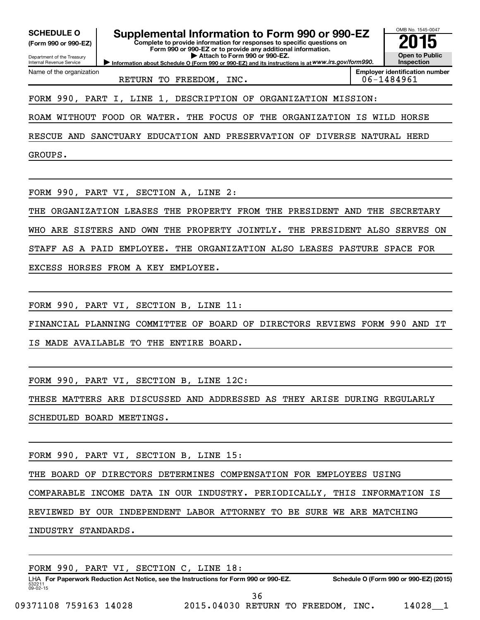| <b>SCHEDULE O</b><br>(Form 990 or 990-EZ)<br>Department of the Treasury<br>Internal Revenue Service | Supplemental Information to Form 990 or 990-EZ<br>Complete to provide information for responses to specific questions on<br>Form 990 or 990-EZ or to provide any additional information.<br>Attach to Form 990 or 990-EZ.<br>Information about Schedule O (Form 990 or 990-EZ) and its instructions is at WWW.irs.gov/form990. | OMB No. 1545-0047<br><b>Open to Public</b><br>Inspection |
|-----------------------------------------------------------------------------------------------------|--------------------------------------------------------------------------------------------------------------------------------------------------------------------------------------------------------------------------------------------------------------------------------------------------------------------------------|----------------------------------------------------------|
| Name of the organization                                                                            | RETURN TO FREEDOM, INC.                                                                                                                                                                                                                                                                                                        | <b>Emplover identification number</b><br>06-1484961      |
|                                                                                                     | FORM 990, PART I, LINE 1, DESCRIPTION OF ORGANIZATION MISSION:                                                                                                                                                                                                                                                                 |                                                          |
|                                                                                                     | ROAM WITHOUT FOOD OR WATER. THE FOCUS OF<br>THE                                                                                                                                                                                                                                                                                | ORGANIZATION IS WILD HORSE                               |
| RESCUE AND                                                                                          | SANCTUARY EDUCATION AND PRESERVATION OF DIVERSE NATURAL HERD                                                                                                                                                                                                                                                                   |                                                          |
| GROUPS.                                                                                             |                                                                                                                                                                                                                                                                                                                                |                                                          |
|                                                                                                     |                                                                                                                                                                                                                                                                                                                                |                                                          |
|                                                                                                     | FORM 990, PART VI, SECTION A, LINE 2:                                                                                                                                                                                                                                                                                          |                                                          |
| THE                                                                                                 | ORGANIZATION LEASES THE PROPERTY FROM THE<br>PRESIDENT AND                                                                                                                                                                                                                                                                     | THE SECRETARY                                            |
| <b>WHO</b>                                                                                          | ARE SISTERS AND OWN<br>THE PROPERTY JOINTLY. THE PRESIDENT ALSO SERVES ON                                                                                                                                                                                                                                                      |                                                          |
|                                                                                                     | STAFF AS A PAID EMPLOYEE. THE ORGANIZATION ALSO LEASES PASTURE SPACE FOR                                                                                                                                                                                                                                                       |                                                          |
|                                                                                                     | EXCESS HORSES FROM A KEY EMPLOYEE.                                                                                                                                                                                                                                                                                             |                                                          |
|                                                                                                     |                                                                                                                                                                                                                                                                                                                                |                                                          |
|                                                                                                     | FORM 990, PART VI, SECTION B, LINE 11:                                                                                                                                                                                                                                                                                         |                                                          |
|                                                                                                     | FINANCIAL PLANNING COMMITTEE OF BOARD OF DIRECTORS REVIEWS FORM 990 AND                                                                                                                                                                                                                                                        | IT                                                       |
| ΙS                                                                                                  | MADE AVAILABLE TO THE ENTIRE BOARD.                                                                                                                                                                                                                                                                                            |                                                          |
|                                                                                                     |                                                                                                                                                                                                                                                                                                                                |                                                          |
|                                                                                                     | FORM 990, PART VI, SECTION B, LINE 12C:                                                                                                                                                                                                                                                                                        |                                                          |
|                                                                                                     | THESE MATTERS ARE DISCUSSED AND ADDRESSED AS THEY ARISE DURING REGULARLY                                                                                                                                                                                                                                                       |                                                          |
|                                                                                                     | SCHEDULED BOARD MEETINGS.                                                                                                                                                                                                                                                                                                      |                                                          |
|                                                                                                     |                                                                                                                                                                                                                                                                                                                                |                                                          |
|                                                                                                     | FORM 990, PART VI, SECTION B, LINE 15:                                                                                                                                                                                                                                                                                         |                                                          |
|                                                                                                     | THE BOARD OF DIRECTORS DETERMINES COMPENSATION FOR EMPLOYEES USING                                                                                                                                                                                                                                                             |                                                          |
|                                                                                                     | COMPARABLE INCOME DATA IN OUR INDUSTRY. PERIODICALLY, THIS INFORMATION IS                                                                                                                                                                                                                                                      |                                                          |
|                                                                                                     | REVIEWED BY OUR INDEPENDENT LABOR ATTORNEY TO BE SURE WE ARE MATCHING                                                                                                                                                                                                                                                          |                                                          |
| INDUSTRY STANDARDS.                                                                                 |                                                                                                                                                                                                                                                                                                                                |                                                          |
|                                                                                                     |                                                                                                                                                                                                                                                                                                                                |                                                          |
|                                                                                                     | FORM 990, PART VI, SECTION C, LINE 18:                                                                                                                                                                                                                                                                                         |                                                          |
| 532211<br>09-02-15                                                                                  | LHA For Paperwork Reduction Act Notice, see the Instructions for Form 990 or 990-EZ.                                                                                                                                                                                                                                           | Schedule O (Form 990 or 990-EZ) (2015)                   |

36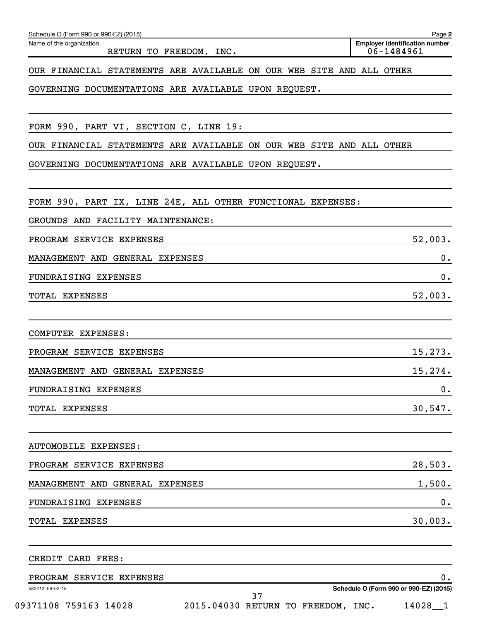| Schedule O (Form 990 or 990-EZ) (2015)                               |  |                                                         | Page 2  |
|----------------------------------------------------------------------|--|---------------------------------------------------------|---------|
| Name of the organization<br>RETURN TO FREEDOM, INC.                  |  | <b>Employer identification number</b><br>$06 - 1484961$ |         |
| OUR FINANCIAL STATEMENTS ARE AVAILABLE ON OUR WEB SITE AND ALL OTHER |  |                                                         |         |
| GOVERNING DOCUMENTATIONS ARE AVAILABLE UPON REQUEST.                 |  |                                                         |         |
| FORM 990, PART VI, SECTION C, LINE 19:                               |  |                                                         |         |
| OUR FINANCIAL STATEMENTS ARE AVAILABLE ON OUR WEB SITE AND ALL OTHER |  |                                                         |         |
| GOVERNING DOCUMENTATIONS ARE AVAILABLE UPON REQUEST.                 |  |                                                         |         |
| FORM 990, PART IX, LINE 24E, ALL OTHER FUNCTIONAL EXPENSES:          |  |                                                         |         |
| GROUNDS AND FACILITY MAINTENANCE:                                    |  |                                                         |         |
| PROGRAM SERVICE EXPENSES                                             |  |                                                         | 52,003. |
| MANAGEMENT AND GENERAL EXPENSES                                      |  |                                                         | 0.      |
| FUNDRAISING EXPENSES                                                 |  |                                                         | 0.      |
| TOTAL EXPENSES                                                       |  |                                                         | 52,003. |
| COMPUTER EXPENSES:                                                   |  |                                                         |         |
| PROGRAM SERVICE EXPENSES                                             |  |                                                         | 15,273. |
| MANAGEMENT AND GENERAL EXPENSES                                      |  |                                                         | 15,274. |
| FUNDRAISING EXPENSES                                                 |  |                                                         | 0.      |
| TOTAL EXPENSES                                                       |  |                                                         | 30,547. |
| <b>AUTOMOBILE EXPENSES:</b>                                          |  |                                                         |         |
| PROGRAM SERVICE EXPENSES                                             |  |                                                         | 28,503. |
| MANAGEMENT AND GENERAL EXPENSES                                      |  |                                                         | 1,500.  |
| FUNDRAISING EXPENSES                                                 |  |                                                         | 0.      |
| <b>TOTAL EXPENSES</b>                                                |  |                                                         | 30,003. |
| CREDIT CARD FEES:                                                    |  |                                                         |         |
| PROGRAM SERVICE EXPENSES                                             |  |                                                         | 0.      |
| 532212 09-02-15<br>ד כ                                               |  | Schedule O (Form 990 or 990-EZ) (2015)                  |         |

09371108 759163 14028 2015.04030 RETURN TO FREEDOM, INC. 14028\_1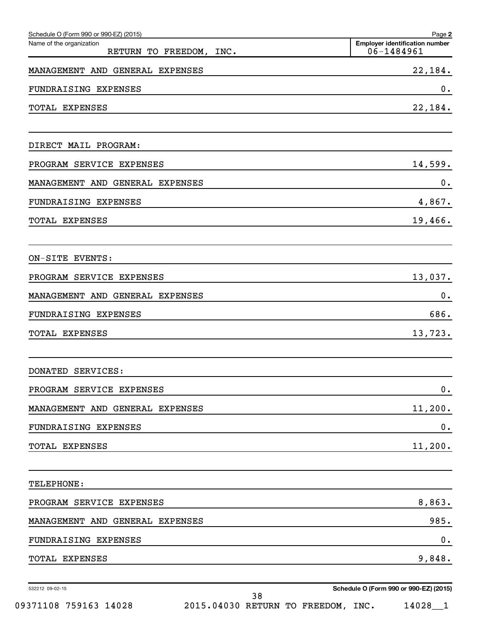| Schedule O (Form 990 or 990-EZ) (2015)              | Page 2                                              |
|-----------------------------------------------------|-----------------------------------------------------|
| Name of the organization<br>RETURN TO FREEDOM, INC. | <b>Employer identification number</b><br>06-1484961 |
| MANAGEMENT AND GENERAL EXPENSES                     | 22,184.                                             |
| FUNDRAISING EXPENSES                                | 0.                                                  |
| TOTAL EXPENSES                                      | 22,184.                                             |
| DIRECT MAIL PROGRAM:                                |                                                     |
| PROGRAM SERVICE EXPENSES                            | 14,599.                                             |
| MANAGEMENT AND GENERAL EXPENSES                     | 0.                                                  |
| FUNDRAISING EXPENSES                                | 4,867.                                              |
| TOTAL EXPENSES                                      | 19,466.                                             |
| ON-SITE EVENTS:                                     |                                                     |
| PROGRAM SERVICE EXPENSES                            | 13,037.                                             |
| MANAGEMENT AND GENERAL EXPENSES                     | 0.                                                  |
| FUNDRAISING EXPENSES                                | 686.                                                |
| TOTAL EXPENSES                                      | 13,723.                                             |
| DONATED SERVICES:                                   |                                                     |
| PROGRAM SERVICE EXPENSES                            | $\mathbf 0$ .                                       |
| MANAGEMENT AND GENERAL EXPENSES                     | 11,200.                                             |
| FUNDRAISING EXPENSES                                | $\mathbf 0$ .                                       |
| TOTAL EXPENSES                                      | 11,200.                                             |
| TELEPHONE:                                          |                                                     |
| PROGRAM SERVICE EXPENSES                            | 8,863.                                              |
| MANAGEMENT AND GENERAL EXPENSES                     | 985.                                                |
| FUNDRAISING EXPENSES                                | $\mathbf 0$ .                                       |
| TOTAL EXPENSES                                      | 9,848.                                              |

532212 09-02-15

**Schedule O (Form 990 or 990-EZ) (2015)**

09371108 759163 14028 2015.04030 RETURN TO FREEDOM, INC. 14028\_1 38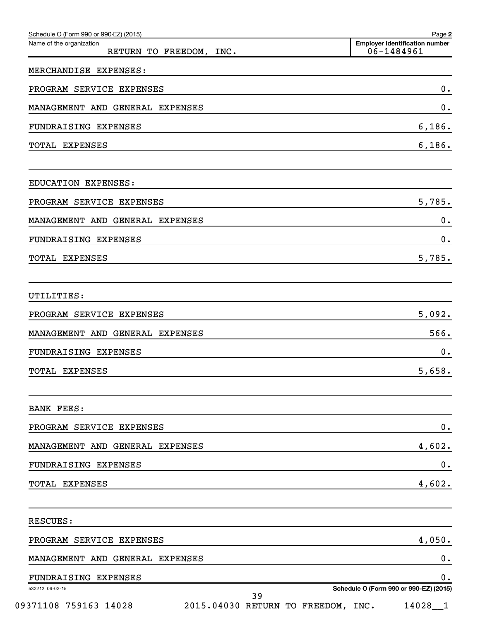| Schedule O (Form 990 or 990-EZ) (2015)<br>Name of the organization | Page 2<br><b>Employer identification number</b><br>06-1484961 |
|--------------------------------------------------------------------|---------------------------------------------------------------|
| RETURN TO FREEDOM, INC.<br>MERCHANDISE EXPENSES:                   |                                                               |
|                                                                    |                                                               |
| PROGRAM SERVICE EXPENSES                                           | 0.                                                            |
| MANAGEMENT AND GENERAL EXPENSES                                    | 0.                                                            |
| FUNDRAISING EXPENSES                                               | 6,186.                                                        |
| TOTAL EXPENSES                                                     | 6,186.                                                        |
| EDUCATION EXPENSES:                                                |                                                               |
| PROGRAM SERVICE EXPENSES                                           | 5,785.                                                        |
| MANAGEMENT AND GENERAL EXPENSES                                    | 0.                                                            |
| FUNDRAISING EXPENSES                                               | 0.                                                            |
| TOTAL EXPENSES                                                     | 5,785.                                                        |
| UTILITIES:                                                         |                                                               |
| PROGRAM SERVICE EXPENSES                                           | 5,092.                                                        |
| MANAGEMENT AND GENERAL EXPENSES                                    | 566.                                                          |
| FUNDRAISING EXPENSES                                               | 0.                                                            |
| TOTAL EXPENSES                                                     | 5,658.                                                        |
| <b>BANK FEES:</b>                                                  |                                                               |
| PROGRAM SERVICE EXPENSES                                           | 0.                                                            |
| MANAGEMENT AND GENERAL EXPENSES                                    | 4,602.                                                        |
| FUNDRAISING EXPENSES                                               | $\mathbf 0$ .                                                 |
| TOTAL EXPENSES                                                     | 4,602.                                                        |
| RESCUES:                                                           |                                                               |
| PROGRAM SERVICE EXPENSES                                           | 4,050.                                                        |
| MANAGEMENT AND GENERAL EXPENSES                                    | 0.                                                            |
| FUNDRAISING EXPENSES                                               | $0$ .                                                         |
| 532212 09-02-15<br>39                                              | Schedule O (Form 990 or 990-EZ) (2015)                        |
| 09371108 759163 14028                                              | 2015.04030 RETURN TO FREEDOM, INC.<br>$14028 - 1$             |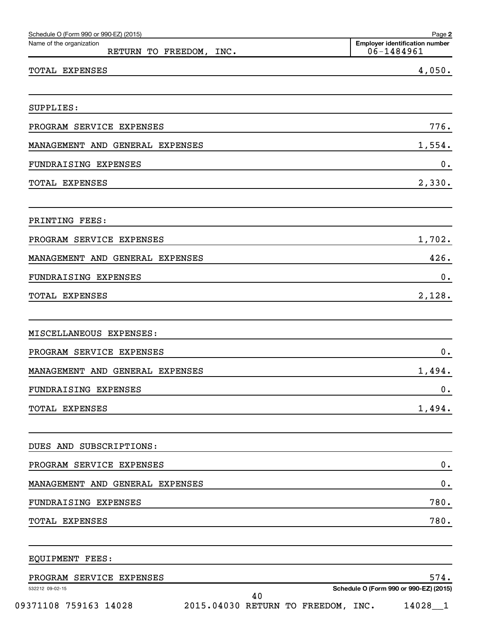| Schedule O (Form 990 or 990-EZ) (2015)<br>Name of the organization | Page 2<br><b>Employer identification number</b> |
|--------------------------------------------------------------------|-------------------------------------------------|
| RETURN TO FREEDOM, INC.                                            | 06-1484961                                      |
| TOTAL EXPENSES                                                     | 4,050.                                          |
| SUPPLIES:                                                          |                                                 |
| PROGRAM SERVICE EXPENSES                                           | 776.                                            |
| MANAGEMENT AND GENERAL EXPENSES                                    | 1,554.                                          |
| FUNDRAISING EXPENSES                                               | $0$ .                                           |
| TOTAL EXPENSES                                                     | 2,330.                                          |
| PRINTING FEES:                                                     |                                                 |
| PROGRAM SERVICE EXPENSES                                           | 1,702.                                          |
| MANAGEMENT AND GENERAL EXPENSES                                    | 426.                                            |
| FUNDRAISING EXPENSES                                               | $0$ .                                           |
| TOTAL EXPENSES                                                     | 2,128.                                          |
|                                                                    |                                                 |
| MISCELLANEOUS EXPENSES:                                            |                                                 |
| PROGRAM SERVICE EXPENSES                                           | 0.                                              |
| MANAGEMENT AND GENERAL EXPENSES                                    | 1,494.                                          |
| FUNDRAISING EXPENSES                                               | 0.                                              |
| TOTAL EXPENSES                                                     | 1,494.                                          |
| DUES AND SUBSCRIPTIONS:                                            |                                                 |
| PROGRAM SERVICE EXPENSES                                           | $\mathbf 0$ .                                   |
| MANAGEMENT AND GENERAL EXPENSES                                    | $\mathbf 0$ .                                   |
| FUNDRAISING EXPENSES                                               | 780.                                            |
| TOTAL EXPENSES                                                     | 780.                                            |
|                                                                    |                                                 |
| EQUIPMENT FEES:                                                    |                                                 |
| PROGRAM SERVICE EXPENSES<br>532212 09-02-15                        | 574.<br>Schedule O (Form 990 or 990-EZ) (2015)  |

09371108 759163 14028 2015.04030 RETURN TO FREEDOM, INC. 14028\_1

**Schedule O (Form 990 or 990-EZ) (2015)**